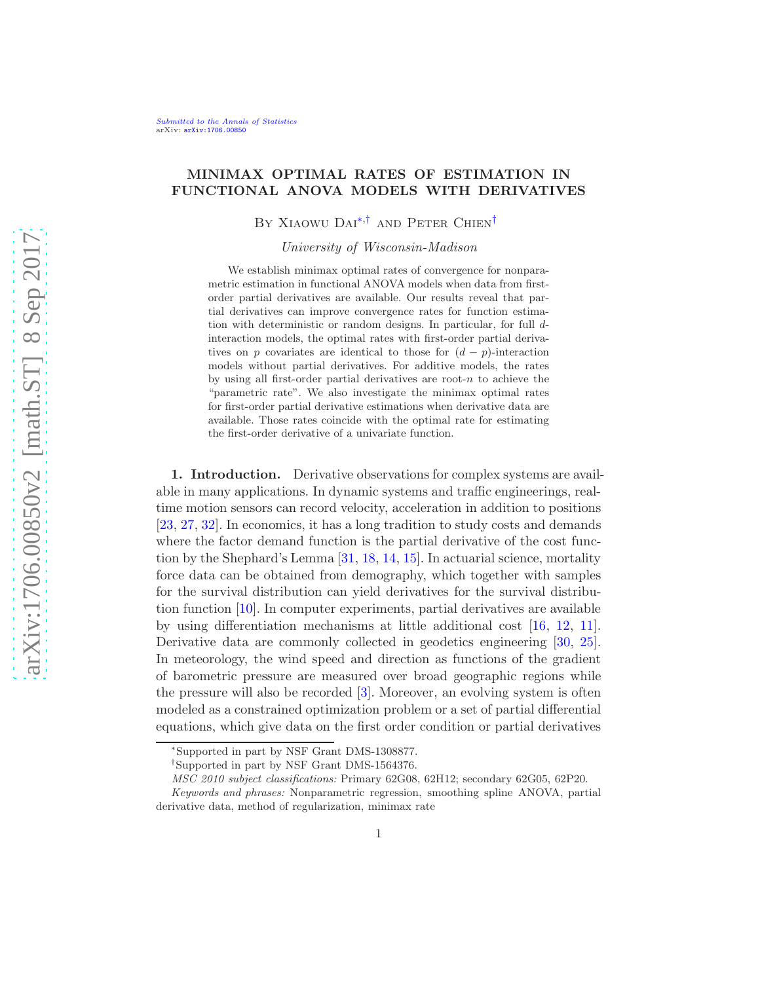# MINIMAX OPTIMAL RATES OF ESTIMATION IN FUNCTIONAL ANOVA MODELS WITH DERIVATIVES

BY XIAOWU DAI<sup>[∗](#page-0-0),[†](#page-0-1)</sup> AND PETER CHIEN<sup>†</sup>

University of Wisconsin-Madison

We establish minimax optimal rates of convergence for nonparametric estimation in functional ANOVA models when data from firstorder partial derivatives are available. Our results reveal that partial derivatives can improve convergence rates for function estimation with deterministic or random designs. In particular, for full dinteraction models, the optimal rates with first-order partial derivatives on p covariates are identical to those for  $(d - p)$ -interaction models without partial derivatives. For additive models, the rates by using all first-order partial derivatives are root- $n$  to achieve the "parametric rate". We also investigate the minimax optimal rates for first-order partial derivative estimations when derivative data are available. Those rates coincide with the optimal rate for estimating the first-order derivative of a univariate function.

1. Introduction. Derivative observations for complex systems are available in many applications. In dynamic systems and traffic engineerings, realtime motion sensors can record velocity, acceleration in addition to positions [\[23,](#page-60-0) [27](#page-60-1), [32](#page-60-2)]. In economics, it has a long tradition to study costs and demands where the factor demand function is the partial derivative of the cost function by the Shephard's Lemma [\[31,](#page-60-3) [18,](#page-60-4) [14](#page-59-0), [15\]](#page-60-5). In actuarial science, mortality force data can be obtained from demography, which together with samples for the survival distribution can yield derivatives for the survival distribution function [\[10\]](#page-59-1). In computer experiments, partial derivatives are available by using differentiation mechanisms at little additional cost [\[16](#page-60-6), [12](#page-59-2), [11](#page-59-3)]. Derivative data are commonly collected in geodetics engineering [\[30](#page-60-7), [25](#page-60-8)]. In meteorology, the wind speed and direction as functions of the gradient of barometric pressure are measured over broad geographic regions while the pressure will also be recorded [\[3](#page-59-4)]. Moreover, an evolving system is often modeled as a constrained optimization problem or a set of partial differential equations, which give data on the first order condition or partial derivatives

<span id="page-0-0"></span><sup>∗</sup> Supported in part by NSF Grant DMS-1308877.

<span id="page-0-1"></span><sup>†</sup> Supported in part by NSF Grant DMS-1564376.

MSC 2010 subject classifications: Primary 62G08, 62H12; secondary 62G05, 62P20.

Keywords and phrases: Nonparametric regression, smoothing spline ANOVA, partial derivative data, method of regularization, minimax rate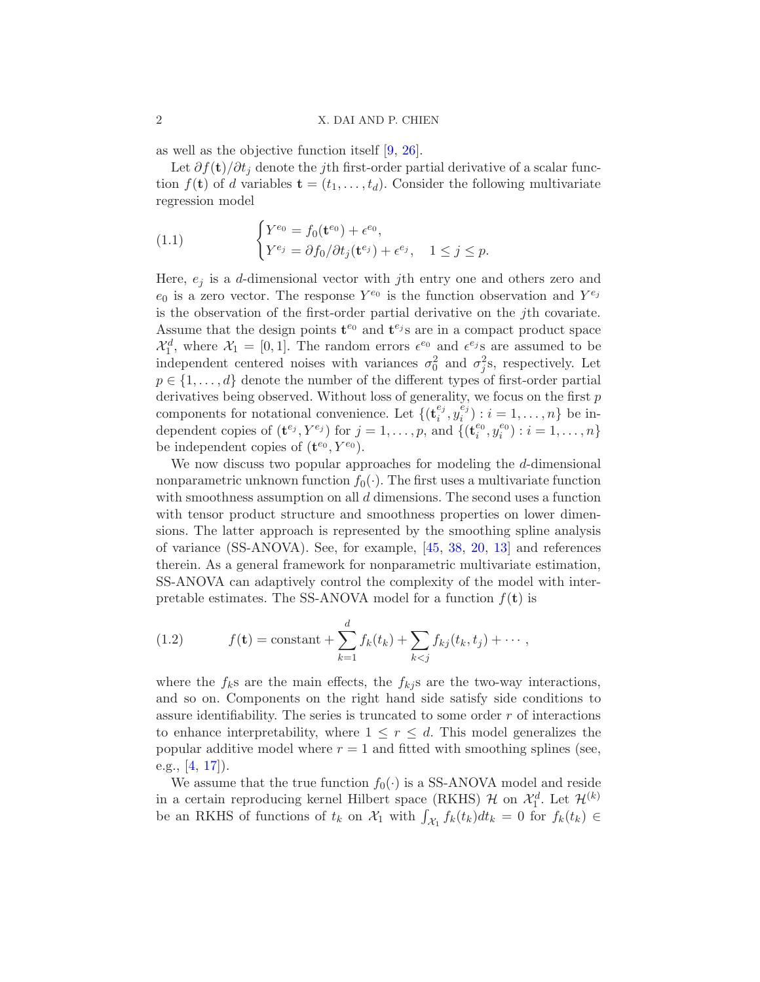as well as the objective function itself [\[9](#page-59-5), [26](#page-60-9)].

Let  $\partial f(\mathbf{t})/\partial t_i$  denote the jth first-order partial derivative of a scalar function  $f(\mathbf{t})$  of d variables  $\mathbf{t} = (t_1, \ldots, t_d)$ . Consider the following multivariate regression model

<span id="page-1-1"></span>(1.1) 
$$
\begin{cases} Y^{e_0} = f_0(\mathbf{t}^{e_0}) + \epsilon^{e_0}, \\ Y^{e_j} = \partial f_0 / \partial t_j(\mathbf{t}^{e_j}) + \epsilon^{e_j}, \quad 1 \le j \le p. \end{cases}
$$

Here,  $e_i$  is a d-dimensional vector with jth entry one and others zero and  $e_0$  is a zero vector. The response  $Y^{e_0}$  is the function observation and  $Y^{e_j}$ is the observation of the first-order partial derivative on the jth covariate. Assume that the design points  $\mathbf{t}^{e_0}$  and  $\mathbf{t}^{e_j}$  are in a compact product space  $\mathcal{X}_1^d$ , where  $\mathcal{X}_1 = [0, 1]$ . The random errors  $\epsilon^{e_0}$  and  $\epsilon^{e_j}$  are assumed to be independent centered noises with variances  $\sigma_0^2$  and  $\sigma_j^2$ s, respectively. Let  $p \in \{1, \ldots, d\}$  denote the number of the different types of first-order partial derivatives being observed. Without loss of generality, we focus on the first  $p$ components for notational convenience. Let  $\{(\mathbf{t}^{e_j}_i$  $_{i}^{e_{j}},y_{i}^{\check{e}_{j}}$  $i_j^{(i)}$  :  $i = 1, ..., n$ } be independent copies of  $(\mathbf{t}^{e_j}, Y^{e_j})$  for  $j = 1, \ldots, p$ , and  $\{(\mathbf{t}_i^{e_0}, y_i^{e_0}) : i = 1, \ldots, n\}$ be independent copies of  $(\mathbf{t}^{e_0}, Y^{e_0})$ .

We now discuss two popular approaches for modeling the d-dimensional nonparametric unknown function  $f_0(\cdot)$ . The first uses a multivariate function with smoothness assumption on all d dimensions. The second uses a function with tensor product structure and smoothness properties on lower dimensions. The latter approach is represented by the smoothing spline analysis of variance (SS-ANOVA). See, for example, [\[45](#page-61-0), [38](#page-61-1), [20](#page-60-10), [13\]](#page-59-6) and references therein. As a general framework for nonparametric multivariate estimation, SS-ANOVA can adaptively control the complexity of the model with interpretable estimates. The SS-ANOVA model for a function  $f(\mathbf{t})$  is

<span id="page-1-0"></span>(1.2) 
$$
f(\mathbf{t}) = \text{constant} + \sum_{k=1}^{d} f_k(t_k) + \sum_{k < j} f_{kj}(t_k, t_j) + \cdots,
$$

where the  $f_k$ s are the main effects, the  $f_{kj}$ s are the two-way interactions, and so on. Components on the right hand side satisfy side conditions to assure identifiability. The series is truncated to some order  $r$  of interactions to enhance interpretability, where  $1 \leq r \leq d$ . This model generalizes the popular additive model where  $r = 1$  and fitted with smoothing splines (see, e.g., [\[4](#page-59-7), [17\]](#page-60-11)).

We assume that the true function  $f_0(\cdot)$  is a SS-ANOVA model and reside in a certain reproducing kernel Hilbert space (RKHS)  $\mathcal{H}$  on  $\mathcal{X}_1^d$ . Let  $\mathcal{H}^{(k)}$ be an RKHS of functions of  $t_k$  on  $\mathcal{X}_1$  with  $\int_{\mathcal{X}_1} f_k(t_k) dt_k = 0$  for  $f_k(t_k) \in$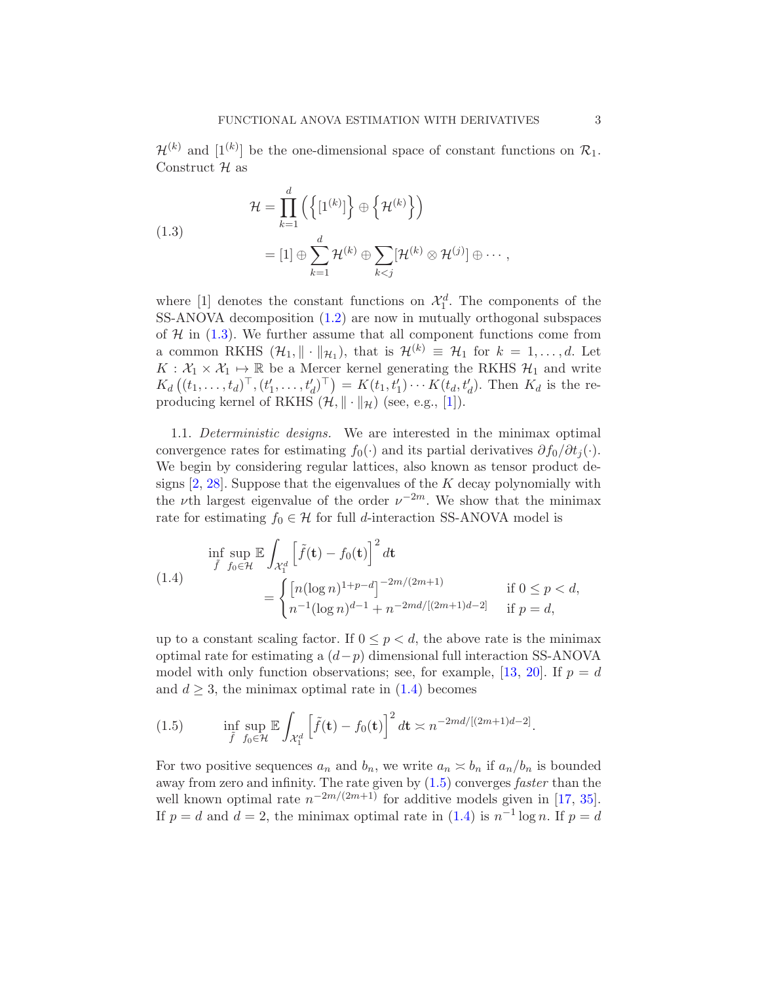$\mathcal{H}^{(k)}$  and  $[1^{(k)}]$  be the one-dimensional space of constant functions on  $\mathcal{R}_1$ . Construct H as

<span id="page-2-0"></span>(1.3)  
\n
$$
\mathcal{H} = \prod_{k=1}^{d} \left( \left\{ [1^{(k)}] \right\} \oplus \left\{ \mathcal{H}^{(k)} \right\} \right)
$$
\n
$$
= [1] \oplus \sum_{k=1}^{d} \mathcal{H}^{(k)} \oplus \sum_{k < j} [\mathcal{H}^{(k)} \otimes \mathcal{H}^{(j)}] \oplus \cdots,
$$

where [1] denotes the constant functions on  $\mathcal{X}_1^d$ . The components of the SS-ANOVA decomposition [\(1.2\)](#page-1-0) are now in mutually orthogonal subspaces of  $H$  in  $(1.3)$ . We further assume that all component functions come from a common RKHS  $(\mathcal{H}_1, \|\cdot\|_{\mathcal{H}_1})$ , that is  $\mathcal{H}^{(k)} \equiv \mathcal{H}_1$  for  $k = 1, \ldots, d$ . Let  $K: \mathcal{X}_1 \times \mathcal{X}_1 \mapsto \mathbb{R}$  be a Mercer kernel generating the RKHS  $\mathcal{H}_1$  and write  $K_d ((t_1, ..., t_d)^{\top}, (t'_1, ..., t'_d)^{\top}) = K(t_1, t'_1) \cdots K(t_d, t'_d)$ . Then  $K_d$  is the reproducing kernel of RKHS  $(\mathcal{H}, \|\cdot\|_{\mathcal{H}})$  (see, e.g., [\[1](#page-59-8)]).

1.1. Deterministic designs. We are interested in the minimax optimal convergence rates for estimating  $f_0(\cdot)$  and its partial derivatives  $\partial f_0/\partial t_i(\cdot)$ . We begin by considering regular lattices, also known as tensor product designs  $[2, 28]$  $[2, 28]$  $[2, 28]$ . Suppose that the eigenvalues of the K decay polynomially with the *ν*th largest eigenvalue of the order  $\nu^{-2m}$ . We show that the minimax rate for estimating  $f_0 \in \mathcal{H}$  for full d-interaction SS-ANOVA model is

<span id="page-2-1"></span>
$$
\inf_{\tilde{f}} \sup_{f_0 \in \mathcal{H}} \mathbb{E} \int_{\mathcal{X}_1^d} \left[ \tilde{f}(\mathbf{t}) - f_0(\mathbf{t}) \right]^2 d\mathbf{t}
$$
\n
$$
= \begin{cases}\n\left[ n(\log n)^{1+p-d} \right]^{-2m/(2m+1)} & \text{if } 0 \le p < d, \\
n^{-1}(\log n)^{d-1} + n^{-2md/[(2m+1)d-2]} & \text{if } p = d,\n\end{cases}
$$

up to a constant scaling factor. If  $0 \leq p < d$ , the above rate is the minimax optimal rate for estimating a  $(d-p)$  dimensional full interaction SS-ANOVA model with only function observations; see, for example, [\[13,](#page-59-6) [20](#page-60-10)]. If  $p = d$ and  $d \geq 3$ , the minimax optimal rate in  $(1.4)$  becomes

<span id="page-2-2"></span>(1.5) 
$$
\inf_{\tilde{f}} \sup_{f_0 \in \mathcal{H}} \mathbb{E} \int_{\mathcal{X}_1^d} \left[ \tilde{f}(\mathbf{t}) - f_0(\mathbf{t}) \right]^2 d\mathbf{t} \approx n^{-2md/[(2m+1)d-2]}.
$$

For two positive sequences  $a_n$  and  $b_n$ , we write  $a_n \nightharpoonup b_n$  if  $a_n/b_n$  is bounded away from zero and infinity. The rate given by  $(1.5)$  converges *faster* than the well known optimal rate  $n^{-2m/(2m+1)}$  for additive models given in [\[17](#page-60-11), [35](#page-60-13)]. If  $p = d$  and  $d = 2$ , the minimax optimal rate in [\(1.4\)](#page-2-1) is  $n^{-1} \log n$ . If  $p = d$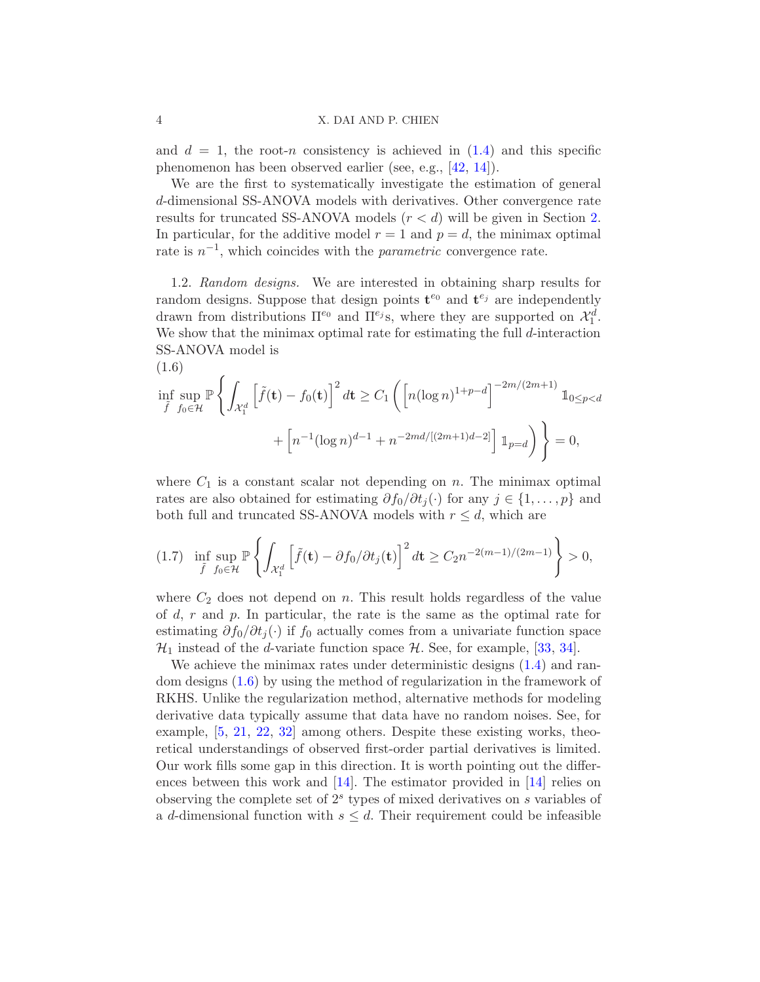and  $d = 1$ , the root-n consistency is achieved in  $(1.4)$  and this specific phenomenon has been observed earlier (see, e.g., [\[42,](#page-61-2) [14](#page-59-0)]).

We are the first to systematically investigate the estimation of general d-dimensional SS-ANOVA models with derivatives. Other convergence rate results for truncated SS-ANOVA models  $(r < d)$  will be given in Section [2.](#page-4-0) In particular, for the additive model  $r = 1$  and  $p = d$ , the minimax optimal rate is  $n^{-1}$ , which coincides with the *parametric* convergence rate.

1.2. Random designs. We are interested in obtaining sharp results for random designs. Suppose that design points  $\mathbf{t}^{e_0}$  and  $\mathbf{t}^{e_j}$  are independently drawn from distributions  $\Pi^{e_0}$  and  $\Pi^{e_j}$ s, where they are supported on  $\mathcal{X}_1^d$ . We show that the minimax optimal rate for estimating the full  $d$ -interaction SS-ANOVA model is

<span id="page-3-0"></span>
$$
\inf_{\tilde{f}} \sup_{f_0 \in \mathcal{H}} \mathbb{P} \left\{ \int_{\mathcal{X}_1^d} \left[ \tilde{f}(\mathbf{t}) - f_0(\mathbf{t}) \right]^2 d\mathbf{t} \ge C_1 \left( \left[ n (\log n)^{1+p-d} \right]^{-2m/(2m+1)} \mathbb{1}_{0 \le p < d} \right. \right. \\ \left. + \left[ n^{-1} (\log n)^{d-1} + n^{-2md/[(2m+1)d-2]} \right] \mathbb{1}_{p=d} \right) \right\} = 0,
$$

where  $C_1$  is a constant scalar not depending on n. The minimax optimal rates are also obtained for estimating  $\partial f_0/\partial t_i(\cdot)$  for any  $j \in \{1, \ldots, p\}$  and both full and truncated SS-ANOVA models with  $r \leq d$ , which are

<span id="page-3-1"></span>
$$
(1.7) \quad \inf_{\tilde{f}} \sup_{f_0 \in \mathcal{H}} \mathbb{P} \left\{ \int_{\mathcal{X}_1^d} \left[ \tilde{f}(\mathbf{t}) - \partial f_0 / \partial t_j(\mathbf{t}) \right]^2 d\mathbf{t} \ge C_2 n^{-2(m-1)/(2m-1)} \right\} > 0,
$$

where  $C_2$  does not depend on n. This result holds regardless of the value of  $d, r$  and  $p$ . In particular, the rate is the same as the optimal rate for estimating  $\partial f_0/\partial t_j(\cdot)$  if  $f_0$  actually comes from a univariate function space  $\mathcal{H}_1$  instead of the *d*-variate function space  $\mathcal{H}$ . See, for example, [\[33](#page-60-14), [34\]](#page-60-15).

We achieve the minimax rates under deterministic designs  $(1.4)$  and random designs [\(1.6\)](#page-3-0) by using the method of regularization in the framework of RKHS. Unlike the regularization method, alternative methods for modeling derivative data typically assume that data have no random noises. See, for example, [\[5,](#page-59-10) [21](#page-60-16), [22](#page-60-17), [32\]](#page-60-2) among others. Despite these existing works, theoretical understandings of observed first-order partial derivatives is limited. Our work fills some gap in this direction. It is worth pointing out the differences between this work and  $[14]$ . The estimator provided in  $[14]$  relies on observing the complete set of  $2<sup>s</sup>$  types of mixed derivatives on  $s$  variables of a d-dimensional function with  $s \leq d$ . Their requirement could be infeasible

(1.6)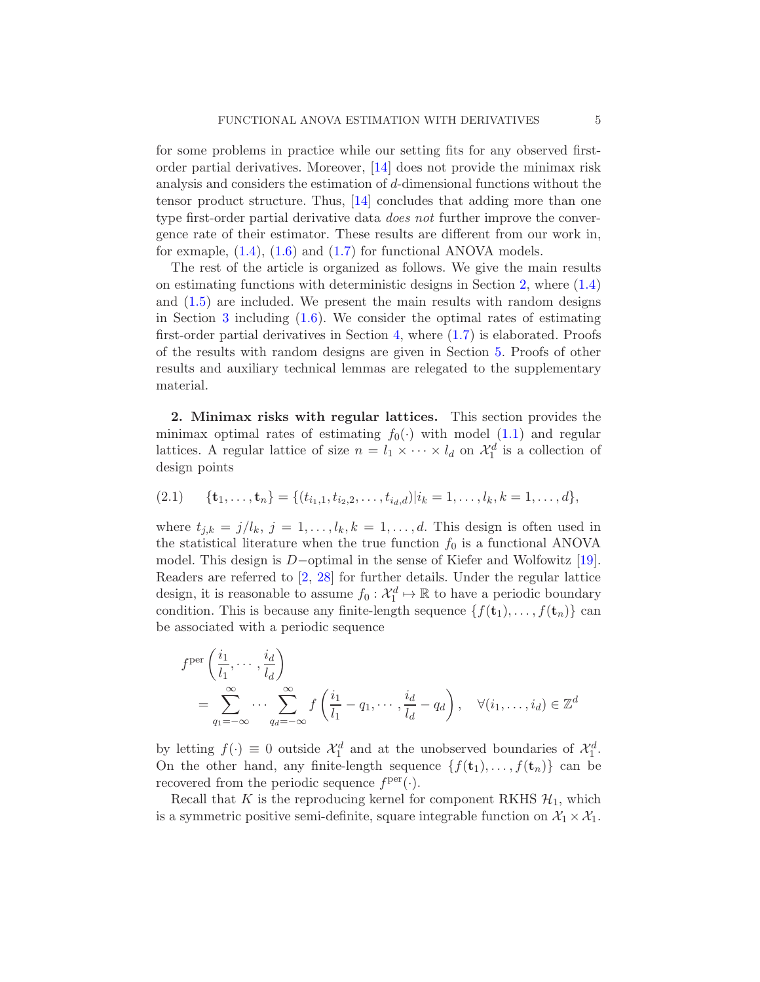for some problems in practice while our setting fits for any observed firstorder partial derivatives. Moreover, [\[14](#page-59-0)] does not provide the minimax risk analysis and considers the estimation of d-dimensional functions without the tensor product structure. Thus, [\[14](#page-59-0)] concludes that adding more than one type first-order partial derivative data *does not* further improve the convergence rate of their estimator. These results are different from our work in, for exmaple, [\(1.4\)](#page-2-1), [\(1.6\)](#page-3-0) and [\(1.7\)](#page-3-1) for functional ANOVA models.

The rest of the article is organized as follows. We give the main results on estimating functions with deterministic designs in Section [2,](#page-4-0) where [\(1.4\)](#page-2-1) and [\(1.5\)](#page-2-2) are included. We present the main results with random designs in Section [3](#page-7-0) including [\(1.6\)](#page-3-0). We consider the optimal rates of estimating first-order partial derivatives in Section [4,](#page-10-0) where [\(1.7\)](#page-3-1) is elaborated. Proofs of the results with random designs are given in Section [5.](#page-11-0) Proofs of other results and auxiliary technical lemmas are relegated to the supplementary material.

<span id="page-4-0"></span>2. Minimax risks with regular lattices. This section provides the minimax optimal rates of estimating  $f_0(\cdot)$  with model [\(1.1\)](#page-1-1) and regular lattices. A regular lattice of size  $n = l_1 \times \cdots \times l_d$  on  $\mathcal{X}_1^d$  is a collection of design points

<span id="page-4-1"></span>
$$
(2.1) \qquad \{\mathbf{t}_1, \ldots, \mathbf{t}_n\} = \{(t_{i_1,1}, t_{i_2,2}, \ldots, t_{i_d,d}) | i_k = 1, \ldots, l_k, k = 1, \ldots, d\},
$$

where  $t_{j,k} = j/l_k$ ,  $j = 1, \ldots, l_k, k = 1, \ldots, d$ . This design is often used in the statistical literature when the true function  $f_0$  is a functional ANOVA model. This design is D−optimal in the sense of Kiefer and Wolfowitz [\[19](#page-60-18)]. Readers are referred to [\[2,](#page-59-9) [28](#page-60-12)] for further details. Under the regular lattice design, it is reasonable to assume  $f_0: \mathcal{X}_1^d \mapsto \mathbb{R}$  to have a periodic boundary condition. This is because any finite-length sequence  $\{f(t_1), \ldots, f(t_n)\}\)$  can be associated with a periodic sequence

$$
f^{\text{per}}\left(\frac{i_1}{l_1}, \dots, \frac{i_d}{l_d}\right)
$$
  
= 
$$
\sum_{q_1=-\infty}^{\infty} \dots \sum_{q_d=-\infty}^{\infty} f\left(\frac{i_1}{l_1} - q_1, \dots, \frac{i_d}{l_d} - q_d\right), \quad \forall (i_1, \dots, i_d) \in \mathbb{Z}^d
$$

by letting  $f(\cdot) \equiv 0$  outside  $\mathcal{X}_1^d$  and at the unobserved boundaries of  $\mathcal{X}_1^d$ . On the other hand, any finite-length sequence  $\{f(\mathbf{t}_1), \ldots, f(\mathbf{t}_n)\}\)$  can be recovered from the periodic sequence  $f<sup>per</sup>(.)$ .

Recall that K is the reproducing kernel for component RKHS  $\mathcal{H}_1$ , which is a symmetric positive semi-definite, square integrable function on  $\mathcal{X}_1 \times \mathcal{X}_1$ .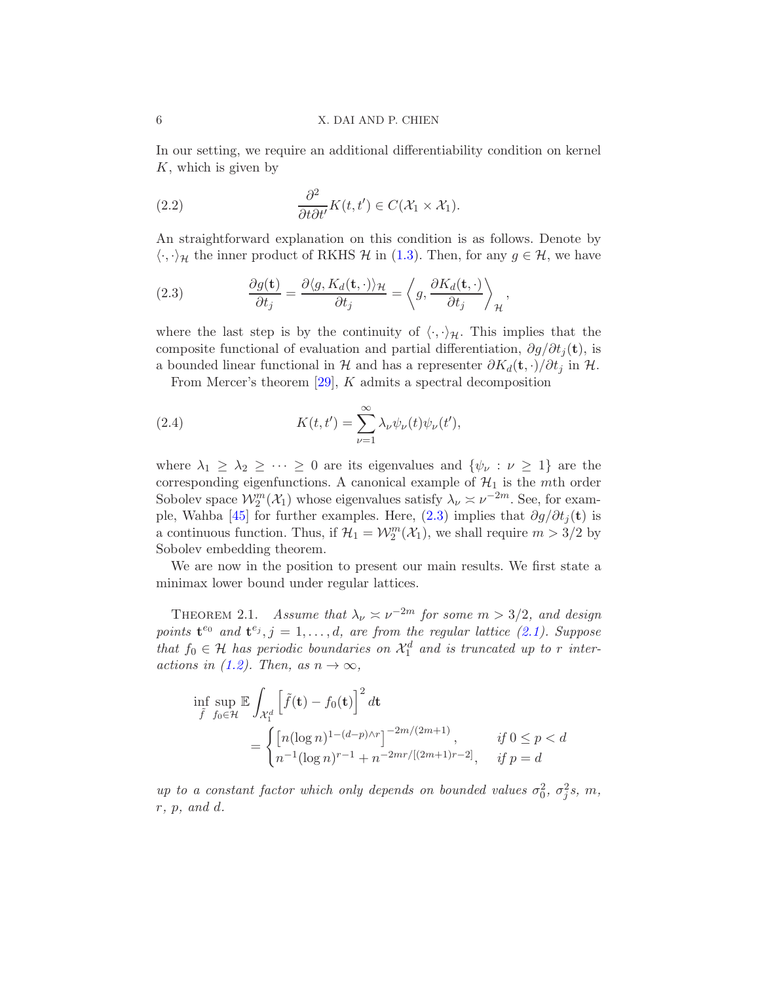In our setting, we require an additional differentiability condition on kernel  $K$ , which is given by

<span id="page-5-3"></span>(2.2) 
$$
\frac{\partial^2}{\partial t \partial t'} K(t, t') \in C(\mathcal{X}_1 \times \mathcal{X}_1).
$$

An straightforward explanation on this condition is as follows. Denote by  $\langle \cdot, \cdot \rangle_{\mathcal{H}}$  the inner product of RKHS  $\mathcal{H}$  in [\(1.3\)](#page-2-0). Then, for any  $g \in \mathcal{H}$ , we have

<span id="page-5-0"></span>(2.3) 
$$
\frac{\partial g(\mathbf{t})}{\partial t_j} = \frac{\partial \langle g, K_d(\mathbf{t}, \cdot) \rangle_{\mathcal{H}}}{\partial t_j} = \left\langle g, \frac{\partial K_d(\mathbf{t}, \cdot)}{\partial t_j} \right\rangle_{\mathcal{H}},
$$

where the last step is by the continuity of  $\langle \cdot, \cdot \rangle_{\mathcal{H}}$ . This implies that the composite functional of evaluation and partial differentiation,  $\partial g/\partial t_i(t)$ , is a bounded linear functional in H and has a representer  $\partial K_d(\mathbf{t},\cdot)/\partial t_j$  in H.

<span id="page-5-2"></span>From Mercer's theorem [\[29\]](#page-60-19), K admits a spectral decomposition

(2.4) 
$$
K(t,t') = \sum_{\nu=1}^{\infty} \lambda_{\nu} \psi_{\nu}(t) \psi_{\nu}(t'),
$$

where  $\lambda_1 \geq \lambda_2 \geq \cdots \geq 0$  are its eigenvalues and  $\{\psi_{\nu} : \nu \geq 1\}$  are the corresponding eigenfunctions. A canonical example of  $\mathcal{H}_1$  is the mth order Sobolev space  $\mathcal{W}_2^m(\mathcal{X}_1)$  whose eigenvalues satisfy  $\lambda_\nu \asymp \nu^{-2m}$ . See, for exam-ple, Wahba [\[45](#page-61-0)] for further examples. Here,  $(2.3)$  implies that  $\partial g/\partial t_i(t)$  is a continuous function. Thus, if  $\mathcal{H}_1 = \mathcal{W}_2^m(\mathcal{X}_1)$ , we shall require  $m > 3/2$  by Sobolev embedding theorem.

We are now in the position to present our main results. We first state a minimax lower bound under regular lattices.

<span id="page-5-1"></span>THEOREM 2.1. Assume that  $\lambda_{\nu} \approx \nu^{-2m}$  for some  $m > 3/2$ , and design points  $\mathbf{t}^{e_0}$  and  $\mathbf{t}^{e_j}, j = 1, \ldots, d$ , are from the regular lattice [\(2.1\)](#page-4-1). Suppose that  $f_0 \in \mathcal{H}$  has periodic boundaries on  $\mathcal{X}_1^d$  and is truncated up to r inter-actions in [\(1.2\)](#page-1-0). Then, as  $n \to \infty$ ,

$$
\inf_{\tilde{f}} \sup_{f_0 \in \mathcal{H}} \mathbb{E} \int_{\mathcal{X}_1^d} \left[ \tilde{f}(\mathbf{t}) - f_0(\mathbf{t}) \right]^2 d\mathbf{t} \n= \begin{cases} \left[ n(\log n)^{1 - (d - p) \wedge r} \right]^{-2m/(2m+1)}, & \text{if } 0 \le p < d \\ n^{-1}(\log n)^{r - 1} + n^{-2mr/[(2m+1)r - 2]}, & \text{if } p = d \end{cases}
$$

up to a constant factor which only depends on bounded values  $\sigma_0^2$ ,  $\sigma_j^2$ s, m, r, p, and d.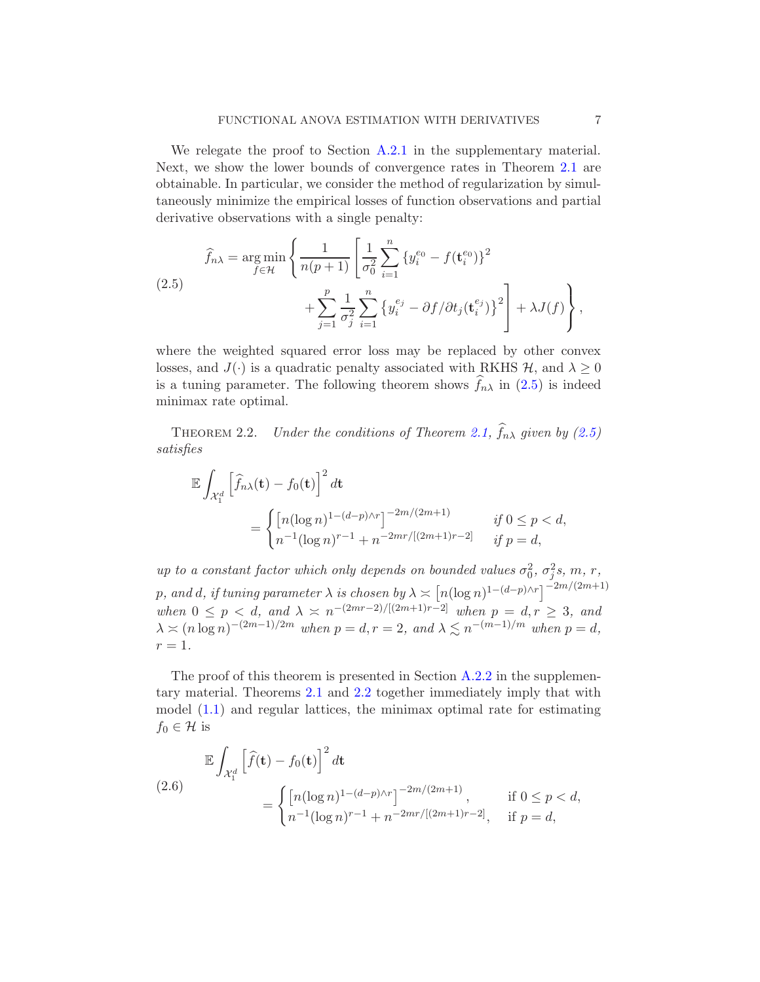We relegate the proof to Section [A.2.1](#page-29-0) in the supplementary material. Next, we show the lower bounds of convergence rates in Theorem [2.1](#page-5-1) are obtainable. In particular, we consider the method of regularization by simultaneously minimize the empirical losses of function observations and partial derivative observations with a single penalty:

<span id="page-6-0"></span>(2.5) 
$$
\hat{f}_{n\lambda} = \underset{f \in \mathcal{H}}{\arg \min} \left\{ \frac{1}{n(p+1)} \left[ \frac{1}{\sigma_0^2} \sum_{i=1}^n \{y_i^{e_0} - f(\mathbf{t}_i^{e_0})\}^2 + \sum_{j=1}^p \frac{1}{\sigma_j^2} \sum_{i=1}^n \{y_i^{e_j} - \partial f/\partial t_j(\mathbf{t}_i^{e_j})\}^2 \right] + \lambda J(f) \right\},
$$

where the weighted squared error loss may be replaced by other convex losses, and  $J(\cdot)$  is a quadratic penalty associated with RKHS  $H$ , and  $\lambda \geq 0$ is a tuning parameter. The following theorem shows  $f_{n\lambda}$  in [\(2.5\)](#page-6-0) is indeed minimax rate optimal.

<span id="page-6-1"></span>THEOREM 2.2. Under the conditions of Theorem [2.1,](#page-5-1)  $f_{n\lambda}$  given by [\(2.5\)](#page-6-0) satisfies

$$
\mathbb{E} \int_{\mathcal{X}_1^d} \left[ \hat{f}_{n\lambda}(\mathbf{t}) - f_0(\mathbf{t}) \right]^2 d\mathbf{t} \n= \begin{cases} \left[ n(\log n)^{1 - (d - p)\wedge r} \right]^{-2m/(2m+1)} & \text{if } 0 \le p < d, \\ n^{-1}(\log n)^{r-1} + n^{-2mr/[(2m+1)r-2]} & \text{if } p = d, \end{cases}
$$

up to a constant factor which only depends on bounded values  $\sigma_0^2$ ,  $\sigma_j^2$ s, m, r, p, and d, if tuning parameter  $\lambda$  is chosen by  $\lambda \asymp \left[ n(\log n)^{1-(d-p)\wedge r} \right]^{-2m/(2m+1)}$ when  $0 \leq p \leq d$ , and  $\lambda \geq n^{-(2mr-2)/[(2m+1)r-2]}$  when  $p = d, r \geq 3$ , and  $\lambda \asymp (n \log n)^{-(2m-1)/2m}$  when  $p = d, r = 2$ , and  $\lambda \lesssim n^{-(m-1)/m}$  when  $p = d$ ,  $r=1$ .

The proof of this theorem is presented in Section [A.2.2](#page-34-0) in the supplementary material. Theorems [2.1](#page-5-1) and [2.2](#page-6-1) together immediately imply that with model [\(1.1\)](#page-1-1) and regular lattices, the minimax optimal rate for estimating  $f_0 \in \mathcal{H}$  is

<span id="page-6-2"></span>
$$
\mathbb{E} \int_{\mathcal{X}_1^d} \left[ \hat{f}(\mathbf{t}) - f_0(\mathbf{t}) \right]^2 d\mathbf{t}
$$
\n
$$
= \begin{cases} \left[ n(\log n)^{1 - (d - p) \wedge r} \right]^{-2m/(2m + 1)}, & \text{if } 0 \le p < d, \\ n^{-1}(\log n)^{r - 1} + n^{-2mr/[(2m + 1)r - 2]}, & \text{if } p = d, \end{cases}
$$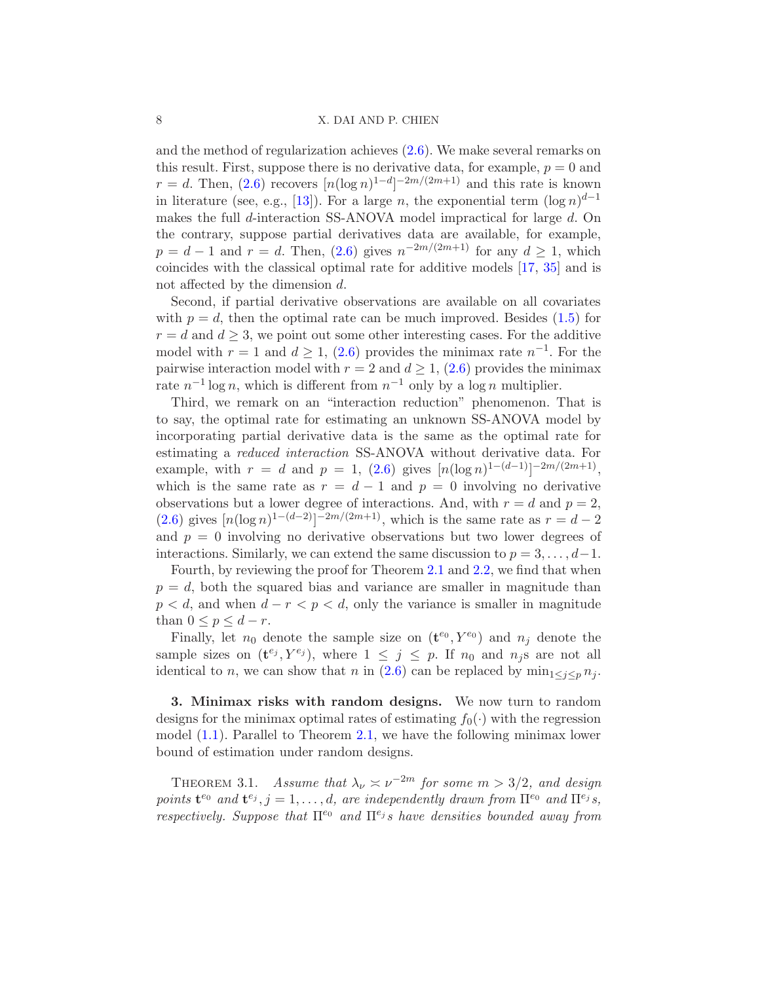#### 8 X. DAI AND P. CHIEN

and the method of regularization achieves [\(2.6\)](#page-6-2). We make several remarks on this result. First, suppose there is no derivative data, for example,  $p = 0$  and  $r = d$ . Then,  $(2.6)$  recovers  $\lbrack n(\log n)^{1-d}\rbrack^{-2m/(2m+1)}$  and this rate is known in literature (see, e.g., [\[13](#page-59-6)]). For a large n, the exponential term  $(\log n)^{d-1}$ makes the full d-interaction SS-ANOVA model impractical for large d. On the contrary, suppose partial derivatives data are available, for example,  $p = d - 1$  and  $r = d$ . Then, [\(2.6\)](#page-6-2) gives  $n^{-2m/(2m+1)}$  for any  $d \ge 1$ , which coincides with the classical optimal rate for additive models [\[17](#page-60-11), [35\]](#page-60-13) and is not affected by the dimension d.

Second, if partial derivative observations are available on all covariates with  $p = d$ , then the optimal rate can be much improved. Besides [\(1.5\)](#page-2-2) for  $r = d$  and  $d \geq 3$ , we point out some other interesting cases. For the additive model with  $r = 1$  and  $d \ge 1$ , [\(2.6\)](#page-6-2) provides the minimax rate  $n^{-1}$ . For the pairwise interaction model with  $r = 2$  and  $d \ge 1$ ,  $(2.6)$  provides the minimax rate  $n^{-1} \log n$ , which is different from  $n^{-1}$  only by a log n multiplier.

Third, we remark on an "interaction reduction" phenomenon. That is to say, the optimal rate for estimating an unknown SS-ANOVA model by incorporating partial derivative data is the same as the optimal rate for estimating a reduced interaction SS-ANOVA without derivative data. For example, with  $r = d$  and  $p = 1$ , [\(2.6\)](#page-6-2) gives  $[n(\log n)^{1-(d-1)}]^{-2m/(2m+1)}$ , which is the same rate as  $r = d - 1$  and  $p = 0$  involving no derivative observations but a lower degree of interactions. And, with  $r = d$  and  $p = 2$ ,  $(2.6)$  gives  $[n(\log n)^{1-(d-2)}]^{-2m/(2m+1)}$ , which is the same rate as  $r = d - 2$ and  $p = 0$  involving no derivative observations but two lower degrees of interactions. Similarly, we can extend the same discussion to  $p = 3, \ldots, d-1$ .

Fourth, by reviewing the proof for Theorem [2.1](#page-5-1) and [2.2,](#page-6-1) we find that when  $p = d$ , both the squared bias and variance are smaller in magnitude than  $p < d$ , and when  $d - r < p < d$ , only the variance is smaller in magnitude than  $0 \leq p \leq d-r$ .

Finally, let  $n_0$  denote the sample size on  $(\mathbf{t}^{e_0}, Y^{e_0})$  and  $n_j$  denote the sample sizes on  $(\mathbf{t}^{e_j}, Y^{e_j})$ , where  $1 \leq j \leq p$ . If  $n_0$  and  $n_j$ s are not all identical to n, we can show that n in [\(2.6\)](#page-6-2) can be replaced by  $\min_{1 \leq j \leq p} n_j$ .

<span id="page-7-0"></span>3. Minimax risks with random designs. We now turn to random designs for the minimax optimal rates of estimating  $f_0(\cdot)$  with the regression model [\(1.1\)](#page-1-1). Parallel to Theorem [2.1,](#page-5-1) we have the following minimax lower bound of estimation under random designs.

<span id="page-7-1"></span>THEOREM 3.1. Assume that  $\lambda_{\nu} \approx \nu^{-2m}$  for some  $m > 3/2$ , and design points  $\mathbf{t}^{e_0}$  and  $\mathbf{t}^{e_j}$ ,  $j = 1, \ldots, d$ , are independently drawn from  $\Pi^{e_0}$  and  $\Pi^{e_j}$ s, respectively. Suppose that  $\Pi^{e_0}$  and  $\Pi^{e_j}$  s have densities bounded away from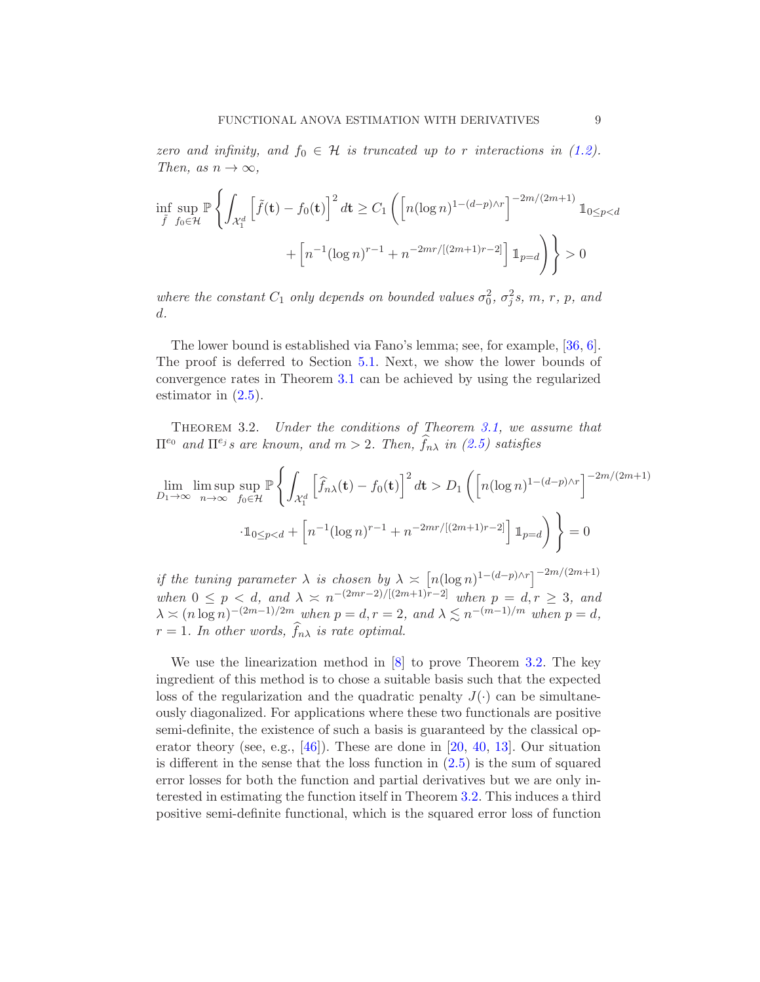zero and infinity, and  $f_0 \in \mathcal{H}$  is truncated up to r interactions in [\(1.2\)](#page-1-0). Then, as  $n \to \infty$ ,

$$
\inf_{\tilde{f}} \sup_{f_0 \in \mathcal{H}} \mathbb{P} \left\{ \int_{\mathcal{X}_1^d} \left[ \tilde{f}(\mathbf{t}) - f_0(\mathbf{t}) \right]^2 d\mathbf{t} \ge C_1 \left( \left[ n(\log n)^{1 - (d - p)\wedge r} \right]^{-2m/(2m+1)} \mathbb{1}_{0 \le p < d} \right. \right. \\ \left. + \left[ n^{-1}(\log n)^{r-1} + n^{-2mr/[(2m+1)r-2]} \right] \mathbb{1}_{p = d} \right) \right\} > 0
$$

where the constant  $C_1$  only depends on bounded values  $\sigma_0^2$ ,  $\sigma_j^2$ s, m, r, p, and d.

The lower bound is established via Fano's lemma; see, for example, [\[36](#page-60-20), [6](#page-59-11)]. The proof is deferred to Section [5.1.](#page-11-1) Next, we show the lower bounds of convergence rates in Theorem [3.1](#page-7-1) can be achieved by using the regularized estimator in [\(2.5\)](#page-6-0).

<span id="page-8-0"></span>Theorem 3.2. Under the conditions of Theorem [3.1,](#page-7-1) we assume that  $\Pi^{e_0}$  and  $\Pi^{e_j}$ s are known, and  $m > 2$ . Then,  $\widehat{f}_{n\lambda}$  in  $(2.5)$  satisfies

$$
\lim_{D_1 \to \infty} \limsup_{n \to \infty} \sup_{f_0 \in \mathcal{H}} \mathbb{P}\left\{ \int_{\mathcal{X}_1^d} \left[ \hat{f}_{n\lambda}(\mathbf{t}) - f_0(\mathbf{t}) \right]^2 d\mathbf{t} > D_1 \left( \left[ n(\log n)^{1 - (d - p)\wedge r} \right]^{-2m/(2m+1)} \right] \right\}
$$

$$
\cdot \mathbb{1}_{0 \le p < d} + \left[ n^{-1} (\log n)^{r-1} + n^{-2mr/[(2m+1)r-2]} \right] \mathbb{1}_{p=d} \right) \right\} = 0
$$

if the tuning parameter  $\lambda$  is chosen by  $\lambda \asymp [n(\log n)^{1-(d-p)\wedge r}]^{-2m/(2m+1)}$ when  $0 \leq p \leq d$ , and  $\lambda \geq n^{-(2mr-2)/[(2m+1)r-2]}$  when  $p = d, r \geq 3$ , and  $\lambda \asymp (n \log n)^{-(2m-1)/2m}$  when  $p = d, r = 2$ , and  $\lambda \lesssim n^{-(m-1)/m}$  when  $p = d$ ,  $r = 1$ . In other words,  $f_{n\lambda}$  is rate optimal.

We use the linearization method in [\[8\]](#page-59-12) to prove Theorem [3.2.](#page-8-0) The key ingredient of this method is to chose a suitable basis such that the expected loss of the regularization and the quadratic penalty  $J(\cdot)$  can be simultaneously diagonalized. For applications where these two functionals are positive semi-definite, the existence of such a basis is guaranteed by the classical operator theory (see, e.g., [\[46](#page-61-3)]). These are done in [\[20,](#page-60-10) [40,](#page-61-4) [13\]](#page-59-6). Our situation is different in the sense that the loss function in  $(2.5)$  is the sum of squared error losses for both the function and partial derivatives but we are only interested in estimating the function itself in Theorem [3.2.](#page-8-0) This induces a third positive semi-definite functional, which is the squared error loss of function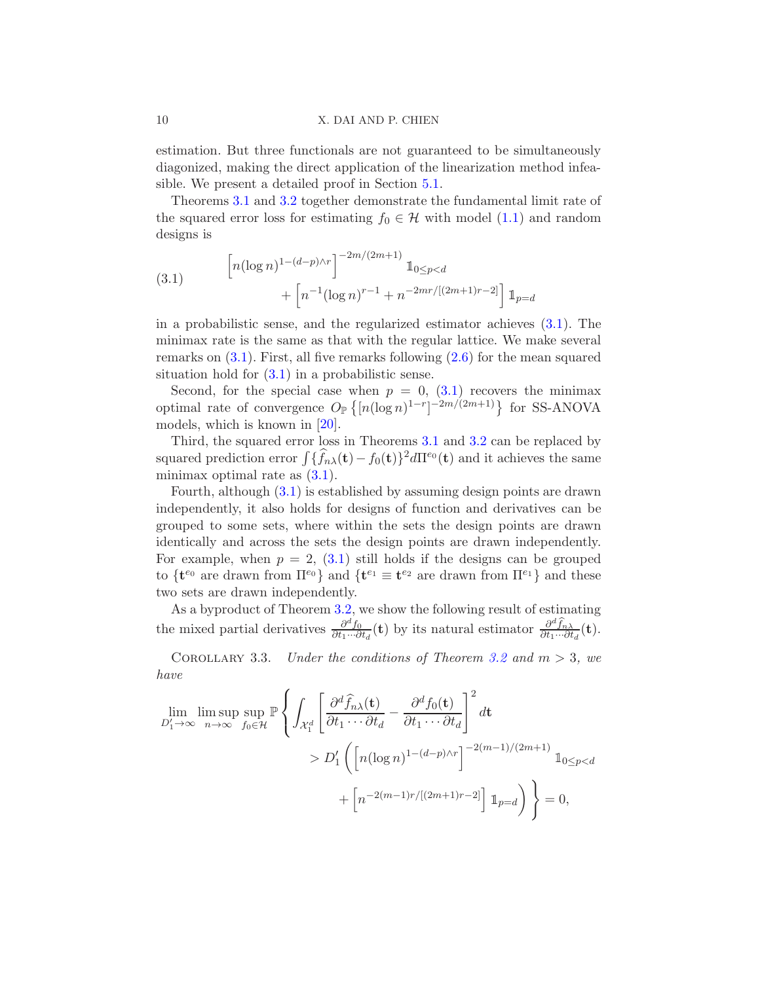estimation. But three functionals are not guaranteed to be simultaneously diagonized, making the direct application of the linearization method infeasible. We present a detailed proof in Section [5.1.](#page-11-1)

Theorems [3.1](#page-7-1) and [3.2](#page-8-0) together demonstrate the fundamental limit rate of the squared error loss for estimating  $f_0 \in \mathcal{H}$  with model  $(1.1)$  and random designs is

<span id="page-9-0"></span>(3.1) 
$$
\left[ n(\log n)^{1-(d-p)\wedge r} \right]^{-2m/(2m+1)} \mathbb{1}_{0 \le p < d} + \left[ n^{-1}(\log n)^{r-1} + n^{-2mr/[(2m+1)r-2]} \right] \mathbb{1}_{p=d}
$$

in a probabilistic sense, and the regularized estimator achieves [\(3.1\)](#page-9-0). The minimax rate is the same as that with the regular lattice. We make several remarks on [\(3.1\)](#page-9-0). First, all five remarks following [\(2.6\)](#page-6-2) for the mean squared situation hold for  $(3.1)$  in a probabilistic sense.

Second, for the special case when  $p = 0$ , [\(3.1\)](#page-9-0) recovers the minimax optimal rate of convergence  $O_{\mathbb{P}}\left\{ [n(\log n)^{1-r}]^{-2m/(2m+1)} \right\}$  for SS-ANOVA models, which is known in [\[20\]](#page-60-10).

Third, the squared error loss in Theorems [3.1](#page-7-1) and [3.2](#page-8-0) can be replaced by squared prediction error  $\int {\{\hat{f}_{n\lambda}(\mathbf{t}) - f_0(\mathbf{t})\}^2} d\Pi^{\epsilon_0}(\mathbf{t})$  and it achieves the same minimax optimal rate as  $(3.1)$ .

Fourth, although [\(3.1\)](#page-9-0) is established by assuming design points are drawn independently, it also holds for designs of function and derivatives can be grouped to some sets, where within the sets the design points are drawn identically and across the sets the design points are drawn independently. For example, when  $p = 2$ , [\(3.1\)](#page-9-0) still holds if the designs can be grouped to  $\{t^{e_0}$  are drawn from  $\Pi^{e_0}\}$  and  $\{t^{e_1} \equiv t^{e_2}$  are drawn from  $\Pi^{e_1}\}$  and these two sets are drawn independently.

As a byproduct of Theorem [3.2,](#page-8-0) we show the following result of estimating the mixed partial derivatives  $\frac{\partial^d f_0}{\partial t_1 \dots \partial t_n}$  $\frac{\partial^d f_0}{\partial t_1 \cdots \partial t_d}(\mathbf{t})$  by its natural estimator  $\frac{\partial^d \hat{f}_{n\lambda}}{\partial t_1 \cdots \partial t_d}(\mathbf{t})$ .

<span id="page-9-1"></span>COROLLARY 3.3. Under the conditions of Theorem [3.2](#page-8-0) and  $m > 3$ , we have

$$
\lim_{D'_1 \to \infty} \limsup_{n \to \infty} \sup_{f_0 \in \mathcal{H}} \mathbb{P} \left\{ \int_{\mathcal{X}_1^d} \left[ \frac{\partial^d \widehat{f}_{n\lambda}(\mathbf{t})}{\partial t_1 \cdots \partial t_d} - \frac{\partial^d f_0(\mathbf{t})}{\partial t_1 \cdots \partial t_d} \right]^2 d\mathbf{t} \right\}
$$
\n
$$
> D'_1 \left( \left[ n (\log n)^{1 - (d - p) \wedge r} \right]^{-2(m - 1)/(2m + 1)} \mathbb{1}_{0 \le p < d} + \left[ n^{-2(m - 1)r / [(2m + 1)r - 2]} \right] \mathbb{1}_{p = d} \right) \right\} = 0,
$$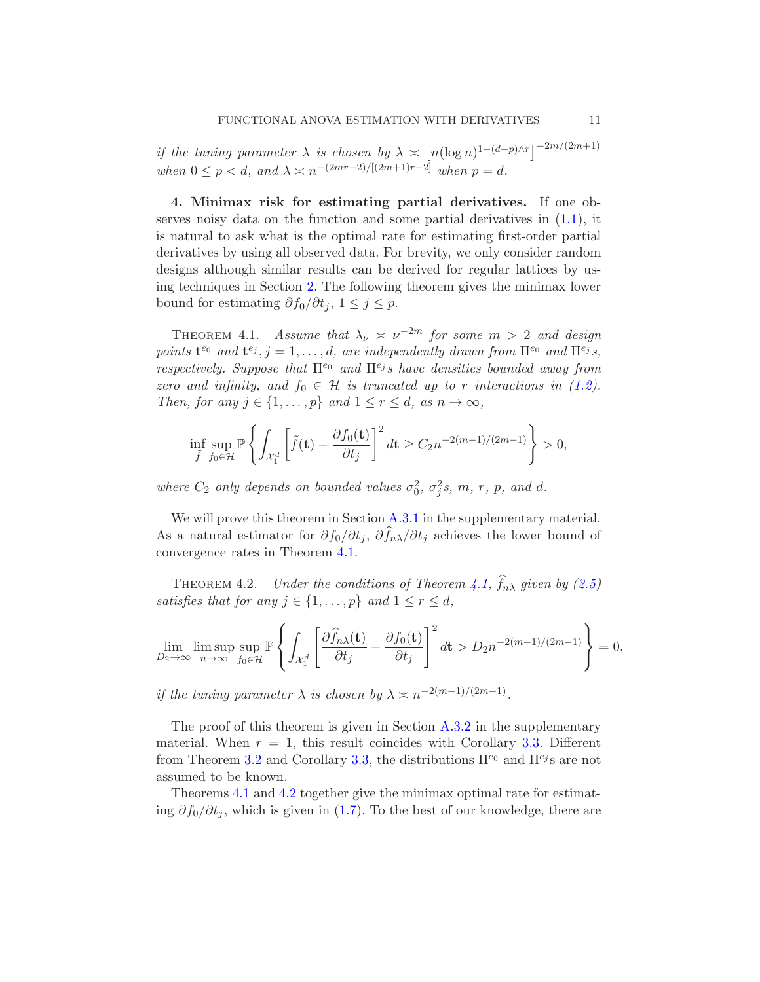if the tuning parameter  $\lambda$  is chosen by  $\lambda \asymp \left[ n(\log n)^{1-(d-p)\wedge r} \right]^{-2m/(2m+1)}$ when  $0 \le p < d$ , and  $\lambda \asymp n^{-(2mr-2)/[(2m+1)r-2]}$  when  $p = d$ .

<span id="page-10-0"></span>4. Minimax risk for estimating partial derivatives. If one observes noisy data on the function and some partial derivatives in  $(1.1)$ , it is natural to ask what is the optimal rate for estimating first-order partial derivatives by using all observed data. For brevity, we only consider random designs although similar results can be derived for regular lattices by using techniques in Section [2.](#page-4-0) The following theorem gives the minimax lower bound for estimating  $\partial f_0/\partial t_j$ ,  $1 \leq j \leq p$ .

<span id="page-10-1"></span>THEOREM 4.1. Assume that  $\lambda_{\nu} \approx \nu^{-2m}$  for some  $m > 2$  and design points  $\mathbf{t}^{e_0}$  and  $\mathbf{t}^{e_j}$ ,  $j = 1, \ldots, d$ , are independently drawn from  $\Pi^{e_0}$  and  $\Pi^{e_j}$ s, respectively. Suppose that  $\Pi^{e_0}$  and  $\Pi^{e_j}$  s have densities bounded away from zero and infinity, and  $f_0 \in \mathcal{H}$  is truncated up to r interactions in [\(1.2\)](#page-1-0). Then, for any  $j \in \{1, \ldots, p\}$  and  $1 \leq r \leq d$ , as  $n \to \infty$ ,

$$
\inf_{\tilde{f}} \sup_{f_0 \in \mathcal{H}} \mathbb{P} \left\{ \int_{\mathcal{X}_1^d} \left[ \tilde{f}(\mathbf{t}) - \frac{\partial f_0(\mathbf{t})}{\partial t_j} \right]^2 d\mathbf{t} \ge C_2 n^{-2(m-1)/(2m-1)} \right\} > 0,
$$

where  $C_2$  only depends on bounded values  $\sigma_0^2$ ,  $\sigma_j^2 s$ , m, r, p, and d.

We will prove this theorem in Section [A.3.1](#page-36-0) in the supplementary material. As a natural estimator for  $\partial f_0/\partial t_j$ ,  $\partial f_{n\lambda}/\partial t_j$  achieves the lower bound of convergence rates in Theorem [4.1.](#page-10-1)

<span id="page-10-2"></span>THEOREM 4.2. Under the conditions of Theorem [4.1,](#page-10-1)  $f_{n\lambda}$  given by [\(2.5\)](#page-6-0) satisfies that for any  $j \in \{1, \ldots, p\}$  and  $1 \leq r \leq d$ ,

$$
\lim_{D_2 \to \infty} \limsup_{n \to \infty} \sup_{f_0 \in \mathcal{H}} \mathbb{P} \left\{ \int_{\mathcal{X}_1^d} \left[ \frac{\partial \widehat{f}_{n\lambda}(\mathbf{t})}{\partial t_j} - \frac{\partial f_0(\mathbf{t})}{\partial t_j} \right]^2 d\mathbf{t} > D_2 n^{-2(m-1)/(2m-1)} \right\} = 0,
$$

if the tuning parameter  $\lambda$  is chosen by  $\lambda \asymp n^{-2(m-1)/(2m-1)}$ .

The proof of this theorem is given in Section  $A.3.2$  in the supplementary material. When  $r = 1$ , this result coincides with Corollary [3.3.](#page-9-1) Different from Theorem [3.2](#page-8-0) and Corollary [3.3,](#page-9-1) the distributions  $\Pi^{e_0}$  and  $\Pi^{e_j}$  s are not assumed to be known.

Theorems [4.1](#page-10-1) and [4.2](#page-10-2) together give the minimax optimal rate for estimating  $\partial f_0/\partial t_j$ , which is given in [\(1.7\)](#page-3-1). To the best of our knowledge, there are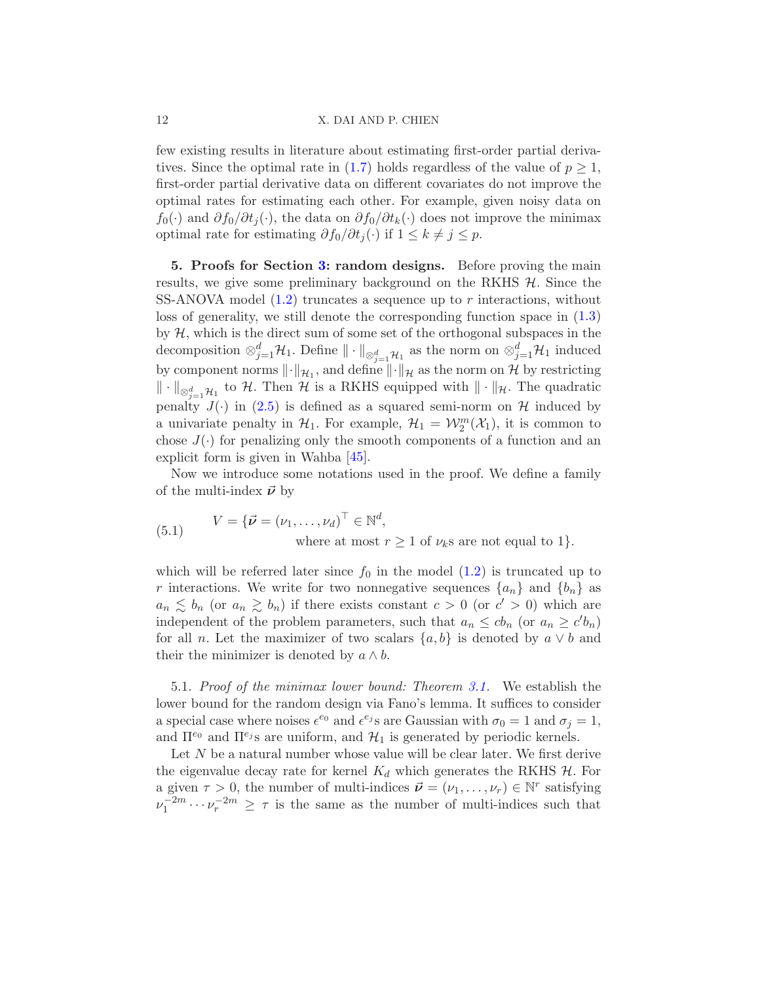#### 12 X. DAI AND P. CHIEN

few existing results in literature about estimating first-order partial deriva-tives. Since the optimal rate in [\(1.7\)](#page-3-1) holds regardless of the value of  $p \geq 1$ , first-order partial derivative data on different covariates do not improve the optimal rates for estimating each other. For example, given noisy data on  $f_0(\cdot)$  and  $\partial f_0/\partial t_i(\cdot)$ , the data on  $\partial f_0/\partial t_k(\cdot)$  does not improve the minimax optimal rate for estimating  $\partial f_0/\partial t_i(\cdot)$  if  $1 \leq k \neq j \leq p$ .

<span id="page-11-0"></span>5. Proofs for Section [3:](#page-7-0) random designs. Before proving the main results, we give some preliminary background on the RKHS  $H$ . Since the SS-ANOVA model  $(1.2)$  truncates a sequence up to r interactions, without loss of generality, we still denote the corresponding function space in [\(1.3\)](#page-2-0) by  $H$ , which is the direct sum of some set of the orthogonal subspaces in the decomposition  $\otimes_{j=1}^d \mathcal{H}_1$ . Define  $\|\cdot\|_{\otimes_{j=1}^d \mathcal{H}_1}$  as the norm on  $\otimes_{j=1}^d \mathcal{H}_1$  induced by component norms  $\lVert \cdot \rVert_{\mathcal{H}_1}$ , and define  $\lVert \cdot \rVert_{\mathcal{H}}$  as the norm on H by restricting  $\|\cdot\|_{\otimes_{j=1}^d\mathcal{H}_1}$  to H. Then H is a RKHS equipped with  $\|\cdot\|_{\mathcal{H}}$ . The quadratic penalty  $J(\cdot)$  in [\(2.5\)](#page-6-0) is defined as a squared semi-norm on H induced by a univariate penalty in  $\mathcal{H}_1$ . For example,  $\mathcal{H}_1 = \mathcal{W}_2^m(\mathcal{X}_1)$ , it is common to chose  $J(\cdot)$  for penalizing only the smooth components of a function and an explicit form is given in Wahba [\[45\]](#page-61-0).

Now we introduce some notations used in the proof. We define a family of the multi-index  $\vec{\nu}$  by

<span id="page-11-2"></span>(5.1) 
$$
V = {\vec{\nu} = (\nu_1, ..., \nu_d)^\top \in \mathbb{N}^d, \text{where at most } r \ge 1 \text{ of } \nu_k \text{s are not equal to 1}}.
$$

which will be referred later since  $f_0$  in the model  $(1.2)$  is truncated up to r interactions. We write for two nonnegative sequences  $\{a_n\}$  and  $\{b_n\}$  as  $a_n \lesssim b_n$  (or  $a_n \gtrsim b_n$ ) if there exists constant  $c > 0$  (or  $c' > 0$ ) which are independent of the problem parameters, such that  $a_n \leq cb_n$  (or  $a_n \geq c'b_n$ ) for all *n*. Let the maximizer of two scalars  $\{a, b\}$  is denoted by  $a \vee b$  and their the minimizer is denoted by  $a \wedge b$ .

<span id="page-11-1"></span>5.1. Proof of the minimax lower bound: Theorem [3.1.](#page-7-1) We establish the lower bound for the random design via Fano's lemma. It suffices to consider a special case where noises  $\epsilon^{e_0}$  and  $\epsilon^{e_j}$ s are Gaussian with  $\sigma_0 = 1$  and  $\sigma_j = 1$ , and  $\Pi^{e_0}$  and  $\Pi^{e_j}$ s are uniform, and  $\mathcal{H}_1$  is generated by periodic kernels.

Let N be a natural number whose value will be clear later. We first derive the eigenvalue decay rate for kernel  $K_d$  which generates the RKHS  $H$ . For a given  $\tau > 0$ , the number of multi-indices  $\vec{\nu} = (\nu_1, \dots, \nu_r) \in \mathbb{N}^r$  satisfying  $\nu_1^{-2m} \cdots \nu_r^{-2m} \geq \tau$  is the same as the number of multi-indices such that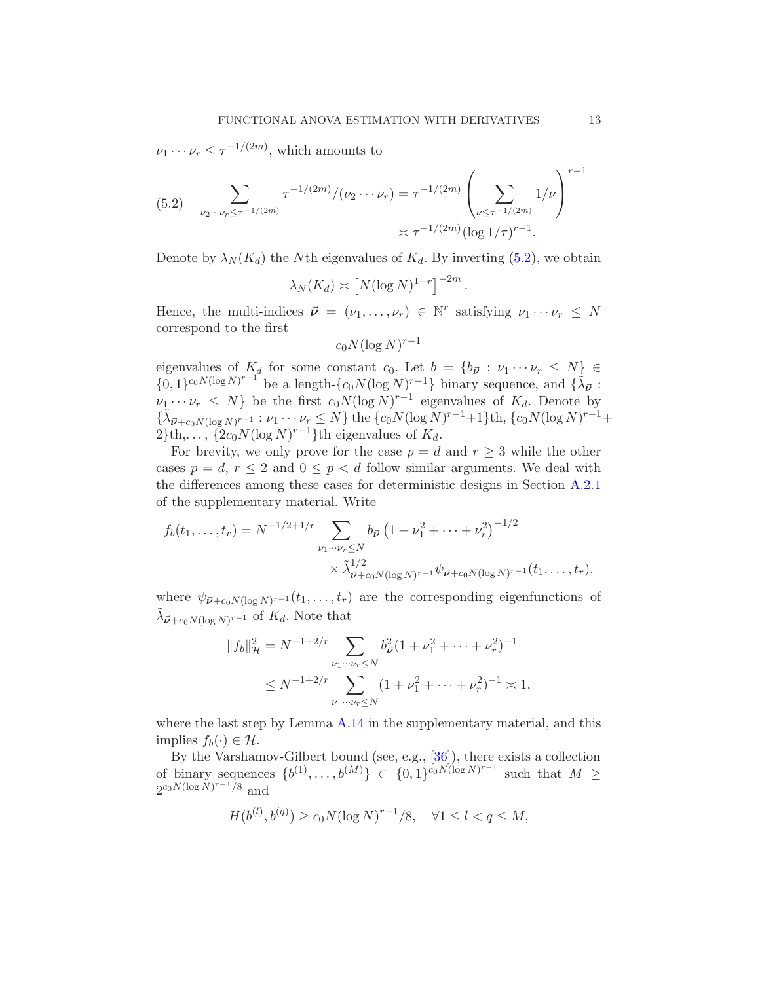$\nu_1 \cdots \nu_r \leq \tau^{-1/(2m)}$ , which amounts to

<span id="page-12-0"></span>
$$
(5.2) \quad \sum_{\nu_2 \cdots \nu_r \le \tau^{-1/(2m)}} \tau^{-1/(2m)}/(\nu_2 \cdots \nu_r) = \tau^{-1/(2m)} \left(\sum_{\nu \le \tau^{-1/(2m)}} 1/\nu\right)^{r-1} \approx \tau^{-1/(2m)} (\log 1/\tau)^{r-1}.
$$

Denote by  $\lambda_N(K_d)$  the Nth eigenvalues of  $K_d$ . By inverting [\(5.2\)](#page-12-0), we obtain

$$
\lambda_N(K_d) \asymp \left[ N (\log N)^{1-r} \right]^{-2m}.
$$

Hence, the multi-indices  $\vec{\nu} = (\nu_1, \dots, \nu_r) \in \mathbb{N}^r$  satisfying  $\nu_1 \cdots \nu_r \leq N$ correspond to the first

$$
c_0 N (\log N)^{r-1}
$$

eigenvalues of  $K_d$  for some constant  $c_0$ . Let  $b = \{b_{\vec{v}} : v_1 \cdots v_r \leq N\}$  $\{0,1\}^{c_0N(\log N)^{r-1}}$  be a length- $\{c_0N(\log N)^{r-1}\}$  binary sequence, and  $\{\tilde{\lambda}_{\vec{\nu}}\}$ :  $\nu_1 \cdots \nu_r \leq N$  be the first  $c_0 N (\log N)^{r-1}$  eigenvalues of  $K_d$ . Denote by  $\{\tilde{\lambda}_{\vec{\nu}+c_0N(\log N)^{r-1}} : \nu_1\cdots\nu_r\leq N\}$  the  $\{c_0N(\log N)^{r-1}+1\}$ th,  $\{c_0N(\log N)^{r-1}+1\}$  $2\}$ th,...,  $\{2c_0N(\log N)^{r-1}\}$ th eigenvalues of  $K_d$ .

For brevity, we only prove for the case  $p = d$  and  $r \geq 3$  while the other cases  $p = d, r \leq 2$  and  $0 \leq p < d$  follow similar arguments. We deal with the differences among these cases for deterministic designs in Section [A.2.1](#page-29-0) of the supplementary material. Write

$$
f_b(t_1,\ldots,t_r) = N^{-1/2+1/r} \sum_{\nu_1\cdots\nu_r \le N} b_{\vec{\nu}} \left(1 + \nu_1^2 + \cdots + \nu_r^2\right)^{-1/2}
$$
  
 
$$
\times \tilde{\lambda}_{\vec{\nu}+c_0 N(\log N)^{r-1}}^{1/2} \psi_{\vec{\nu}+c_0 N(\log N)^{r-1}}(t_1,\ldots,t_r),
$$

where  $\psi_{\vec{\boldsymbol{\nu}}+c_0N(\log N)^{r-1}}(t_1,\ldots,t_r)$  are the corresponding eigenfunctions of  $\tilde{\lambda}_{\vec{\nu}+c_0N(\log N)^{r-1}}$  of  $K_d$ . Note that

$$
||f_b||_{\mathcal{H}}^2 = N^{-1+2/r} \sum_{\nu_1 \cdots \nu_r \le N} b_{\vec{\nu}}^2 (1 + \nu_1^2 + \cdots + \nu_r^2)^{-1}
$$
  
 
$$
\le N^{-1+2/r} \sum_{\nu_1 \cdots \nu_r \le N} (1 + \nu_1^2 + \cdots + \nu_r^2)^{-1} \asymp 1,
$$

where the last step by Lemma  $A.14$  in the supplementary material, and this implies  $f_b(\cdot) \in \mathcal{H}$ .

By the Varshamov-Gilbert bound (see, e.g., [\[36](#page-60-20)]), there exists a collection of binary sequences  $\{b^{(1)}, \ldots, b^{(M)}\} \subset \{0,1\}^{c_0 N(\log N)^{r-1}}$  such that  $M \geq$  $2^{c_0 N (\log N)^{r-1}/8}$  and

$$
H(b^{(l)}, b^{(q)}) \ge c_0 N (\log N)^{r-1} / 8, \quad \forall 1 \le l < q \le M,
$$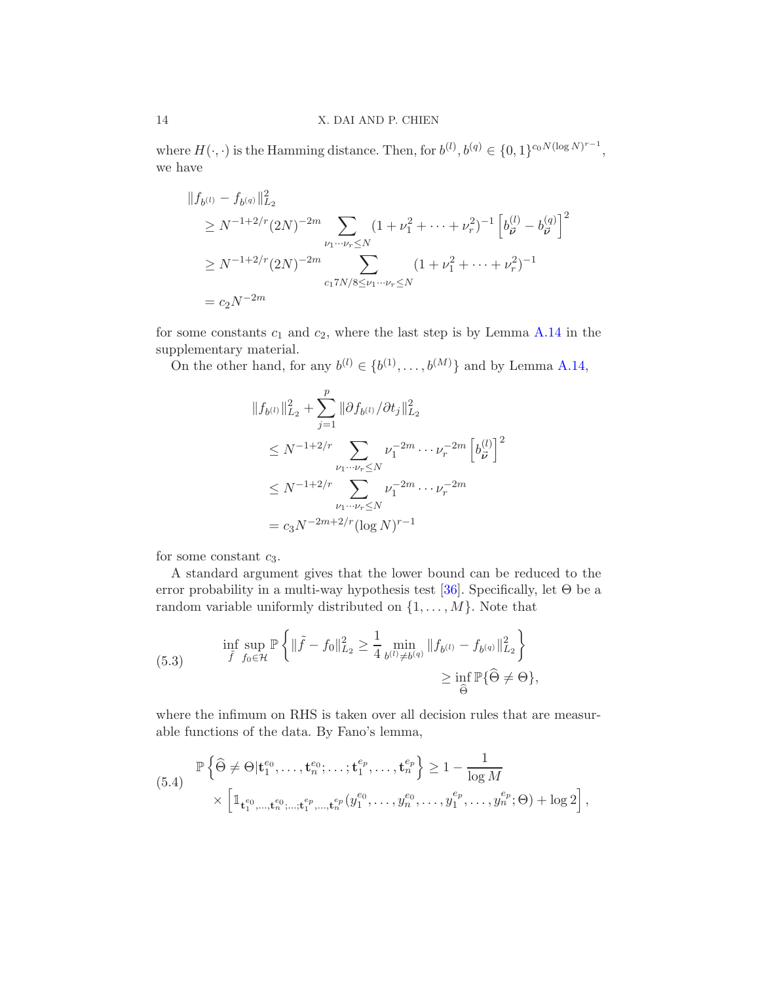where  $H(\cdot, \cdot)$  is the Hamming distance. Then, for  $b^{(l)}, b^{(q)} \in \{0, 1\}^{c_0 N (\log N)^{r-1}},$ we have

$$
||f_{b^{(l)}} - f_{b^{(q)}}||_{L_2}^2
$$
  
\n
$$
\geq N^{-1+2/r} (2N)^{-2m} \sum_{\nu_1 \cdots \nu_r \leq N} (1 + \nu_1^2 + \cdots + \nu_r^2)^{-1} \left[ b_{\vec{\nu}}^{(l)} - b_{\vec{\nu}}^{(q)} \right]^2
$$
  
\n
$$
\geq N^{-1+2/r} (2N)^{-2m} \sum_{c_1 7N/8 \leq \nu_1 \cdots \nu_r \leq N} (1 + \nu_1^2 + \cdots + \nu_r^2)^{-1}
$$
  
\n
$$
= c_2 N^{-2m}
$$

for some constants  $c_1$  and  $c_2$ , where the last step is by Lemma [A.14](#page-55-0) in the supplementary material.

On the other hand, for any  $b^{(l)} \in \{b^{(1)}, \ldots, b^{(M)}\}$  and by Lemma [A.14,](#page-55-0)

$$
||f_{b^{(l)}}||_{L_2}^2 + \sum_{j=1}^p ||\partial f_{b^{(l)}}/\partial t_j||_{L_2}^2
$$
  
\n
$$
\leq N^{-1+2/r} \sum_{\substack{\nu_1 \cdots \nu_r \leq N}} \nu_1^{-2m} \cdots \nu_r^{-2m} \left[b_{\vec{\nu}}^{(l)}\right]^2
$$
  
\n
$$
\leq N^{-1+2/r} \sum_{\substack{\nu_1 \cdots \nu_r \leq N}} \nu_1^{-2m} \cdots \nu_r^{-2m}
$$
  
\n
$$
= c_3 N^{-2m+2/r} (\log N)^{r-1}
$$

for some constant  $c_3$ .

A standard argument gives that the lower bound can be reduced to the error probability in a multi-way hypothesis test [\[36](#page-60-20)]. Specifically, let  $\Theta$  be a random variable uniformly distributed on  $\{1, \ldots, M\}$ . Note that

<span id="page-13-1"></span>(5.3) 
$$
\inf_{\tilde{f}} \sup_{f_0 \in \mathcal{H}} \mathbb{P} \left\{ \| \tilde{f} - f_0 \|_{L_2}^2 \ge \frac{1}{4} \min_{b^{(l)} \ne b^{(q)}} \| f_{b^{(l)}} - f_{b^{(q)}} \|_{L_2}^2 \right\} \\ \ge \inf_{\hat{\Theta}} \mathbb{P} \{ \hat{\Theta} \ne \Theta \},
$$

where the infimum on RHS is taken over all decision rules that are measurable functions of the data. By Fano's lemma,

<span id="page-13-0"></span>
$$
(5.4) \quad \mathbb{P}\left\{\widehat{\Theta} \neq \Theta|\mathbf{t}_{1}^{e_{0}},\ldots,\mathbf{t}_{n}^{e_{0}};\ldots;\mathbf{t}_{1}^{e_{p}},\ldots,\mathbf{t}_{n}^{e_{p}}\right\} \geq 1 - \frac{1}{\log M} \times \left[\mathbb{1}_{\mathbf{t}_{1}^{e_{0}},\ldots,\mathbf{t}_{n}^{e_{0}};\ldots;\mathbf{t}_{1}^{e_{p}},\ldots,\mathbf{t}_{n}^{e_{n}}}(y_{1}^{e_{0}},\ldots,y_{n}^{e_{0}},\ldots,y_{1}^{e_{p}},\ldots,y_{n}^{e_{p}};\Theta) + \log 2\right],
$$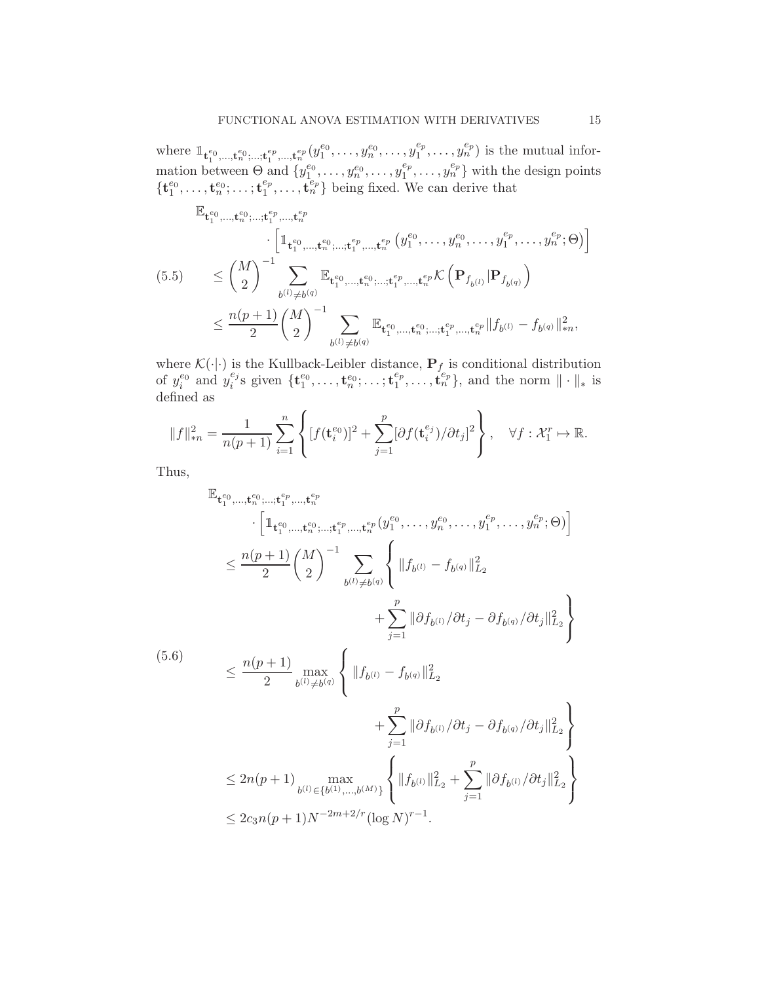where  $\mathbb{1}_{\mathbf{t}_{1}^{e_{0}},\ldots,\mathbf{t}_{n}^{e_{0}};\ldots,\mathbf{t}_{1}^{e_{p}},\ldots,\mathbf{t}_{n}^{e_{p}}}(y_{1}^{e_{0}},\ldots,y_{n}^{e_{0}},\ldots,y_{1}^{e_{p}})$  $\binom{e_p}{1}, \ldots, \binom{e_p}{n}$  is the mutual information between  $\Theta$  and  $\{y_1^{e_0}, \ldots, y_n^{e_0}, \ldots, y_1^{e_p}\}$  $\binom{e_p}{1}, \ldots, \binom{e_p}{n}$  with the design points  $\{{\bf t}^{e_0}_1,\ldots,{\bf t}^{e_0}_n;\ldots; {\bf t}^{e_p}_1$  $\{e_p, \ldots, \mathbf{t}_n^{e_p}\}$  being fixed. We can derive that

<span id="page-14-0"></span>
$$
\mathbb{E}_{\mathbf{t}_{1}^{e_{0}},\ldots,\mathbf{t}_{n}^{e_{0}};\ldots,\mathbf{t}_{n}^{e_{p}},\ldots,\mathbf{t}_{n}^{e_{p}}}\cdot\left[\mathbb{1}_{\mathbf{t}_{1}^{e_{0}},\ldots,\mathbf{t}_{n}^{e_{0}};\ldots,\mathbf{t}_{1}^{e_{p}},\ldots,\mathbf{t}_{n}^{e_{p}}}(y_{1}^{e_{0}},\ldots,y_{n}^{e_{0}},\ldots,y_{1}^{e_{p}},\ldots,y_{n}^{e_{p}};\Theta)\right]
$$
\n
$$
\leq \binom{M}{2}^{-1} \sum_{b^{(l)}\neq b^{(q)}} \mathbb{E}_{\mathbf{t}_{1}^{e_{0}},\ldots,\mathbf{t}_{n}^{e_{0}};\ldots,\mathbf{t}_{1}^{e_{p}},\ldots,\mathbf{t}_{n}^{e_{p}}}\mathcal{K}\left(\mathbf{P}_{f_{b^{(l)}}}|\mathbf{P}_{f_{b^{(q)}}}\right)
$$
\n
$$
\leq \frac{n(p+1)}{2} \binom{M}{2}^{-1} \sum_{b^{(l)}\neq b^{(q)}} \mathbb{E}_{\mathbf{t}_{1}^{e_{0}},\ldots,\mathbf{t}_{n}^{e_{0}};\ldots,\mathbf{t}_{1}^{e_{p}},\ldots,\mathbf{t}_{n}^{e_{p}} \|f_{b^{(l)}} - f_{b^{(q)}}\|_{*n}^{2},
$$

where  $\mathcal{K}(\cdot|\cdot)$  is the Kullback-Leibler distance,  $\mathbf{P}_{f}$  is conditional distribution of  $y_i^{e_0}$  and  $y_i^{e_j}$  ${}_{i}^{e_{j}}$ s given  $\{\mathbf{t}_{1}^{e_{0}}, \ldots, \mathbf{t}_{n}^{e_{0}}; \ldots; \mathbf{t}_{1}^{e_{p}}\}$  $\{\mathbf{t}_p^{e_p}, \ldots, \mathbf{t}_n^{e_p}\},$  and the norm  $\|\cdot\|_*$  is defined as

$$
||f||_{*n}^{2} = \frac{1}{n(p+1)} \sum_{i=1}^{n} \left\{ [f(\mathbf{t}_{i}^{e_0})]^{2} + \sum_{j=1}^{p} [\partial f(\mathbf{t}_{i}^{e_j})/\partial t_{j}]^{2} \right\}, \quad \forall f : \mathcal{X}_{1}^{r} \mapsto \mathbb{R}.
$$

Thus,

<span id="page-14-1"></span>
$$
\mathbb{E}_{\mathbf{t}_{1}^{e_{0},..., \mathbf{t}_{n}^{e_{0}};...; \mathbf{t}_{1}^{e_{p}},..., \mathbf{t}_{n}^{e_{p}}}} \cdot \left[ \mathbb{1}_{\mathbf{t}_{1}^{e_{0},..., \mathbf{t}_{n}^{e_{0}};...; \mathbf{t}_{1}^{e_{p}},..., \mathbf{t}_{n}^{e_{p}}}(y_{1}^{e_{0}},..., y_{n}^{e_{0}},..., y_{1}^{e_{p}},..., y_{n}^{e_{p}};\Theta) \right] \leq \frac{n(p+1)}{2} {n \choose 2}^{-1} \sum_{b^{(l)} \neq b^{(q)}} \left\{ \|f_{b^{(l)}} - f_{b^{(q)}}\|_{L_{2}}^{2} + \sum_{j=1}^{p} \|\partial f_{b^{(l)}}/\partial t_{j} - \partial f_{b^{(q)}}/\partial t_{j}\|_{L_{2}}^{2} \right\}
$$
\n(5.6)  
\n
$$
\leq \frac{n(p+1)}{2} \max_{b^{(l)} \neq b^{(q)}} \left\{ \|f_{b^{(l)}} - f_{b^{(q)}}\|_{L_{2}}^{2} + \sum_{j=1}^{p} \|\partial f_{b^{(l)}}/\partial t_{j} - \partial f_{b^{(q)}}/\partial t_{j}\|_{L_{2}}^{2} \right\}
$$
\n
$$
\leq 2n(p+1) \max_{b^{(l)} \in \{b^{(1)},...,b^{(M)}\}} \left\{ \|f_{b^{(l)}}\|_{L_{2}}^{2} + \sum_{j=1}^{p} \|\partial f_{b^{(l)}}/\partial t_{j}\|_{L_{2}}^{2} \right\}
$$
\n
$$
\leq 2c_{3}n(p+1)N^{-2m+2/r} (\log N)^{r-1}.
$$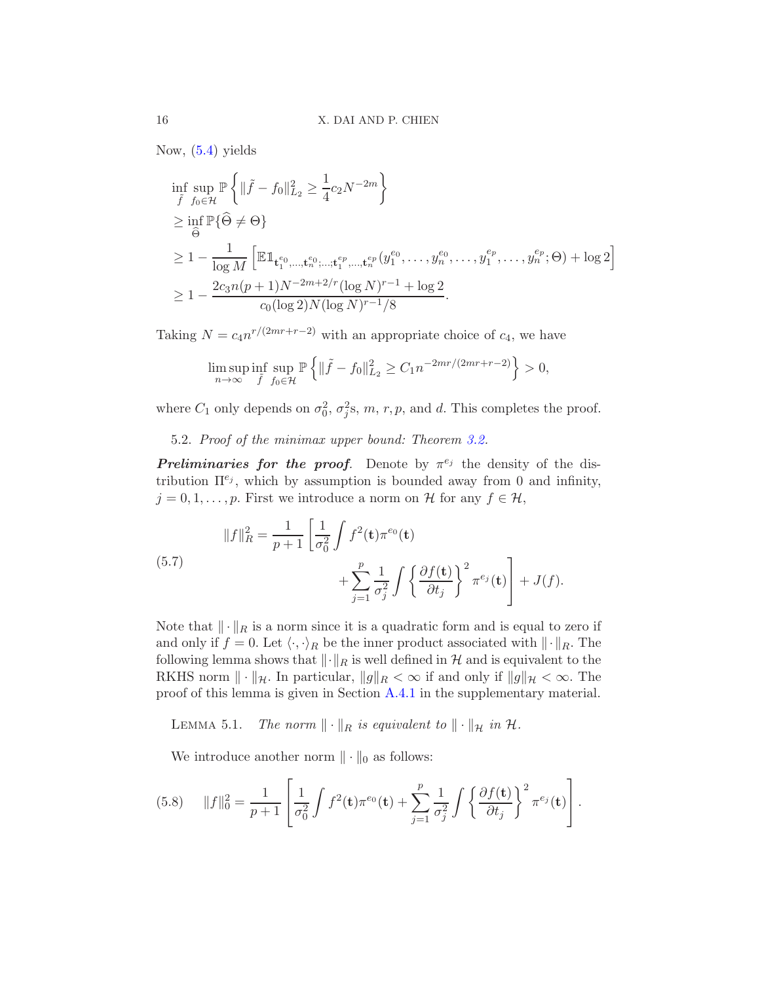Now, [\(5.4\)](#page-13-0) yields

$$
\inf_{\tilde{f}} \sup_{f_0 \in \mathcal{H}} \mathbb{P} \left\{ \| \tilde{f} - f_0 \|_{L_2}^2 \ge \frac{1}{4} c_2 N^{-2m} \right\}
$$
\n
$$
\ge \inf_{\hat{\Theta}} \mathbb{P} \{ \hat{\Theta} \neq \Theta \}
$$
\n
$$
\ge 1 - \frac{1}{\log M} \left[ \mathbb{E} \mathbb{1}_{\mathbf{t}_1^{e_0}, \dots, \mathbf{t}_n^{e_0}; \dots; \mathbf{t}_1^{e_p}, \dots, \mathbf{t}_n^{e_p}} (y_1^{e_0}, \dots, y_n^{e_0}, \dots, y_1^{e_p}, \dots, y_n^{e_p}; \Theta) + \log 2 \right]
$$
\n
$$
\ge 1 - \frac{2c_3 n (p+1) N^{-2m+2/r} (\log N)^{r-1} + \log 2}{c_0 (\log 2) N (\log N)^{r-1} / 8}.
$$

Taking  $N = c_4 n^{r/(2mr+r-2)}$  with an appropriate choice of  $c_4$ , we have

$$
\limsup_{n \to \infty} \inf_{\tilde{f}} \sup_{f_0 \in \mathcal{H}} \mathbb{P} \left\{ \| \tilde{f} - f_0 \|_{L_2}^2 \ge C_1 n^{-2mr/(2mr + r - 2)} \right\} > 0,
$$

<span id="page-15-3"></span>where  $C_1$  only depends on  $\sigma_0^2$ ,  $\sigma_j^2$ s, m, r, p, and d. This completes the proof.

5.2. Proof of the minimax upper bound: Theorem [3.2.](#page-8-0)

**Preliminaries for the proof.** Denote by  $\pi^{e_j}$  the density of the distribution  $\Pi^{e_j}$ , which by assumption is bounded away from 0 and infinity,  $j = 0, 1, \ldots, p$ . First we introduce a norm on H for any  $f \in \mathcal{H}$ ,

<span id="page-15-2"></span>(5.7) 
$$
||f||_R^2 = \frac{1}{p+1} \left[ \frac{1}{\sigma_0^2} \int f^2(\mathbf{t}) \pi^{e_0}(\mathbf{t}) + \sum_{j=1}^p \frac{1}{\sigma_j^2} \int \left\{ \frac{\partial f(\mathbf{t})}{\partial t_j} \right\}^2 \pi^{e_j}(\mathbf{t}) \right] + J(f).
$$

Note that  $\|\cdot\|_R$  is a norm since it is a quadratic form and is equal to zero if and only if  $f = 0$ . Let  $\langle \cdot, \cdot \rangle_R$  be the inner product associated with  $\|\cdot\|_R$ . The following lemma shows that  $\lVert \cdot \rVert_R$  is well defined in H and is equivalent to the RKHS norm  $\|\cdot\|_{\mathcal{H}}$ . In particular,  $\|g\|_{R} < \infty$  if and only if  $\|g\|_{\mathcal{H}} < \infty$ . The proof of this lemma is given in Section [A.4.1](#page-42-0) in the supplementary material.

<span id="page-15-1"></span>LEMMA 5.1. The norm  $\|\cdot\|_R$  is equivalent to  $\|\cdot\|_{\mathcal{H}}$  in  $\mathcal{H}$ .

We introduce another norm  $\|\cdot\|_0$  as follows:

<span id="page-15-0"></span>(5.8) 
$$
||f||_0^2 = \frac{1}{p+1} \left[ \frac{1}{\sigma_0^2} \int f^2(\mathbf{t}) \pi^{e_0}(\mathbf{t}) + \sum_{j=1}^p \frac{1}{\sigma_j^2} \int \left\{ \frac{\partial f(\mathbf{t})}{\partial t_j} \right\}^2 \pi^{e_j}(\mathbf{t}) \right].
$$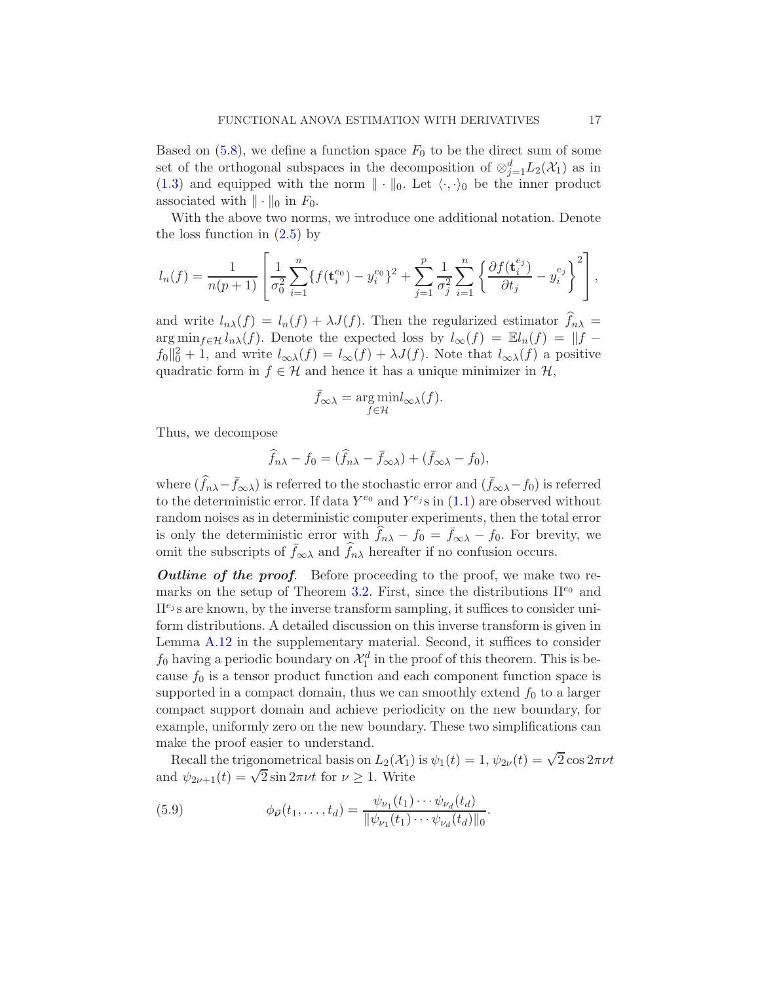Based on  $(5.8)$ , we define a function space  $F_0$  to be the direct sum of some set of the orthogonal subspaces in the decomposition of  $\otimes_{j=1}^d L_2(\mathcal{X}_1)$  as in [\(1.3\)](#page-2-0) and equipped with the norm  $\|\cdot\|_0$ . Let  $\langle \cdot, \cdot \rangle_0$  be the inner product associated with  $\|\cdot\|_0$  in  $F_0$ .

With the above two norms, we introduce one additional notation. Denote the loss function in  $(2.5)$  by

$$
l_n(f) = \frac{1}{n(p+1)} \left[ \frac{1}{\sigma_0^2} \sum_{i=1}^n \{ f(\mathbf{t}_i^{e_0}) - y_i^{e_0} \}^2 + \sum_{j=1}^p \frac{1}{\sigma_j^2} \sum_{i=1}^n \left\{ \frac{\partial f(\mathbf{t}_i^{e_j})}{\partial t_j} - y_i^{e_j} \right\}^2 \right],
$$

and write  $l_{n\lambda}(f) = l_n(f) + \lambda J(f)$ . Then the regularized estimator  $f_{n\lambda} =$  $\arg \min_{f \in \mathcal{H}} l_{n\lambda}(f)$ . Denote the expected loss by  $l_{\infty}(f) = \mathbb{E}l_{n}(f) = ||f - f||$  $f_0\|_0^2 + 1$ , and write  $l_{\infty\lambda}(f) = l_{\infty}(f) + \lambda J(f)$ . Note that  $l_{\infty\lambda}(f)$  a positive quadratic form in  $f \in \mathcal{H}$  and hence it has a unique minimizer in  $\mathcal{H}$ ,

$$
\bar{f}_{\infty\lambda} = \underset{f \in \mathcal{H}}{\arg\min} l_{\infty\lambda}(f).
$$

Thus, we decompose

$$
\widehat{f}_{n\lambda} - f_0 = (\widehat{f}_{n\lambda} - \bar{f}_{\infty\lambda}) + (\bar{f}_{\infty\lambda} - f_0),
$$

where  $(\widehat{f}_{n\lambda} - \bar{f}_{\infty\lambda})$  is referred to the stochastic error and  $(\bar{f}_{\infty\lambda} - f_0)$  is referred to the deterministic error. If data  $Y^{e_0}$  and  $Y^{e_j}$ s in  $(1.1)$  are observed without random noises as in deterministic computer experiments, then the total error is only the deterministic error with  $\widehat{f}_{n\lambda} - f_0 = \bar{f}_{\infty\lambda} - f_0$ . For brevity, we omit the subscripts of  $\bar{f}_{\infty\lambda}$  and  $\hat{f}_{n\lambda}$  hereafter if no confusion occurs.

**Outline of the proof.** Before proceeding to the proof, we make two re-marks on the setup of Theorem [3.2.](#page-8-0) First, since the distributions  $\Pi^{e_0}$  and  $\Pi^{e_j}$  s are known, by the inverse transform sampling, it suffices to consider uniform distributions. A detailed discussion on this inverse transform is given in Lemma [A.12](#page-53-0) in the supplementary material. Second, it suffices to consider  $f_0$  having a periodic boundary on  $\mathcal{X}_1^d$  in the proof of this theorem. This is because  $f_0$  is a tensor product function and each component function space is supported in a compact domain, thus we can smoothly extend  $f_0$  to a larger compact support domain and achieve periodicity on the new boundary, for example, uniformly zero on the new boundary. These two simplifications can make the proof easier to understand.

Recall the trigonometrical basis on  $L_2(\mathcal{X}_1)$  is  $\psi_1(t) = 1$ ,  $\psi_{2\nu}(t) = \sqrt{2} \cos 2\pi \nu t$ and  $\psi_{2\nu+1}(t) = \sqrt{2} \sin 2\pi \nu t$  for  $\nu \ge 1$ . Write

<span id="page-16-0"></span>(5.9) 
$$
\phi_{\vec{\nu}}(t_1,\ldots,t_d) = \frac{\psi_{\nu_1}(t_1)\cdots\psi_{\nu_d}(t_d)}{\|\psi_{\nu_1}(t_1)\cdots\psi_{\nu_d}(t_d)\|_0}.
$$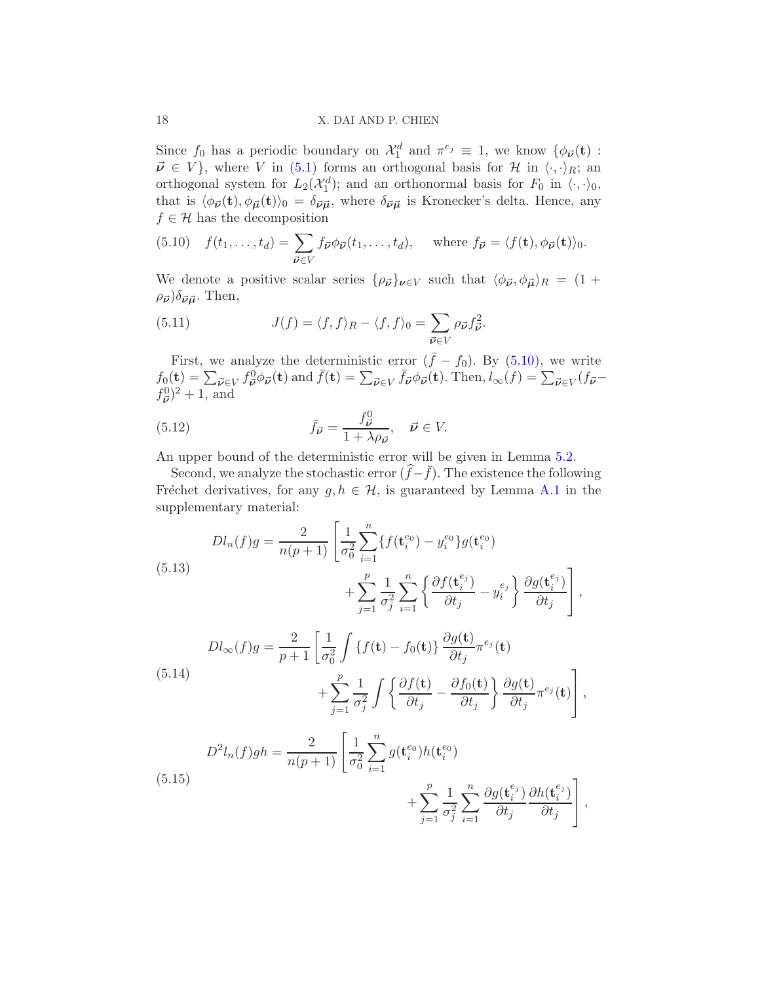### 18 X. DAI AND P. CHIEN

Since  $f_0$  has a periodic boundary on  $\mathcal{X}_1^d$  and  $\pi^{e_j} \equiv 1$ , we know  $\{\phi_{\vec{\nu}}(\mathbf{t}) :$  $\vec{\nu} \in V$ , where V in [\(5.1\)](#page-11-2) forms an orthogonal basis for H in  $\langle \cdot, \cdot \rangle_R$ ; an orthogonal system for  $L_2(\mathcal{X}_1^d)$ ; and an orthonormal basis for  $F_0$  in  $\langle \cdot, \cdot \rangle_0$ , that is  $\langle \phi_{\vec{\nu}}(t), \phi_{\vec{\mu}}(t)\rangle_0 = \delta_{\vec{\nu}\vec{\mu}}$ , where  $\delta_{\vec{\nu}\vec{\mu}}$  is Kronecker's delta. Hence, any  $f\in\mathcal{H}$  has the decomposition

<span id="page-17-0"></span>(5.10) 
$$
f(t_1,...,t_d) = \sum_{\vec{\nu} \in V} f_{\vec{\nu}} \phi_{\vec{\nu}}(t_1,...,t_d), \text{ where } f_{\vec{\nu}} = \langle f(\mathbf{t}), \phi_{\vec{\nu}}(\mathbf{t}) \rangle_0.
$$

We denote a positive scalar series  $\{\rho_{\vec{v}}\}_{\nu\in V}$  such that  $\langle \phi_{\vec{v}}, \phi_{\vec{\mu}} \rangle_R = (1 +$  $\rho_{\vec{\nu}}\big)\delta_{\vec{\nu}\vec{\mu}}.$  Then,

<span id="page-17-1"></span>(5.11) 
$$
J(f) = \langle f, f \rangle_R - \langle f, f \rangle_0 = \sum_{\vec{\nu} \in V} \rho_{\vec{\nu}} f_{\vec{\nu}}^2.
$$

First, we analyze the deterministic error  $({\bar f} - f_0)$ . By [\(5.10\)](#page-17-0), we write  $f_0(\mathbf{t}) = \sum_{\vec{\boldsymbol{\nu}} \in V} f_{\vec{\boldsymbol{\nu}}}^0 \phi_{\vec{\boldsymbol{\nu}}}(\mathbf{t})$  and  $\bar{f}(\mathbf{t}) = \sum_{\vec{\boldsymbol{\nu}} \in V} \bar{f}_{\vec{\boldsymbol{\nu}}} \phi_{\vec{\boldsymbol{\nu}}}(\mathbf{t})$ . Then,  $l_{\infty}(f) = \sum_{\vec{\boldsymbol{\nu}} \in V} (f_{\vec{\boldsymbol{\nu}}}-f_{\vec{\boldsymbol{\nu}}}^0)$  $(f_{\vec{\nu}}^0)^2 + 1$ , and

<span id="page-17-2"></span>(5.12) 
$$
\bar{f}_{\vec{\nu}} = \frac{f_{\vec{\nu}}^0}{1 + \lambda \rho_{\vec{\nu}}}, \quad \vec{\nu} \in V.
$$

An upper bound of the deterministic error will be given in Lemma [5.2.](#page-19-0)

Second, we analyze the stochastic error  $(\tilde{f} - \bar{f})$ . The existence the following Fréchet derivatives, for any  $g, h \in \mathcal{H}$ , is guaranteed by Lemma [A.1](#page-27-0) in the supplementary material:

<span id="page-17-3"></span>
$$
Dl_n(f)g = \frac{2}{n(p+1)} \left[ \frac{1}{\sigma_0^2} \sum_{i=1}^n \{ f(\mathbf{t}_i^{e_0}) - y_i^{e_0} \} g(\mathbf{t}_i^{e_0}) + \sum_{j=1}^p \frac{1}{\sigma_j^2} \sum_{i=1}^n \left\{ \frac{\partial f(\mathbf{t}_i^{e_j})}{\partial t_j} - y_i^{e_j} \right\} \frac{\partial g(\mathbf{t}_i^{e_j})}{\partial t_j} \right],
$$

<span id="page-17-4"></span>
$$
Dl_{\infty}(f)g = \frac{2}{p+1} \left[ \frac{1}{\sigma_0^2} \int \{f(\mathbf{t}) - f_0(\mathbf{t})\} \frac{\partial g(\mathbf{t})}{\partial t_j} \pi^{e_j}(\mathbf{t}) + \sum_{j=1}^p \frac{1}{\sigma_j^2} \int \left\{ \frac{\partial f(\mathbf{t})}{\partial t_j} - \frac{\partial f_0(\mathbf{t})}{\partial t_j} \right\} \frac{\partial g(\mathbf{t})}{\partial t_j} \pi^{e_j}(\mathbf{t}) \right],
$$

<span id="page-17-5"></span>(5.15) 
$$
D^{2}l_{n}(f)gh = \frac{2}{n(p+1)} \left[ \frac{1}{\sigma_{0}^{2}} \sum_{i=1}^{n} g(\mathbf{t}_{i}^{e_{0}}) h(\mathbf{t}_{i}^{e_{0}}) + \sum_{j=1}^{p} \frac{1}{\sigma_{j}^{2}} \sum_{i=1}^{n} \frac{\partial g(\mathbf{t}_{i}^{e_{j}})}{\partial t_{j}} \frac{\partial h(\mathbf{t}_{i}^{e_{j}})}{\partial t_{j}} \right],
$$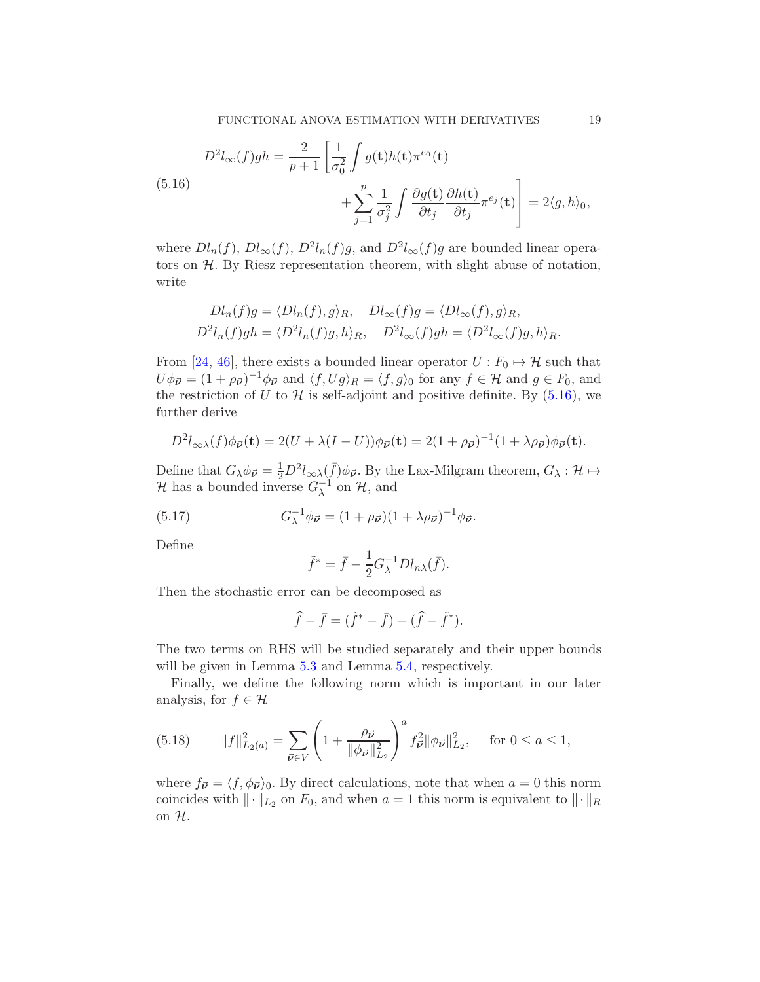<span id="page-18-0"></span>
$$
D^{2}l_{\infty}(f)gh = \frac{2}{p+1} \left[ \frac{1}{\sigma_{0}^{2}} \int g(\mathbf{t})h(\mathbf{t})\pi^{e_{0}}(\mathbf{t}) + \sum_{j=1}^{p} \frac{1}{\sigma_{j}^{2}} \int \frac{\partial g(\mathbf{t})}{\partial t_{j}} \frac{\partial h(\mathbf{t})}{\partial t_{j}} \pi^{e_{j}}(\mathbf{t}) \right] = 2\langle g, h \rangle_{0},
$$

where  $Dl_n(f)$ ,  $Dl_\infty(f)$ ,  $D^2l_n(f)g$ , and  $D^2l_\infty(f)g$  are bounded linear operators on  $H$ . By Riesz representation theorem, with slight abuse of notation, write

$$
Dl_n(f)g = \langle Dl_n(f), g \rangle_R, \quad Dl_\infty(f)g = \langle Dl_\infty(f), g \rangle_R,
$$
  

$$
D^2l_n(f)gh = \langle D^2l_n(f)g, h \rangle_R, \quad D^2l_\infty(f)gh = \langle D^2l_\infty(f)g, h \rangle_R.
$$

From [\[24](#page-60-21), [46\]](#page-61-3), there exists a bounded linear operator  $U : F_0 \mapsto \mathcal{H}$  such that  $U\phi_{\vec{\boldsymbol{\nu}}} = (1 + \rho_{\vec{\boldsymbol{\nu}}})^{-1}\phi_{\vec{\boldsymbol{\nu}}}$  and  $\langle f, Ug\rangle_R = \langle f, g\rangle_0$  for any  $f \in \mathcal{H}$  and  $g \in F_0$ , and the restriction of U to H is self-adjoint and positive definite. By  $(5.16)$ , we further derive

$$
D^2 l_{\infty\lambda}(f) \phi_{\vec{\boldsymbol{\nu}}}(\mathbf{t}) = 2(U + \lambda (I - U)) \phi_{\vec{\boldsymbol{\nu}}}(\mathbf{t}) = 2(1 + \rho_{\vec{\boldsymbol{\nu}}})^{-1} (1 + \lambda \rho_{\vec{\boldsymbol{\nu}}}) \phi_{\vec{\boldsymbol{\nu}}}(\mathbf{t}).
$$

Define that  $G_{\lambda}\phi_{\vec{\boldsymbol{\nu}}} = \frac{1}{2}D^2 l_{\infty\lambda}(\bar{f})\phi_{\vec{\boldsymbol{\nu}}}$ . By the Lax-Milgram theorem,  $G_{\lambda}: \mathcal{H} \mapsto$  $\mathcal{H}$  has a bounded inverse  $G_{\lambda}^{-1}$  on  $\mathcal{H}$ , and

(5.17) 
$$
G_{\lambda}^{-1} \phi_{\vec{\nu}} = (1 + \rho_{\vec{\nu}})(1 + \lambda \rho_{\vec{\nu}})^{-1} \phi_{\vec{\nu}}.
$$

Define

<span id="page-18-1"></span>
$$
\tilde{f}^* = \bar{f} - \frac{1}{2} G_{\lambda}^{-1} D l_{n\lambda}(\bar{f}).
$$

Then the stochastic error can be decomposed as

$$
\hat{f} - \bar{f} = (\tilde{f}^* - \bar{f}) + (\hat{f} - \tilde{f}^*).
$$

The two terms on RHS will be studied separately and their upper bounds will be given in Lemma [5.3](#page-20-0) and Lemma [5.4,](#page-22-0) respectively.

Finally, we define the following norm which is important in our later analysis, for  $f \in \mathcal{H}$ 

(5.18) 
$$
||f||_{L_2(a)}^2 = \sum_{\vec{\nu} \in V} \left(1 + \frac{\rho_{\vec{\nu}}}{||\phi_{\vec{\nu}}||_{L_2}^2}\right)^a f_{\vec{\nu}}^2 ||\phi_{\vec{\nu}}||_{L_2}^2, \text{ for } 0 \le a \le 1,
$$

where  $f_{\vec{\nu}} = \langle f, \phi_{\vec{\nu}} \rangle_0$ . By direct calculations, note that when  $a = 0$  this norm coincides with  $\|\cdot\|_{L_2}$  on  $F_0$ , and when  $a = 1$  this norm is equivalent to  $\|\cdot\|_{R}$ on H.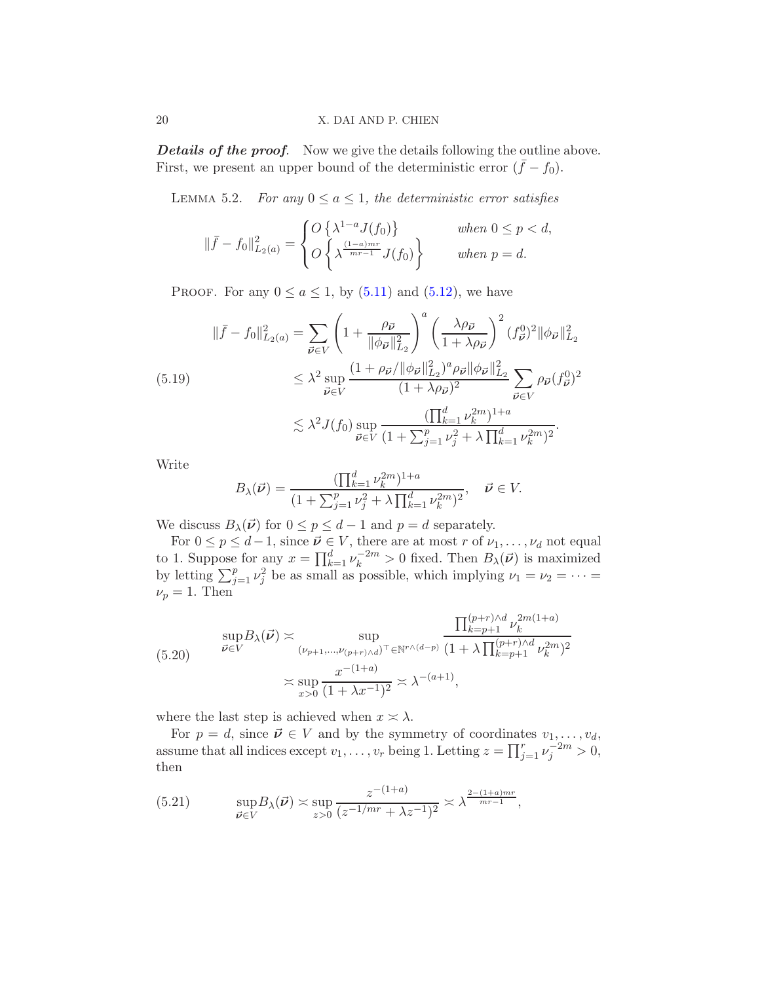**Details of the proof.** Now we give the details following the outline above. First, we present an upper bound of the deterministic error  $({\bar f} - f_0)$ .

<span id="page-19-0"></span>LEMMA 5.2. For any  $0 \le a \le 1$ , the deterministic error satisfies

$$
\|\bar{f} - f_0\|_{L_2(a)}^2 = \begin{cases} O\left\{\lambda^{1-a} J(f_0)\right\} & \text{when } 0 \le p < d, \\ O\left\{\lambda^{\frac{(1-a)mr}{mr-1}} J(f_0)\right\} & \text{when } p = d. \end{cases}
$$

PROOF. For any  $0 \le a \le 1$ , by  $(5.11)$  and  $(5.12)$ , we have

<span id="page-19-1"></span>
$$
\|\bar{f} - f_0\|_{L_2(a)}^2 = \sum_{\vec{\nu} \in V} \left(1 + \frac{\rho_{\vec{\nu}}}{\|\phi_{\vec{\nu}}\|_{L_2}^2}\right)^a \left(\frac{\lambda \rho_{\vec{\nu}}}{1 + \lambda \rho_{\vec{\nu}}}\right)^2 (f_{\vec{\nu}}^0)^2 \|\phi_{\vec{\nu}}\|_{L_2}^2
$$
\n
$$
\leq \lambda^2 \sup_{\vec{\nu} \in V} \frac{(1 + \rho_{\vec{\nu}}/\|\phi_{\vec{\nu}}\|_{L_2}^2)^a \rho_{\vec{\nu}} \|\phi_{\vec{\nu}}\|_{L_2}^2}{(1 + \lambda \rho_{\vec{\nu}})^2} \sum_{\vec{\nu} \in V} \rho_{\vec{\nu}} (f_{\vec{\nu}}^0)^2
$$
\n
$$
\lesssim \lambda^2 J(f_0) \sup_{\vec{\nu} \in V} \frac{(\prod_{k=1}^d \nu_k^{2m})^{1+a}}{(1 + \sum_{j=1}^p \nu_j^2 + \lambda \prod_{k=1}^d \nu_k^{2m})^2}.
$$

Write

$$
B_{\lambda}(\vec{\nu}) = \frac{(\prod_{k=1}^{d} \nu_k^{2m})^{1+a}}{(1 + \sum_{j=1}^{p} \nu_j^2 + \lambda \prod_{k=1}^{d} \nu_k^{2m})^2}, \quad \vec{\nu} \in V.
$$

We discuss  $B_{\lambda}(\vec{\nu})$  for  $0 \le p \le d-1$  and  $p = d$  separately.

For  $0 \le p \le d-1$ , since  $\vec{\nu} \in V$ , there are at most r of  $\nu_1, \ldots, \nu_d$  not equal to 1. Suppose for any  $x = \prod_{k=1}^{d} \nu_k^{-2m} > 0$  fixed. Then  $B_\lambda(\vec{\nu})$  is maximized by letting  $\sum_{j=1}^p \nu_j^2$  be as small as possible, which implying  $\nu_1 = \nu_2 = \cdots =$  $\nu_p = 1$ . Then

<span id="page-19-2"></span>
$$
(5.20) \quad \sup_{\vec{\nu} \in V} B_{\lambda}(\vec{\nu}) \asymp \sup_{(\nu_{p+1}, \dots, \nu_{(p+r)\wedge d})^{\top} \in \mathbb{N}^{r\wedge (d-p)}} \frac{\prod_{k=p+1}^{(p+r)\wedge d} \nu_k^{2m(1+a)}}{(1+\lambda \prod_{k=p+1}^{(p+r)\wedge d} \nu_k^{2m})^2}
$$
\n
$$
\asymp \sup_{x>0} \frac{x^{-(1+a)}}{(1+\lambda x^{-1})^2} \asymp \lambda^{-(a+1)},
$$

where the last step is achieved when  $x \approx \lambda$ .

For  $p = d$ , since  $\vec{\nu} \in V$  and by the symmetry of coordinates  $v_1, \ldots, v_d$ , assume that all indices except  $v_1, \ldots, v_r$  being 1. Letting  $z = \prod_{j=1}^r \nu_j^{-2m} > 0$ , then

<span id="page-19-3"></span>(5.21) 
$$
\sup_{\vec{\boldsymbol{\nu}} \in V} B_{\lambda}(\vec{\boldsymbol{\nu}}) \asymp \sup_{z > 0} \frac{z^{-(1+a)}}{(z^{-1/mr} + \lambda z^{-1})^2} \asymp \lambda^{\frac{2 - (1+a)mr}{mr-1}},
$$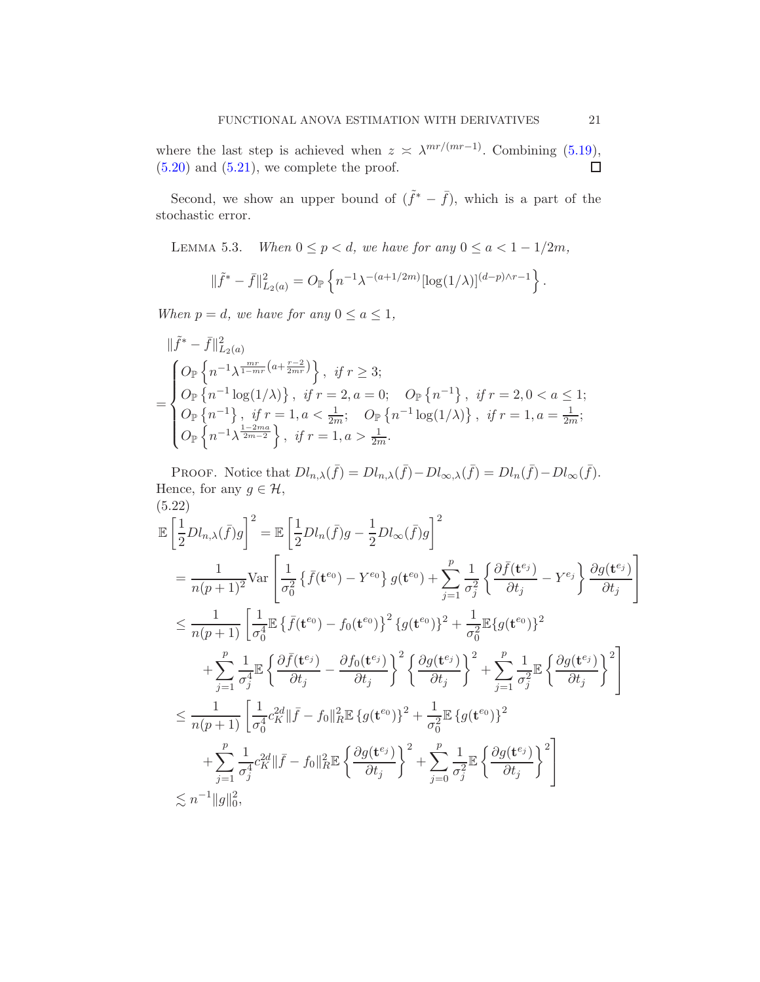where the last step is achieved when  $z \leq \lambda^{mr/(mr-1)}$ . Combining [\(5.19\)](#page-19-1),  $(5.20)$  and  $(5.21)$ , we complete the proof.  $\Box$ 

Second, we show an upper bound of  $(\tilde{f}^* - \bar{f})$ , which is a part of the stochastic error.

<span id="page-20-0"></span>LEMMA 5.3. When  $0 \le p < d$ , we have for any  $0 \le a < 1 - 1/2m$ ,

$$
\|\tilde{f}^* - \bar{f}\|_{L_2(a)}^2 = O_{\mathbb{P}}\left\{n^{-1}\lambda^{-(a+1/2m)}[\log(1/\lambda)]^{(d-p)\wedge r-1}\right\}.
$$

When  $p = d$ , we have for any  $0 \le a \le 1$ ,

$$
\|\tilde{f}^* - \bar{f}\|_{L_2(a)}^2
$$
\n
$$
= \begin{cases}\nO_{\mathbb{P}}\left\{n^{-1}\lambda^{\frac{mr}{1-mr}(a+\frac{r-2}{2mr})}\right\}, & \text{if } r \ge 3; \\
O_{\mathbb{P}}\left\{n^{-1}\log(1/\lambda)\right\}, & \text{if } r = 2, a = 0; \quad O_{\mathbb{P}}\left\{n^{-1}\right\}, & \text{if } r = 2, 0 < a \le 1; \\
O_{\mathbb{P}}\left\{n^{-1}\right\}, & \text{if } r = 1, a < \frac{1}{2m}; \quad O_{\mathbb{P}}\left\{n^{-1}\log(1/\lambda)\right\}, & \text{if } r = 1, a = \frac{1}{2m}; \\
O_{\mathbb{P}}\left\{n^{-1}\lambda^{\frac{1-2ma}{2m-2}}\right\}, & \text{if } r = 1, a > \frac{1}{2m}.\n\end{cases}
$$

PROOF. Notice that  $Dl_{n,\lambda}(\bar{f}) = Dl_{n,\lambda}(\bar{f}) - Dl_{\infty,\lambda}(\bar{f}) = Dl_n(\bar{f}) - Dl_{\infty}(\bar{f}).$ Hence, for any  $g \in \mathcal{H}$ , (5.22)

<span id="page-20-1"></span>
$$
\mathbb{E}\left[\frac{1}{2}Dl_{n,\lambda}(\bar{f})g\right]^{2} = \mathbb{E}\left[\frac{1}{2}Dl_{n}(\bar{f})g - \frac{1}{2}Dl_{\infty}(\bar{f})g\right]^{2}
$$
\n
$$
= \frac{1}{n(p+1)^{2}}\text{Var}\left[\frac{1}{\sigma_{0}^{2}}\left\{\bar{f}(\mathbf{t}^{e_{0}}) - Y^{e_{0}}\right\}g(\mathbf{t}^{e_{0}}) + \sum_{j=1}^{p}\frac{1}{\sigma_{j}^{2}}\left\{\frac{\partial\bar{f}(\mathbf{t}^{e_{j}})}{\partial t_{j}} - Y^{e_{j}}\right\}\frac{\partial g(\mathbf{t}^{e_{j}})}{\partial t_{j}}\right]
$$
\n
$$
\leq \frac{1}{n(p+1)}\left[\frac{1}{\sigma_{0}^{4}}\mathbb{E}\left\{\bar{f}(\mathbf{t}^{e_{0}}) - f_{0}(\mathbf{t}^{e_{0}})\right\}^{2}\left\{g(\mathbf{t}^{e_{0}})\right\}^{2} + \frac{1}{\sigma_{0}^{2}}\mathbb{E}\left\{g(\mathbf{t}^{e_{0}})\right\}^{2}
$$
\n
$$
+ \sum_{j=1}^{p}\frac{1}{\sigma_{j}^{4}}\mathbb{E}\left\{\frac{\partial\bar{f}(\mathbf{t}^{e_{j}})}{\partial t_{j}} - \frac{\partial f_{0}(\mathbf{t}^{e_{j}})}{\partial t_{j}}\right\}^{2}\left\{\frac{\partial g(\mathbf{t}^{e_{j}})}{\partial t_{j}}\right\}^{2} + \sum_{j=1}^{p}\frac{1}{\sigma_{j}^{2}}\mathbb{E}\left\{\frac{\partial g(\mathbf{t}^{e_{j}})}{\partial t_{j}}\right\}^{2}\right]
$$
\n
$$
\leq \frac{1}{n(p+1)}\left[\frac{1}{\sigma_{0}^{4}}c_{K}^{2d}\|\bar{f} - f_{0}\|_{R}^{2}\mathbb{E}\left\{g(\mathbf{t}^{e_{0}})\right\}^{2} + \frac{1}{\sigma_{0}^{2}}\mathbb{E}\left\{g(\mathbf{t}^{e_{0}})\right\}^{2}
$$
\n
$$
+ \sum_{j=1}^{p}\frac{1}{\
$$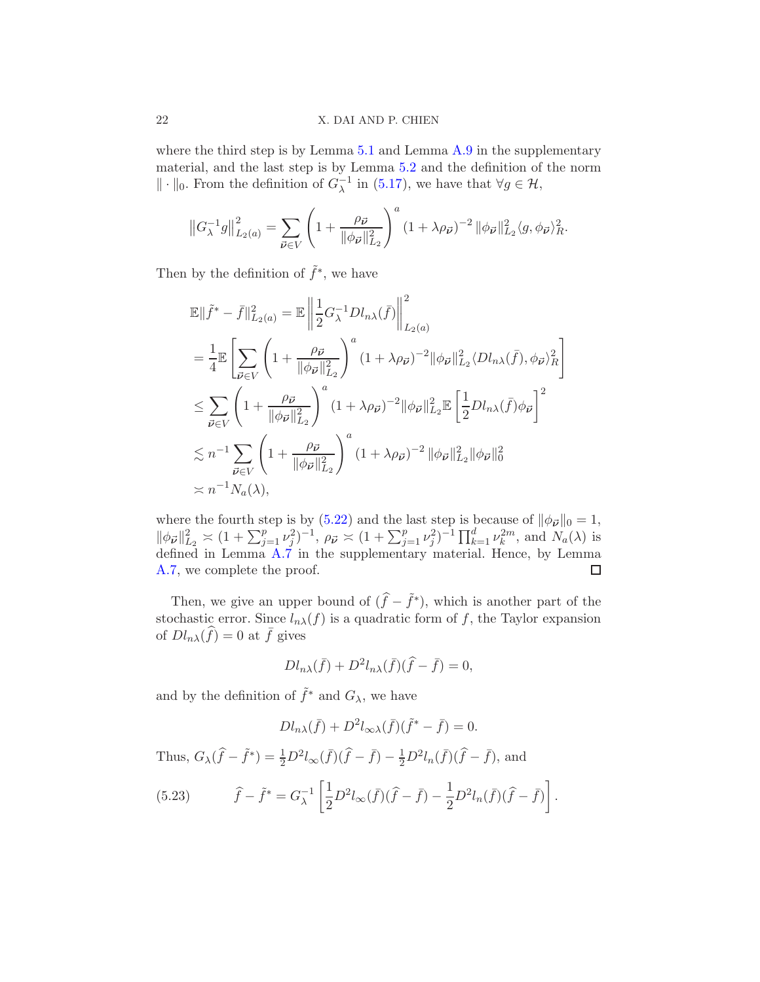## 22 X. DAI AND P. CHIEN

where the third step is by Lemma [5.1](#page-15-1) and Lemma [A.9](#page-50-0) in the supplementary material, and the last step is by Lemma [5.2](#page-19-0) and the definition of the norm  $\|\cdot\|_0$ . From the definition of  $G_{\lambda}^{-1}$  in [\(5.17\)](#page-18-1), we have that  $\forall g \in \mathcal{H}$ ,

$$
\left\|G_{\lambda}^{-1}g\right\|_{L_2(a)}^2 = \sum_{\vec{\nu}\in V} \left(1 + \frac{\rho_{\vec{\nu}}}{\|\phi_{\vec{\nu}}\|_{L_2}^2}\right)^a \left(1 + \lambda\rho_{\vec{\nu}}\right)^{-2} \|\phi_{\vec{\nu}}\|_{L_2}^2 \langle g, \phi_{\vec{\nu}}\rangle_R^2.
$$

Then by the definition of  $\tilde{f}^*$ , we have

$$
\mathbb{E}\|\tilde{f}^* - \bar{f}\|_{L_2(a)}^2 = \mathbb{E}\left\|\frac{1}{2}G_{\lambda}^{-1}Dl_{n\lambda}(\bar{f})\right\|_{L_2(a)}^2
$$
\n
$$
= \frac{1}{4}\mathbb{E}\left[\sum_{\vec{\nu}\in V} \left(1 + \frac{\rho_{\vec{\nu}}}{\|\phi_{\vec{\nu}}\|_{L_2}^2}\right)^a (1 + \lambda \rho_{\vec{\nu}})^{-2} \|\phi_{\vec{\nu}}\|_{L_2}^2 \langle Dl_{n\lambda}(\bar{f}), \phi_{\vec{\nu}}\rangle_R^2\right]
$$
\n
$$
\leq \sum_{\vec{\nu}\in V} \left(1 + \frac{\rho_{\vec{\nu}}}{\|\phi_{\vec{\nu}}\|_{L_2}^2}\right)^a (1 + \lambda \rho_{\vec{\nu}})^{-2} \|\phi_{\vec{\nu}}\|_{L_2}^2 \mathbb{E}\left[\frac{1}{2}Dl_{n\lambda}(\bar{f})\phi_{\vec{\nu}}\right]^2
$$
\n
$$
\lesssim n^{-1} \sum_{\vec{\nu}\in V} \left(1 + \frac{\rho_{\vec{\nu}}}{\|\phi_{\vec{\nu}}\|_{L_2}^2}\right)^a (1 + \lambda \rho_{\vec{\nu}})^{-2} \|\phi_{\vec{\nu}}\|_{L_2}^2 \|\phi_{\vec{\nu}}\|_0^2
$$
\n
$$
\asymp n^{-1} N_a(\lambda),
$$

where the fourth step is by [\(5.22\)](#page-20-1) and the last step is because of  $\|\phi_{\vec{\nu}}\|_0 = 1$ ,  $\|\phi_{\vec{\nu}}\|^2_{L_2} \asymp (1 + \sum_{j=1}^p \nu_j^2)^{-1}, \ \rho_{\vec{\nu}} \asymp (1 + \sum_{j=1}^p \nu_j^2)^{-1} \prod_{k=1}^d \nu_k^{2m}, \text{ and } N_a(\lambda)$  is defined in Lemma [A.7](#page-44-0) in the supplementary material. Hence, by Lemma [A.7,](#page-44-0) we complete the proof.  $\Box$ 

Then, we give an upper bound of  $(\hat{f} - \tilde{f}^*)$ , which is another part of the stochastic error. Since  $l_{n\lambda}(f)$  is a quadratic form of f, the Taylor expansion of  $Dl_{n\lambda}(\widehat{f}) = 0$  at  $\overline{f}$  gives

$$
Dl_{n\lambda}(\bar{f}) + D^2l_{n\lambda}(\bar{f})(\hat{f} - \bar{f}) = 0,
$$

and by the definition of  $\tilde{f}^*$  and  $G_{\lambda}$ , we have

$$
Dl_{n\lambda}(\bar{f}) + D^2l_{\infty\lambda}(\bar{f})(\tilde{f}^* - \bar{f}) = 0.
$$

Thus,  $G_{\lambda}(\hat{f} - \tilde{f}^*) = \frac{1}{2}D^2 l_{\infty}(\bar{f})(\hat{f} - \bar{f}) - \frac{1}{2}D^2 l_n(\bar{f})(\hat{f} - \bar{f})$ , and

<span id="page-21-0"></span>(5.23) 
$$
\hat{f} - \tilde{f}^* = G_{\lambda}^{-1} \left[ \frac{1}{2} D^2 l_{\infty}(\bar{f}) (\hat{f} - \bar{f}) - \frac{1}{2} D^2 l_n(\bar{f}) (\hat{f} - \bar{f}) \right].
$$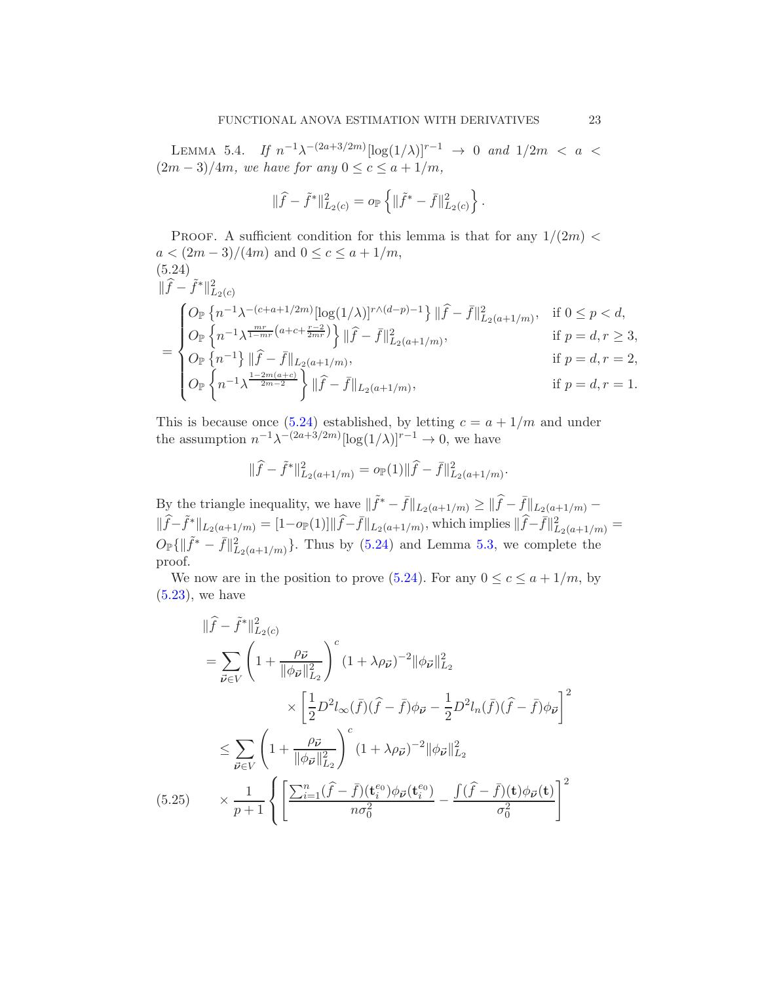<span id="page-22-0"></span>LEMMA 5.4. If  $n^{-1}\lambda^{-(2a+3/2m)}[\log(1/\lambda)]^{r-1} \to 0$  and  $1/2m < a <$  $(2m-3)/4m$ , we have for any  $0 \leq c \leq a+1/m$ ,

$$
\|\widehat{f} - \widetilde{f}^*\|_{L_2(c)}^2 = o_{\mathbb{P}}\left\{\|\widetilde{f}^* - \bar{f}\|_{L_2(c)}^2\right\}.
$$

PROOF. A sufficient condition for this lemma is that for any  $1/(2m)$  <  $a < (2m - 3)/(4m)$  and  $0 \le c \le a + 1/m$ , (5.24)  $\|\hat{f} - \tilde{f}^*\|_{L_2(c)}^2$ =  $\sqrt{ }$  $\Bigg\}$  $\overline{\mathcal{L}}$  $O_{\mathbb{P}}\left\{n^{-1}\lambda^{-(c+a+1/2m)}[\log(1/\lambda)]^{r\wedge(d-p)-1}\right\}\|\widehat{f}-\bar{f}\|_{L_2(a+1/m)}^2, \text{ if } 0 \leq p < d,$  $O_{\mathbb{P}}\left\{n^{-1}\lambda^{\frac{mr}{1-mr}(a+c+\frac{r-2}{2mr})}\right\}\|\widehat{f}-\bar{f}\|_{L_2(a+1/m)}^2,$  if  $p=d, r\geq 3$ ,  $O_{\mathbb{P}}\left\{n^{-1}\right\} \|\widehat{f} - \bar{f}\|_{L_2(a+1/m)},$  if  $p = d, r = 2,$  $O_\mathbb{P}$  $\tilde{f}$  $n^{-1}\lambda^{\frac{1-2m(a+c)}{2m-2}}$   $\left\| \widehat{f} - \overline{f} \right\|_{L_2(a+1/m)},$  if  $p = d, r = 1$ .

<span id="page-22-1"></span>This is because once [\(5.24\)](#page-22-1) established, by letting  $c = a + 1/m$  and under the assumption  $n^{-1}\lambda^{-(2a+3/2m)}[\log(1/\lambda)]^{r-1} \to 0$ , we have

$$
\|\widehat{f} - \widetilde{f}^*\|_{L_2(a+1/m)}^2 = o_{\mathbb{P}}(1) \|\widehat{f} - \overline{f}\|_{L_2(a+1/m)}^2.
$$

By the triangle inequality, we have  $\|\tilde{f}^* - \bar{f}\|_{L_2(a+1/m)} \ge \|\hat{f} - \bar{f}\|_{L_2(a+1/m)} \|\widehat{f}-\widetilde{f}^*\|_{L_2(a+1/m)} = [1-o_{\mathbb{P}}(1)]\|\widehat{f}-\overline{f}\|_{L_2(a+1/m)}$ , which implies  $\|\widehat{f}-\overline{f}\|_{L_2(a+1/m)}^2 =$  $O_{\mathbb{P}}\{\|\tilde{f}^* - \bar{f}\|^2_{L_2(a+1/m)}\}$ . Thus by [\(5.24\)](#page-22-1) and Lemma [5.3,](#page-20-0) we complete the proof.

We now are in the position to prove [\(5.24\)](#page-22-1). For any  $0 \leq c \leq a + 1/m$ , by  $(5.23)$ , we have

<span id="page-22-2"></span>
$$
\|\hat{f} - \tilde{f}^*\|_{L_2(c)}^2
$$
\n
$$
= \sum_{\vec{\nu} \in V} \left(1 + \frac{\rho_{\vec{\nu}}}{\|\phi_{\vec{\nu}}\|_{L_2}^2}\right)^c (1 + \lambda \rho_{\vec{\nu}})^{-2} \|\phi_{\vec{\nu}}\|_{L_2}^2
$$
\n
$$
\times \left[\frac{1}{2}D^2 l_{\infty}(\bar{f})(\hat{f} - \bar{f})\phi_{\vec{\nu}} - \frac{1}{2}D^2 l_n(\bar{f})(\hat{f} - \bar{f})\phi_{\vec{\nu}}\right]^2
$$
\n
$$
\leq \sum_{\vec{\nu} \in V} \left(1 + \frac{\rho_{\vec{\nu}}}{\|\phi_{\vec{\nu}}\|_{L_2}^2}\right)^c (1 + \lambda \rho_{\vec{\nu}})^{-2} \|\phi_{\vec{\nu}}\|_{L_2}^2
$$
\n(5.25)\n
$$
\times \frac{1}{p+1} \left\{ \left[\frac{\sum_{i=1}^n (\hat{f} - \bar{f})(\mathbf{t}_i^{e_0})\phi_{\vec{\nu}}(\mathbf{t}_i^{e_0})}{n\sigma_0^2} - \frac{\int (\hat{f} - \bar{f})(\mathbf{t})\phi_{\vec{\nu}}(\mathbf{t})}{\sigma_0^2}\right)^2 \right\}
$$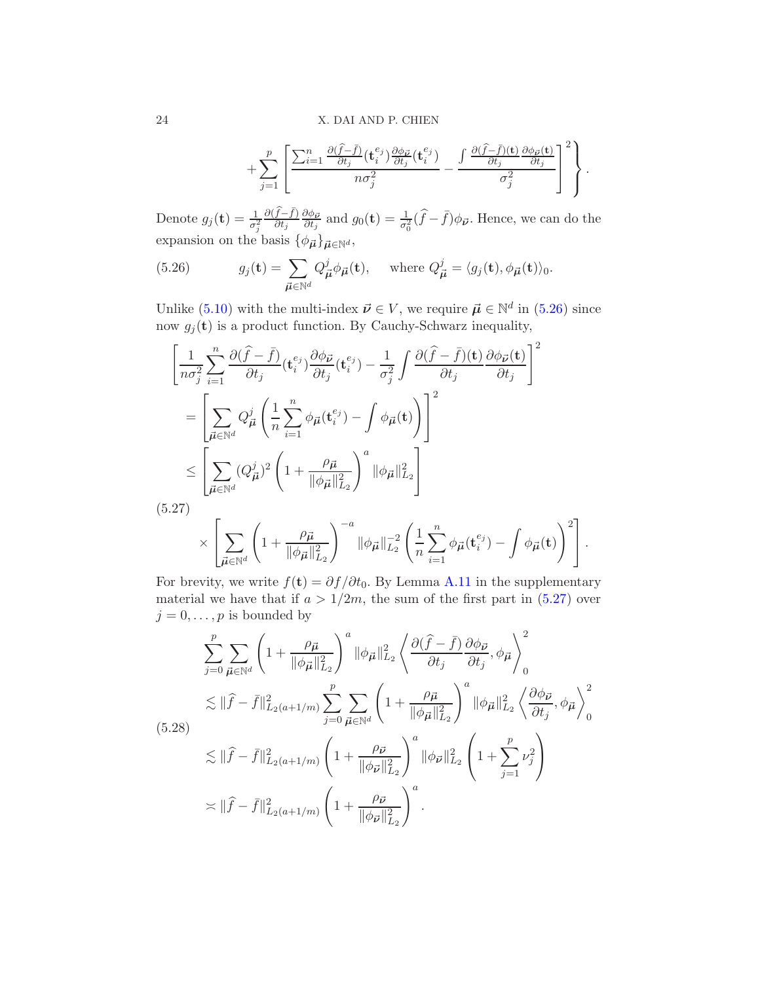$$
+\sum_{j=1}^p\left[\frac{\sum_{i=1}^n\frac{\partial(\widehat{f}-\bar{f})}{\partial t_j}(\mathbf{t}_i^{e_j})\frac{\partial\phi_{\vec{p}}}{\partial t_j}(\mathbf{t}_i^{e_j})}{n\sigma_j^2}-\frac{\int\frac{\partial(\widehat{f}-\bar{f})(\mathbf{t})}{\partial t_j}\frac{\partial\phi_{\vec{p}}(\mathbf{t})}{\partial t_j}}{\sigma_j^2}\right]^2\right\}.
$$

Denote  $g_j(\mathbf{t}) = \frac{1}{\sigma_j^2}$  $\frac{\partial (\widehat{f}-\bar{f})}{\partial t_j}$  $\partial \phi_{\vec{\bm{\nu}}}$  $\frac{\partial \phi_{\vec{p}}}{\partial t_j}$  and  $g_0(\mathbf{t}) = \frac{1}{\sigma_0^2}(\hat{f} - \bar{f})\phi_{\vec{p}}$ . Hence, we can do the expansion on the basis  $\{\phi_{\vec{\mu}}\}_{\vec{\mu} \in \mathbb{N}^d}$ ,

<span id="page-23-0"></span>(5.26) 
$$
g_j(\mathbf{t}) = \sum_{\vec{\boldsymbol{\mu}} \in \mathbb{N}^d} Q_{\vec{\boldsymbol{\mu}}}^j \phi_{\vec{\boldsymbol{\mu}}}(\mathbf{t}), \text{ where } Q_{\vec{\boldsymbol{\mu}}}^j = \langle g_j(\mathbf{t}), \phi_{\vec{\boldsymbol{\mu}}}(\mathbf{t}) \rangle_0.
$$

Unlike [\(5.10\)](#page-17-0) with the multi-index  $\vec{\nu} \in V$ , we require  $\vec{\mu} \in \mathbb{N}^d$  in [\(5.26\)](#page-23-0) since now  $g_j(\mathbf{t})$  is a product function. By Cauchy-Schwarz inequality,

$$
\left[\frac{1}{n\sigma_j^2} \sum_{i=1}^n \frac{\partial(\widehat{f} - \bar{f})}{\partial t_j} (\mathbf{t}_i^{e_j}) \frac{\partial \phi_{\vec{\boldsymbol{\nu}}}}{\partial t_j} (\mathbf{t}_i^{e_j}) - \frac{1}{\sigma_j^2} \int \frac{\partial(\widehat{f} - \bar{f})(\mathbf{t})}{\partial t_j} \frac{\partial \phi_{\vec{\boldsymbol{\nu}}}(\mathbf{t})}{\partial t_j}\right]^2
$$
\n
$$
= \left[\sum_{\vec{\boldsymbol{\mu}} \in \mathbb{N}^d} Q_{\vec{\boldsymbol{\mu}}}^j \left(\frac{1}{n} \sum_{i=1}^n \phi_{\vec{\boldsymbol{\mu}}}(\mathbf{t}_i^{e_j}) - \int \phi_{\vec{\boldsymbol{\mu}}}(\mathbf{t})\right)\right]^2
$$
\n
$$
\leq \left[\sum_{\vec{\boldsymbol{\mu}} \in \mathbb{N}^d} (Q_{\vec{\boldsymbol{\mu}}}^j)^2 \left(1 + \frac{\rho_{\vec{\boldsymbol{\mu}}}}{\|\phi_{\vec{\boldsymbol{\mu}}}\|_{L_2}^2}\right)^a \|\phi_{\vec{\boldsymbol{\mu}}}\|_{L_2}^2\right]
$$
\n(5.27)

<span id="page-23-1"></span>
$$
\times \left[ \sum_{\vec{\mu} \in \mathbb{N}^d} \left( 1 + \frac{\rho_{\vec{\mu}}}{\|\phi_{\vec{\mu}}\|_{L_2}^2} \right)^{-a} \|\phi_{\vec{\mu}}\|_{L_2}^{-2} \left( \frac{1}{n} \sum_{i=1}^n \phi_{\vec{\mu}}(\mathbf{t}_i^{e_j}) - \int \phi_{\vec{\mu}}(\mathbf{t}) \right)^2 \right].
$$

For brevity, we write  $f(t) = \partial f / \partial t_0$ . By Lemma [A.11](#page-51-0) in the supplementary material we have that if  $a > 1/2m$ , the sum of the first part in  $(5.27)$  over  $j = 0, \ldots, p$  is bounded by

<span id="page-23-2"></span>
$$
\sum_{j=0}^{p} \sum_{\vec{\mu} \in \mathbb{N}^d} \left( 1 + \frac{\rho_{\vec{\mu}}}{\|\phi_{\vec{\mu}}\|_{L_2}^2} \right)^a \|\phi_{\vec{\mu}}\|_{L_2}^2 \left\langle \frac{\partial(\hat{f} - \bar{f})}{\partial t_j} \frac{\partial \phi_{\vec{\nu}}}{\partial t_j}, \phi_{\vec{\mu}} \right\rangle_0^2
$$
\n
$$
\lesssim \|\hat{f} - \bar{f}\|_{L_2(a+1/m)}^2 \sum_{j=0}^{p} \sum_{\vec{\mu} \in \mathbb{N}^d} \left( 1 + \frac{\rho_{\vec{\mu}}}{\|\phi_{\vec{\mu}}\|_{L_2}^2} \right)^a \|\phi_{\vec{\mu}}\|_{L_2}^2 \left\langle \frac{\partial \phi_{\vec{\nu}}}{\partial t_j}, \phi_{\vec{\mu}} \right\rangle_0^2
$$
\n(5.28)\n
$$
\lesssim \|\hat{f} - \bar{f}\|_{L_2(a+1/m)}^2 \left( 1 + \frac{\rho_{\vec{\nu}}}{\|\phi_{\vec{\nu}}\|_{L_2}^2} \right)^a \|\phi_{\vec{\nu}}\|_{L_2}^2 \left( 1 + \sum_{j=1}^{p} \nu_j^2 \right)
$$
\n
$$
\asymp \|\hat{f} - \bar{f}\|_{L_2(a+1/m)}^2 \left( 1 + \frac{\rho_{\vec{\nu}}}{\|\phi_{\vec{\nu}}\|_{L_2}^2} \right)^a.
$$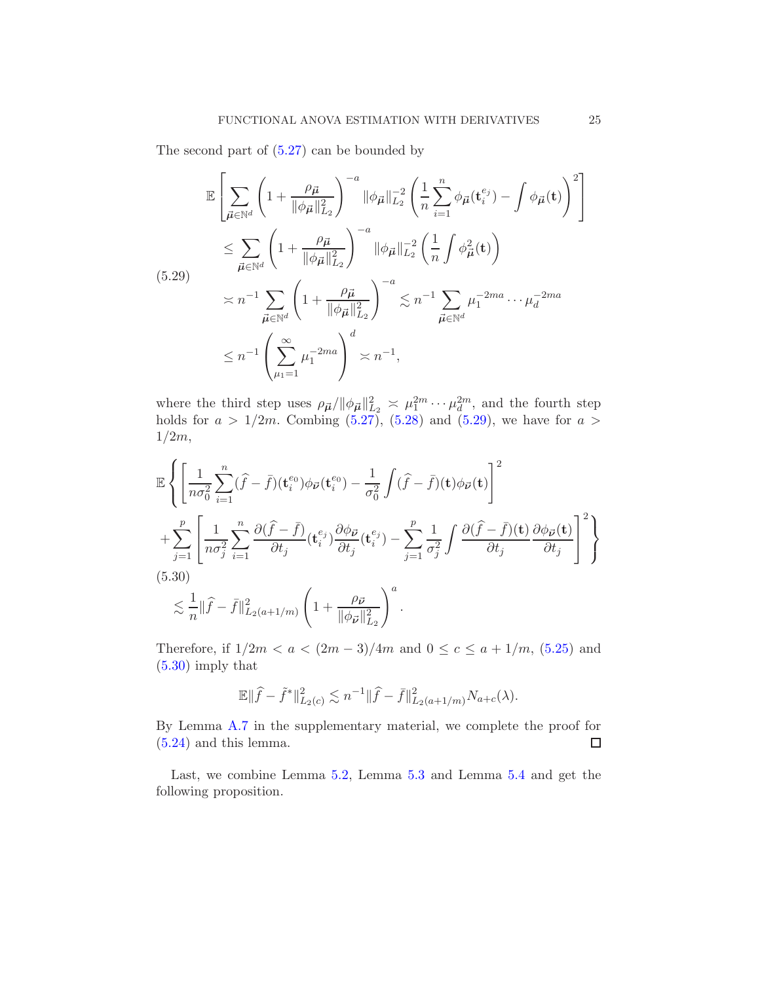The second part of [\(5.27\)](#page-23-1) can be bounded by

<span id="page-24-0"></span>
$$
\mathbb{E}\left[\sum_{\vec{\mu}\in\mathbb{N}^{d}}\left(1+\frac{\rho_{\vec{\mu}}}{\|\phi_{\vec{\mu}}\|_{L_{2}}^{2}}\right)^{-a}\|\phi_{\vec{\mu}}\|_{L_{2}}^{-2}\left(\frac{1}{n}\sum_{i=1}^{n}\phi_{\vec{\mu}}(\mathbf{t}_{i}^{e_{j}})-\int\phi_{\vec{\mu}}(\mathbf{t})\right)^{2}\right]
$$
\n
$$
\leq \sum_{\vec{\mu}\in\mathbb{N}^{d}}\left(1+\frac{\rho_{\vec{\mu}}}{\|\phi_{\vec{\mu}}\|_{L_{2}}^{2}}\right)^{-a}\|\phi_{\vec{\mu}}\|_{L_{2}}^{-2}\left(\frac{1}{n}\int\phi_{\vec{\mu}}^{2}(\mathbf{t})\right)
$$
\n
$$
\approx n^{-1}\sum_{\vec{\mu}\in\mathbb{N}^{d}}\left(1+\frac{\rho_{\vec{\mu}}}{\|\phi_{\vec{\mu}}\|_{L_{2}}^{2}}\right)^{-a}\lesssim n^{-1}\sum_{\vec{\mu}\in\mathbb{N}^{d}}\mu_{1}^{-2ma}\cdots\mu_{d}^{-2ma}
$$
\n
$$
\leq n^{-1}\left(\sum_{\mu_{1}=1}^{\infty}\mu_{1}^{-2ma}\right)^{d}\asymp n^{-1},
$$

where the third step uses  $\rho_{\vec{\mu}} / ||\phi_{\vec{\mu}}||_{L_2}^2 \ge \mu_1^{2m} \cdots \mu_d^{2m}$ , and the fourth step holds for  $a > 1/2m$ . Combing  $(5.27)$ ,  $(5.28)$  and  $(5.29)$ , we have for  $a >$ 1/2m,

$$
\mathbb{E}\left\{\left[\frac{1}{n\sigma_0^2}\sum_{i=1}^n(\hat{f}-\bar{f})(\mathbf{t}_i^{e_0})\phi_{\vec{\nu}}(\mathbf{t}_i^{e_0})-\frac{1}{\sigma_0^2}\int(\hat{f}-\bar{f})(\mathbf{t})\phi_{\vec{\nu}}(\mathbf{t})\right]^2\right.\n+\sum_{j=1}^p\left[\frac{1}{n\sigma_j^2}\sum_{i=1}^n\frac{\partial(\hat{f}-\bar{f})}{\partial t_j}(\mathbf{t}_i^{e_j})\frac{\partial\phi_{\vec{\nu}}}{\partial t_j}(\mathbf{t}_i^{e_j})-\sum_{j=1}^p\frac{1}{\sigma_j^2}\int\frac{\partial(\hat{f}-\bar{f})(\mathbf{t})}{\partial t_j}\frac{\partial\phi_{\vec{\nu}}(\mathbf{t})}{\partial t_j}\right]^2\right\}
$$
\n(5.30)\n
$$
\lesssim \frac{1}{n}\|\hat{f}-\bar{f}\|_{L_2(a+1/m)}^2\left(1+\frac{\rho\vec{\nu}}{\|\phi_{\vec{\nu}}\|_{L_2}^2}\right)^a.
$$

<span id="page-24-1"></span>Therefore, if  $1/2m < a < (2m-3)/4m$  and  $0 \le c \le a + 1/m$ , [\(5.25\)](#page-22-2) and [\(5.30\)](#page-24-1) imply that

$$
\mathbb{E} \|\widehat{f} - \tilde{f}^*\|_{L_2(c)}^2 \lesssim n^{-1} \|\widehat{f} - \bar{f}\|_{L_2(a+1/m)}^2 N_{a+c}(\lambda).
$$

By Lemma [A.7](#page-44-0) in the supplementary material, we complete the proof for [\(5.24\)](#page-22-1) and this lemma.  $\Box$ 

Last, we combine Lemma [5.2,](#page-19-0) Lemma [5.3](#page-20-0) and Lemma [5.4](#page-22-0) and get the following proposition.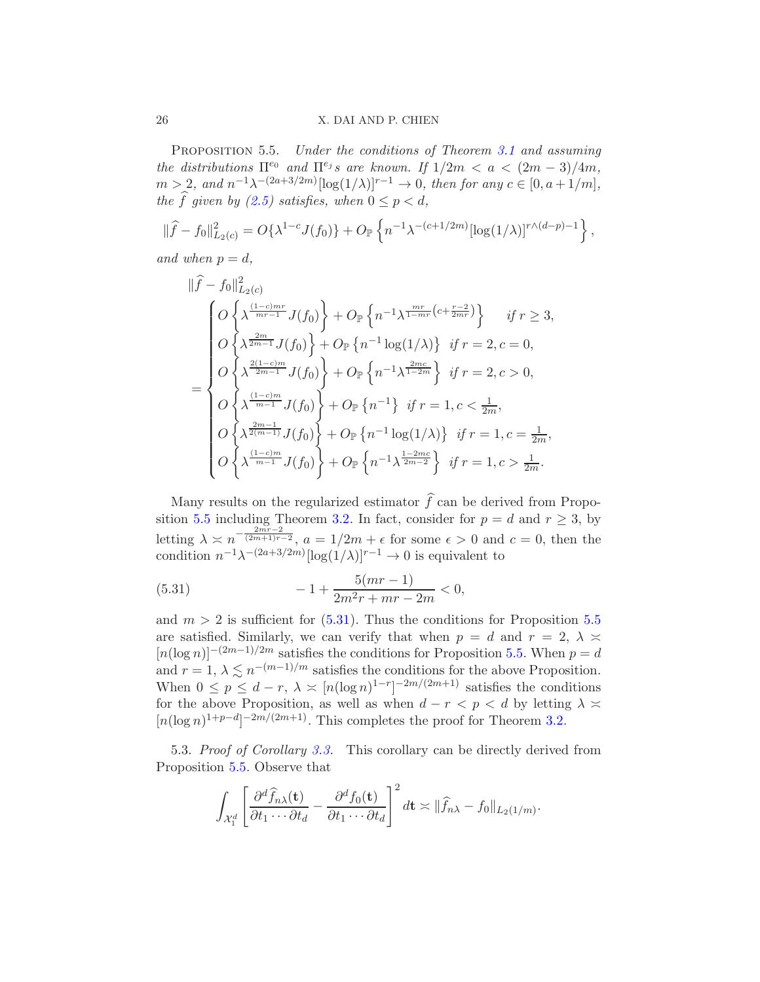<span id="page-25-0"></span>PROPOSITION 5.5. Under the conditions of Theorem [3.1](#page-7-1) and assuming the distributions  $\Pi^{e_0}$  and  $\Pi^{e_j} s$  are known. If  $1/2m < a < (2m-3)/4m$ ,  $m > 2$ , and  $n^{-1}\lambda^{-(2a+3/2m)}[\log(1/\lambda)]^{r-1} \to 0$ , then for any  $c \in [0, a+1/m]$ , the f given by [\(2.5\)](#page-6-0) satisfies, when  $0 \le p < d$ ,

$$
\|\widehat{f} - f_0\|_{L_2(c)}^2 = O\{\lambda^{1-c} J(f_0)\} + O_{\mathbb{P}}\left\{n^{-1}\lambda^{-(c+1/2m)}[\log(1/\lambda)]^{r\wedge(d-p)-1}\right\},\,
$$

and when  $p = d$ ,

$$
\|\hat{f} - f_0\|_{L_2(c)}^2
$$
\n
$$
= \begin{cases}\nO\left\{\lambda^{\frac{(1-c)mr}{mr-1}} J(f_0)\right\} + O_{\mathbb{P}}\left\{n^{-1}\lambda^{\frac{mr}{1-mr}}(c+\frac{r-2}{2mr})\right\} & \text{if } r \ge 3, \\
O\left\{\lambda^{\frac{2m}{2m-1}} J(f_0)\right\} + O_{\mathbb{P}}\left\{n^{-1}\log(1/\lambda)\right\} & \text{if } r = 2, c = 0, \\
O\left\{\lambda^{\frac{2(1-c)m}{2m-1}} J(f_0)\right\} + O_{\mathbb{P}}\left\{n^{-1}\lambda^{\frac{2mc}{1-2m}}\right\} & \text{if } r = 2, c > 0, \\
O\left\{\lambda^{\frac{(1-c)m}{m-1}} J(f_0)\right\} + O_{\mathbb{P}}\left\{n^{-1}\right\} & \text{if } r = 1, c < \frac{1}{2m}, \\
O\left\{\lambda^{\frac{2m-1}{2m-1}} J(f_0)\right\} + O_{\mathbb{P}}\left\{n^{-1}\log(1/\lambda)\right\} & \text{if } r = 1, c = \frac{1}{2m}, \\
O\left\{\lambda^{\frac{(1-c)m}{m-1}} J(f_0)\right\} + O_{\mathbb{P}}\left\{n^{-1}\lambda^{\frac{1-2mc}{2m-2}}\right\} & \text{if } r = 1, c > \frac{1}{2m}.\n\end{cases}
$$

Many results on the regularized estimator  $\hat{f}$  can be derived from Propo-sition [5.5](#page-25-0) including Theorem [3.2.](#page-8-0) In fact, consider for  $p = d$  and  $r \ge 3$ , by letting  $\lambda \approx n^{-\frac{2mr-2}{(2m+1)r-2}}$ ,  $a = 1/2m + \epsilon$  for some  $\epsilon > 0$  and  $c = 0$ , then the condition  $n^{-1}\lambda^{-(2a+3/2m)}[\log(1/\lambda)]^{r-1} \to 0$  is equivalent to

<span id="page-25-1"></span>(5.31) 
$$
-1 + \frac{5(mr-1)}{2m^2r + mr - 2m} < 0,
$$

and  $m > 2$  is sufficient for  $(5.31)$ . Thus the conditions for Proposition [5.5](#page-25-0) are satisfied. Similarly, we can verify that when  $p = d$  and  $r = 2$ ,  $\lambda \approx$  $[n(\log n)]^{-(2m-1)/2m}$  satisfies the conditions for Proposition [5.5.](#page-25-0) When  $p = d$ and  $r = 1, \lambda \leq n^{-(m-1)/m}$  satisfies the conditions for the above Proposition. When  $0 \le p \le d-r$ ,  $\lambda \asymp [n(\log n)^{1-r}]^{-2m/(2m+1)}$  satisfies the conditions for the above Proposition, as well as when  $d - r < p < d$  by letting  $\lambda \ge$  $[n(\log n)^{1+p-d}]^{-2m/(2m+1)}$ . This completes the proof for Theorem [3.2.](#page-8-0)

5.3. Proof of Corollary [3.3.](#page-9-1) This corollary can be directly derived from Proposition [5.5.](#page-25-0) Observe that

$$
\int_{\mathcal{X}_1^d} \left[ \frac{\partial^d \widehat{f}_{n\lambda}(\mathbf{t})}{\partial t_1 \cdots \partial t_d} - \frac{\partial^d f_0(\mathbf{t})}{\partial t_1 \cdots \partial t_d} \right]^2 d\mathbf{t} \asymp ||\widehat{f}_{n\lambda} - f_0||_{L_2(1/m)}.
$$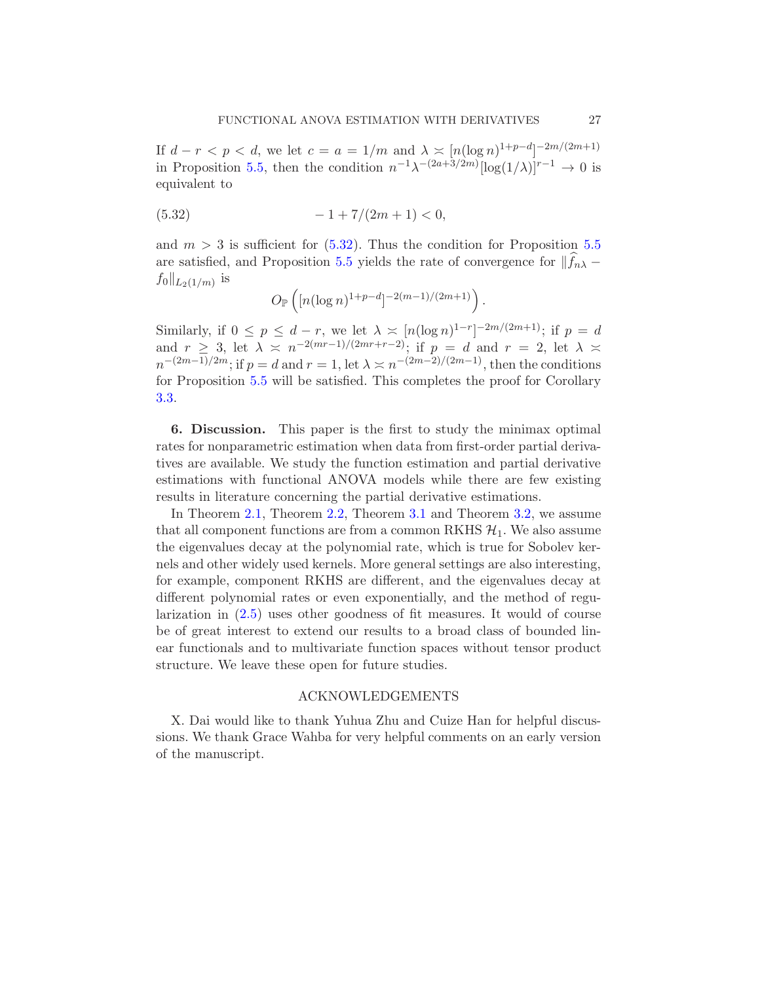If  $d - r < p < d$ , we let  $c = a = 1/m$  and  $\lambda \geq [n(\log n)^{1+p-d}]^{-2m/(2m+1)}$ in Proposition [5.5,](#page-25-0) then the condition  $n^{-1}\lambda^{-(2a+3/2m)}[\log(1/\lambda)]^{r-1} \to 0$  is equivalent to

$$
(5.32) \t\t -1+7/(2m+1) < 0,
$$

and  $m > 3$  is sufficient for  $(5.32)$ . Thus the condition for Proposition [5.5](#page-25-0) are satisfied, and Proposition [5.5](#page-25-0) yields the rate of convergence for  $||f_{n\lambda}$  $f_0\|_{L_2(1/m)}$  is

<span id="page-26-0"></span>
$$
O_{\mathbb{P}}\left( [n(\log n)^{1+p-d}]^{-2(m-1)/(2m+1)} \right).
$$

Similarly, if  $0 \le p \le d-r$ , we let  $\lambda \ge [n(\log n)^{1-r}]^{-2m/(2m+1)}$ ; if  $p = d$ and  $r \geq 3$ , let  $\lambda \geq n^{-2(mr-1)/(2mr+r-2)}$ ; if  $p = d$  and  $r = 2$ , let  $\lambda \geq$  $n^{-(2m-1)/2m}$ ; if  $p = d$  and  $r = 1$ , let  $\lambda \asymp n^{-(2m-2)/(2m-1)}$ , then the conditions for Proposition [5.5](#page-25-0) will be satisfied. This completes the proof for Corollary [3.3.](#page-9-1)

6. Discussion. This paper is the first to study the minimax optimal rates for nonparametric estimation when data from first-order partial derivatives are available. We study the function estimation and partial derivative estimations with functional ANOVA models while there are few existing results in literature concerning the partial derivative estimations.

In Theorem [2.1,](#page-5-1) Theorem [2.2,](#page-6-1) Theorem [3.1](#page-7-1) and Theorem [3.2,](#page-8-0) we assume that all component functions are from a common RKHS  $\mathcal{H}_1$ . We also assume the eigenvalues decay at the polynomial rate, which is true for Sobolev kernels and other widely used kernels. More general settings are also interesting, for example, component RKHS are different, and the eigenvalues decay at different polynomial rates or even exponentially, and the method of regularization in [\(2.5\)](#page-6-0) uses other goodness of fit measures. It would of course be of great interest to extend our results to a broad class of bounded linear functionals and to multivariate function spaces without tensor product structure. We leave these open for future studies.

## ACKNOWLEDGEMENTS

X. Dai would like to thank Yuhua Zhu and Cuize Han for helpful discussions. We thank Grace Wahba for very helpful comments on an early version of the manuscript.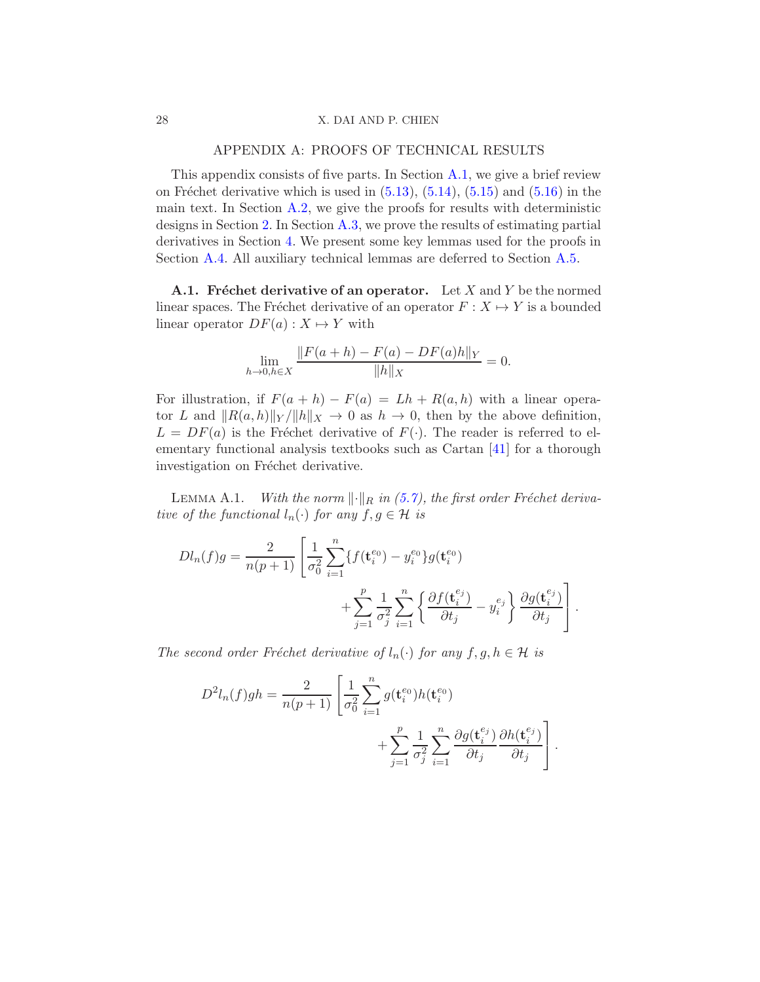#### 28 X. DAI AND P. CHIEN

## APPENDIX A: PROOFS OF TECHNICAL RESULTS

This appendix consists of five parts. In Section [A.1,](#page-27-1) we give a brief review on Fréchet derivative which is used in  $(5.13)$ ,  $(5.14)$ ,  $(5.15)$  and  $(5.16)$  in the main text. In Section  $A.2$ , we give the proofs for results with deterministic designs in Section [2.](#page-4-0) In Section [A.3,](#page-36-1) we prove the results of estimating partial derivatives in Section [4.](#page-10-0) We present some key lemmas used for the proofs in Section [A.4.](#page-41-0) All auxiliary technical lemmas are deferred to Section [A.5.](#page-51-1)

<span id="page-27-1"></span>**A.1.** Fréchet derivative of an operator. Let X and Y be the normed linear spaces. The Fréchet derivative of an operator  $F : X \mapsto Y$  is a bounded linear operator  $DF(a): X \mapsto Y$  with

$$
\lim_{h \to 0, h \in X} \frac{\|F(a+h) - F(a) - DF(a)h\|_Y}{\|h\|_X} = 0.
$$

For illustration, if  $F(a + h) - F(a) = Lh + R(a, h)$  with a linear operator L and  $||R(a, h)||_Y / ||h||_X \to 0$  as  $h \to 0$ , then by the above definition,  $L = DF(a)$  is the Fréchet derivative of  $F(\cdot)$ . The reader is referred to elementary functional analysis textbooks such as Cartan [\[41\]](#page-61-5) for a thorough investigation on Fréchet derivative.

<span id="page-27-0"></span>LEMMA A.1. With the norm  $\lVert \cdot \rVert_R$  in [\(5.7\)](#page-15-2), the first order Fréchet derivative of the functional  $l_n(\cdot)$  for any  $f, g \in \mathcal{H}$  is

$$
Dl_n(f)g = \frac{2}{n(p+1)} \left[ \frac{1}{\sigma_0^2} \sum_{i=1}^n \{ f(\mathbf{t}_i^{e_0}) - y_i^{e_0} \} g(\mathbf{t}_i^{e_0}) + \sum_{j=1}^p \frac{1}{\sigma_j^2} \sum_{i=1}^n \left\{ \frac{\partial f(\mathbf{t}_i^{e_j})}{\partial t_j} - y_i^{e_j} \right\} \frac{\partial g(\mathbf{t}_i^{e_j})}{\partial t_j} \right].
$$

The second order Fréchet derivative of  $l_n(\cdot)$  for any  $f, g, h \in \mathcal{H}$  is

$$
D^{2}l_{n}(f)gh = \frac{2}{n(p+1)} \left[ \frac{1}{\sigma_{0}^{2}} \sum_{i=1}^{n} g(\mathbf{t}_{i}^{e_{0}}) h(\mathbf{t}_{i}^{e_{0}}) + \sum_{j=1}^{p} \frac{1}{\sigma_{j}^{2}} \sum_{i=1}^{n} \frac{\partial g(\mathbf{t}_{i}^{e_{j}})}{\partial t_{j}} \frac{\partial h(\mathbf{t}_{i}^{e_{j}})}{\partial t_{j}} \right].
$$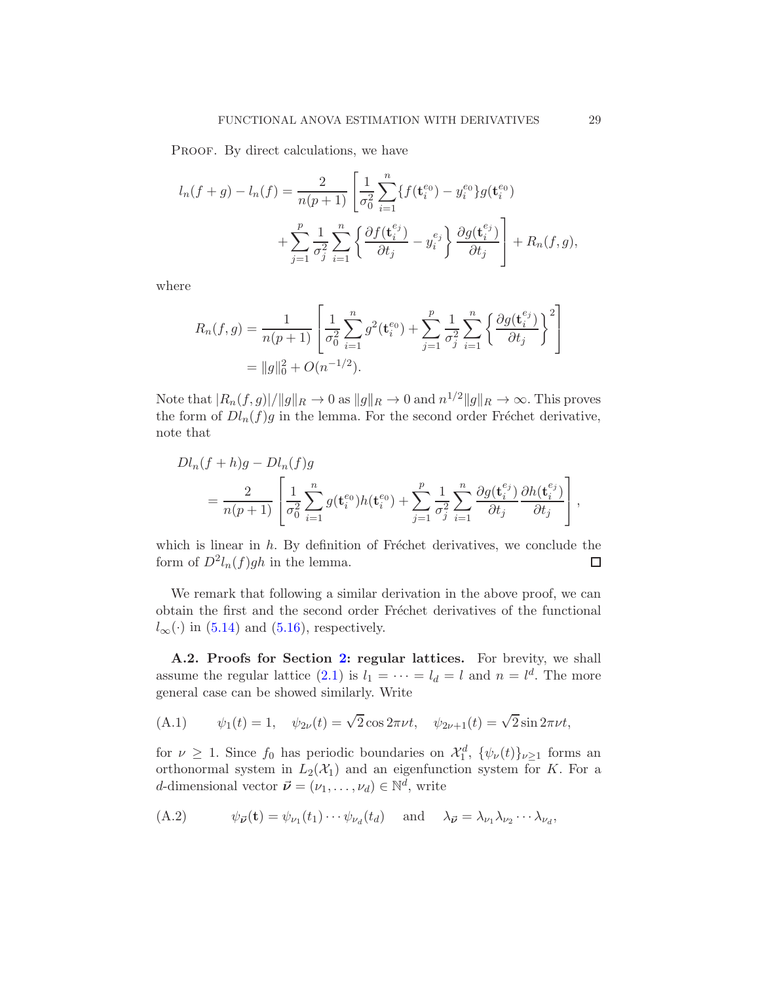PROOF. By direct calculations, we have

$$
l_n(f+g) - l_n(f) = \frac{2}{n(p+1)} \left[ \frac{1}{\sigma_0^2} \sum_{i=1}^n \{ f(\mathbf{t}_i^{e_0}) - y_i^{e_0} \} g(\mathbf{t}_i^{e_0}) + \sum_{j=1}^p \frac{1}{\sigma_j^2} \sum_{i=1}^n \left\{ \frac{\partial f(\mathbf{t}_i^{e_j})}{\partial t_j} - y_i^{e_j} \right\} \frac{\partial g(\mathbf{t}_i^{e_j})}{\partial t_j} \right] + R_n(f,g),
$$

where

$$
R_n(f,g) = \frac{1}{n(p+1)} \left[ \frac{1}{\sigma_0^2} \sum_{i=1}^n g^2(\mathbf{t}_i^{e_0}) + \sum_{j=1}^p \frac{1}{\sigma_j^2} \sum_{i=1}^n \left\{ \frac{\partial g(\mathbf{t}_i^{e_j})}{\partial t_j} \right\}^2 \right]
$$
  
=  $||g||_0^2 + O(n^{-1/2}).$ 

Note that  $|R_n(f, g)|/||g||_R \to 0$  as  $||g||_R \to 0$  and  $n^{1/2}||g||_R \to \infty$ . This proves the form of  $Dl_n(f)g$  in the lemma. For the second order Fréchet derivative, note that

$$
Dl_n(f + h)g - Dl_n(f)g
$$
  
=  $\frac{2}{n(p+1)} \left[ \frac{1}{\sigma_0^2} \sum_{i=1}^n g(\mathbf{t}_i^{e_0}) h(\mathbf{t}_i^{e_0}) + \sum_{j=1}^p \frac{1}{\sigma_j^2} \sum_{i=1}^n \frac{\partial g(\mathbf{t}_i^{e_j})}{\partial t_j} \frac{\partial h(\mathbf{t}_i^{e_j})}{\partial t_j} \right],$ 

which is linear in  $h$ . By definition of Fréchet derivatives, we conclude the form of  $D^2l_n(f)gh$  in the lemma. ◻

We remark that following a similar derivation in the above proof, we can obtain the first and the second order Fréchet derivatives of the functional  $l_{\infty}(\cdot)$  in [\(5.14\)](#page-17-4) and [\(5.16\)](#page-18-0), respectively.

<span id="page-28-0"></span>A.2. Proofs for Section [2:](#page-4-0) regular lattices. For brevity, we shall assume the regular lattice [\(2.1\)](#page-4-1) is  $l_1 = \cdots = l_d = l$  and  $n = l^d$ . The more general case can be showed similarly. Write

<span id="page-28-2"></span>(A.1) 
$$
\psi_1(t) = 1
$$
,  $\psi_{2\nu}(t) = \sqrt{2} \cos 2\pi \nu t$ ,  $\psi_{2\nu+1}(t) = \sqrt{2} \sin 2\pi \nu t$ ,

for  $\nu \geq 1$ . Since  $f_0$  has periodic boundaries on  $\mathcal{X}_1^d$ ,  $\{\psi_\nu(t)\}_{\nu \geq 1}$  forms an orthonormal system in  $L_2(\mathcal{X}_1)$  and an eigenfunction system for K. For a d-dimensional vector  $\vec{\nu} = (\nu_1, \dots, \nu_d) \in \mathbb{N}^d$ , write

<span id="page-28-1"></span>(A.2) 
$$
\psi_{\vec{\boldsymbol{\nu}}}(\mathbf{t}) = \psi_{\nu_1}(t_1) \cdots \psi_{\nu_d}(t_d) \quad \text{and} \quad \lambda_{\vec{\boldsymbol{\nu}}} = \lambda_{\nu_1} \lambda_{\nu_2} \cdots \lambda_{\nu_d},
$$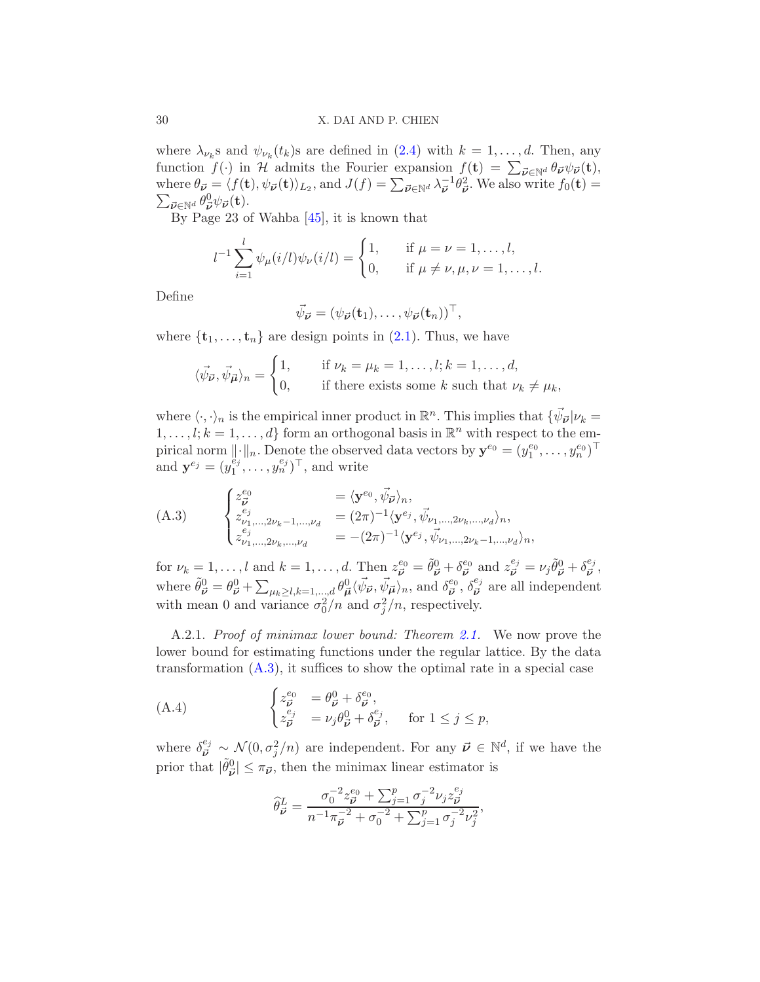where  $\lambda_{\nu_k}$ s and  $\psi_{\nu_k}(t_k)$ s are defined in  $(2.4)$  with  $k = 1, \ldots, d$ . Then, any function  $f(\cdot)$  in H admits the Fourier expansion  $f(\mathbf{t}) = \sum_{\vec{\nu} \in \mathbb{N}^d} \theta_{\vec{\nu}} \psi_{\vec{\nu}}(\mathbf{t}),$ where  $\theta_{\vec{\nu}} = \langle f(\mathbf{t}), \psi_{\vec{\nu}}(\mathbf{t}) \rangle_{L_2}$ , and  $J(f) = \sum_{\vec{\nu} \in \mathbb{N}^d} \lambda_{\vec{\nu}}^{-1} \theta_{\vec{\nu}}^2$ . We also write  $f_0(\mathbf{t}) = \sum_{\vec{\nu} \in \mathbb{N}^d} \theta_{\vec{\nu}}^0 \psi_{\vec{\nu}}(\mathbf{t})$ .  $\vec{\nu} \in \mathbb{N}^d \frac{\theta^0_{\vec{\nu}} \psi_{\vec{\nu}}(\mathbf{t})}{\mathbb{R}^n}$ 

By Page 23 of Wahba [\[45\]](#page-61-0), it is known that

$$
l^{-1} \sum_{i=1}^{l} \psi_{\mu}(i/l) \psi_{\nu}(i/l) = \begin{cases} 1, & \text{if } \mu = \nu = 1, \dots, l, \\ 0, & \text{if } \mu \neq \nu, \mu, \nu = 1, \dots, l. \end{cases}
$$

Define

$$
\vec{\psi}_{\vec{\boldsymbol{\nu}}}=(\psi_{\vec{\boldsymbol{\nu}}}(\mathbf{t}_1),\ldots,\psi_{\vec{\boldsymbol{\nu}}}(\mathbf{t}_n))^{\top},
$$

where  $\{t_1, \ldots, t_n\}$  are design points in [\(2.1\)](#page-4-1). Thus, we have

$$
\langle \vec{\psi}_{\vec{\nu}}, \vec{\psi}_{\vec{\mu}} \rangle_n = \begin{cases} 1, & \text{if } \nu_k = \mu_k = 1, \dots, l; k = 1, \dots, d, \\ 0, & \text{if there exists some } k \text{ such that } \nu_k \neq \mu_k, \end{cases}
$$

where  $\langle \cdot, \cdot \rangle_n$  is the empirical inner product in  $\mathbb{R}^n$ . This implies that  $\{\vec{\psi}_{\vec{\nu}} | \nu_k =$  $1, \ldots, l; k = 1, \ldots, d$  form an orthogonal basis in  $\mathbb{R}^n$  with respect to the empirical norm  $\|\cdot\|_n$ . Denote the observed data vectors by  $\mathbf{y}^{e_0} = (y_1^{e_0}, \dots, y_n^{e_0})^\top$ and  $\mathbf{y}^{e_j} = (y_1^{\ddot{e}_j})$  $\begin{bmatrix} e_j \\ 1 \end{bmatrix}^n, \ldots, y_n^{e_j} \end{bmatrix}^{\top}$ , and write

<span id="page-29-1"></span>(A.3) 
$$
\begin{cases} z_{\vec{\nu}}^{e_0} &= \langle \mathbf{y}^{e_0}, \vec{\psi}_{\vec{\nu}} \rangle_n, \\ z_{\nu_1, \dots, 2\nu_k - 1, \dots, \nu_d}^{e_j} &= (2\pi)^{-1} \langle \mathbf{y}^{e_j}, \vec{\psi}_{\nu_1, \dots, 2\nu_k, \dots, \nu_d} \rangle_n, \\ z_{\nu_1, \dots, 2\nu_k, \dots, \nu_d}^{e_j} &= -(2\pi)^{-1} \langle \mathbf{y}^{e_j}, \vec{\psi}_{\nu_1, \dots, 2\nu_k - 1, \dots, \nu_d} \rangle_n, \end{cases}
$$

for  $\nu_k = 1, \ldots, l$  and  $k = 1, \ldots, d$ . Then  $z_{\vec{\nu}}^{e_0} = \tilde{\theta}_{\vec{\nu}}^0 + \delta_{\vec{\nu}}^{e_0}$  $\frac{e_0}{\vec{\nu}}$  and  $z_{\vec{\nu}}^{e_j} = \nu_j \tilde{\theta}_{\vec{\nu}}^0 + \delta_{\vec{\nu}}^{e_j}$  $\frac{\epsilon_j}{\vec{\nu}},$ where  $\tilde{\theta}^0_{\vec{\nu}} = \theta^0_{\vec{\nu}} + \sum_{\mu_k \geq l, k=1,\dots,d} \theta^0_{\vec{\mu}} \langle \vec{\psi}_{\vec{\nu}}, \vec{\psi}_{\vec{\mu}} \rangle_n$ , and  $\delta^{e_0}_{\vec{\nu}}$  $\overline{\vec{\nu}}^{\,e_0}, \delta^{e_j}_{\vec{\nu}}$  $\vec{v}$  are all independent with mean 0 and variance  $\sigma_0^2/n$  and  $\sigma_j^2/n$ , respectively.

<span id="page-29-0"></span>A.2.1. Proof of minimax lower bound: Theorem [2.1.](#page-5-1) We now prove the lower bound for estimating functions under the regular lattice. By the data transformation  $(A.3)$ , it suffices to show the optimal rate in a special case

(A.4) 
$$
\begin{cases} z_{\vec{\nu}}^{e_0} &= \theta_{\vec{\nu}}^0 + \delta_{\vec{\nu}}^{e_0}, \\ z_{\vec{\nu}}^{e_j} &= \nu_j \theta_{\vec{\nu}}^0 + \delta_{\vec{\nu}}^{e_j}, \quad \text{for } 1 \leq j \leq p, \end{cases}
$$

where  $\delta_{\vec{v}}^{e_j} \sim \mathcal{N}(0, \sigma_j^2/n)$  are independent. For any  $\vec{v} \in \mathbb{N}^d$ , if we have the prior that  $|\tilde{\theta}_{\vec{\nu}}^0| \leq \pi_{\vec{\nu}}$ , then the minimax linear estimator is

<span id="page-29-2"></span>
$$
\widehat{\theta}_{\vec{\nu}}^{L} = \frac{\sigma_0^{-2} z_{\vec{\nu}}^{e_0} + \sum_{j=1}^p \sigma_j^{-2} \nu_j z_{\vec{\nu}}^{e_j}}{n^{-1} \pi_{\vec{\nu}}^{-2} + \sigma_0^{-2} + \sum_{j=1}^p \sigma_j^{-2} \nu_j^2},
$$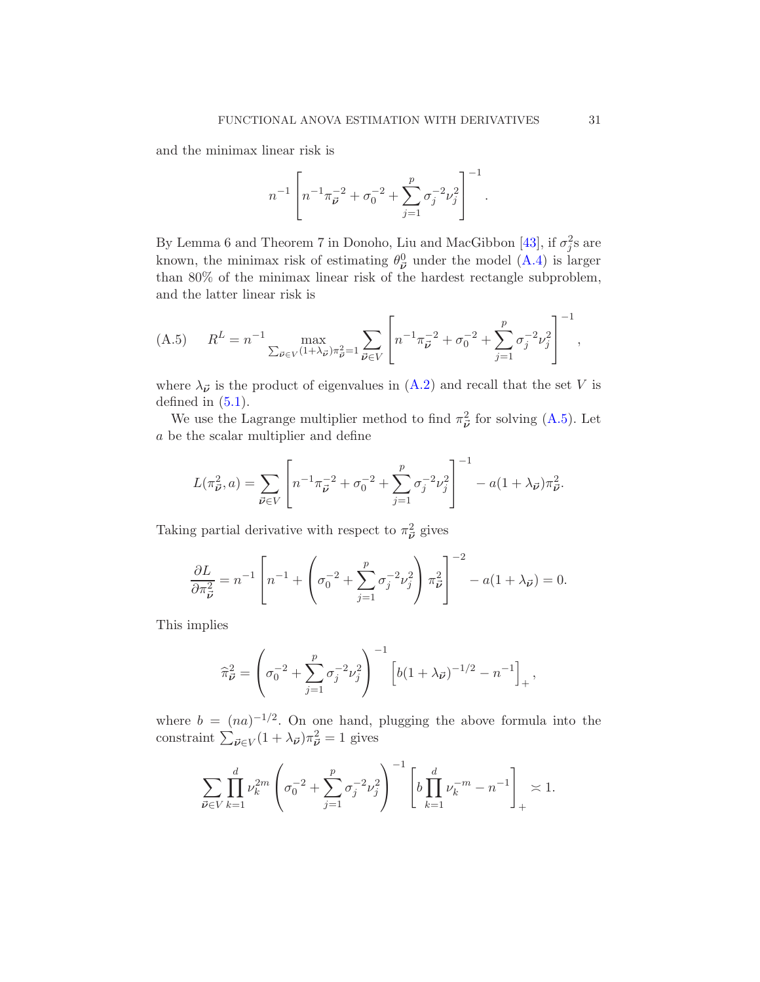and the minimax linear risk is

$$
n^{-1} \left[ n^{-1} \pi_{\vec{\boldsymbol{\nu}}}^{-2} + \sigma_0^{-2} + \sum_{j=1}^p \sigma_j^{-2} \nu_j^2 \right]^{-1}.
$$

By Lemma 6 and Theorem 7 in Donoho, Liu and MacGibbon [\[43](#page-61-6)], if  $\sigma_j^2$ s are known, the minimax risk of estimating  $\theta_{\vec{\nu}}^0$  under the model [\(A.4\)](#page-29-2) is larger than 80% of the minimax linear risk of the hardest rectangle subproblem, and the latter linear risk is

<span id="page-30-0"></span>(A.5) 
$$
R^{L} = n^{-1} \max_{\sum_{\vec{\nu} \in V} (1 + \lambda_{\vec{\nu}}) \pi_{\vec{\nu}}^2 = 1} \sum_{\vec{\nu} \in V} \left[ n^{-1} \pi_{\vec{\nu}}^{-2} + \sigma_0^{-2} + \sum_{j=1}^p \sigma_j^{-2} \nu_j^2 \right]^{-1},
$$

where  $\lambda_{\vec{\nu}}$  is the product of eigenvalues in  $(A.2)$  and recall that the set V is defined in  $(5.1)$ .

We use the Lagrange multiplier method to find  $\pi_{\vec{\nu}}^2$  for solving [\(A.5\)](#page-30-0). Let a be the scalar multiplier and define

$$
L(\pi_{\vec{\nu}}^2, a) = \sum_{\vec{\nu} \in V} \left[ n^{-1} \pi_{\vec{\nu}}^{-2} + \sigma_0^{-2} + \sum_{j=1}^p \sigma_j^{-2} \nu_j^2 \right]^{-1} - a(1 + \lambda_{\vec{\nu}}) \pi_{\vec{\nu}}^2.
$$

Taking partial derivative with respect to  $\pi_{\vec{\nu}}^2$  gives

$$
\frac{\partial L}{\partial \pi_{\vec{\nu}}^2} = n^{-1} \left[ n^{-1} + \left( \sigma_0^{-2} + \sum_{j=1}^p \sigma_j^{-2} \nu_j^2 \right) \pi_{\vec{\nu}}^2 \right]^{-2} - a(1 + \lambda_{\vec{\nu}}) = 0.
$$

This implies

$$
\widehat{\pi}_{\vec{\nu}}^2 = \left(\sigma_0^{-2} + \sum_{j=1}^p \sigma_j^{-2} \nu_j^2\right)^{-1} \left[b(1+\lambda_{\vec{\nu}})^{-1/2} - n^{-1}\right]_+,
$$

where  $b = (na)^{-1/2}$ . On one hand, plugging the above formula into the constraint  $\sum_{\vec{\nu} \in V} (1 + \lambda_{\vec{\nu}}) \pi_{\vec{\nu}}^2 = 1$  gives

$$
\sum_{\vec{\nu} \in V} \prod_{k=1}^d \nu_k^{2m} \left( \sigma_0^{-2} + \sum_{j=1}^p \sigma_j^{-2} \nu_j^2 \right)^{-1} \left[ b \prod_{k=1}^d \nu_k^{-m} - n^{-1} \right]_+ \asymp 1.
$$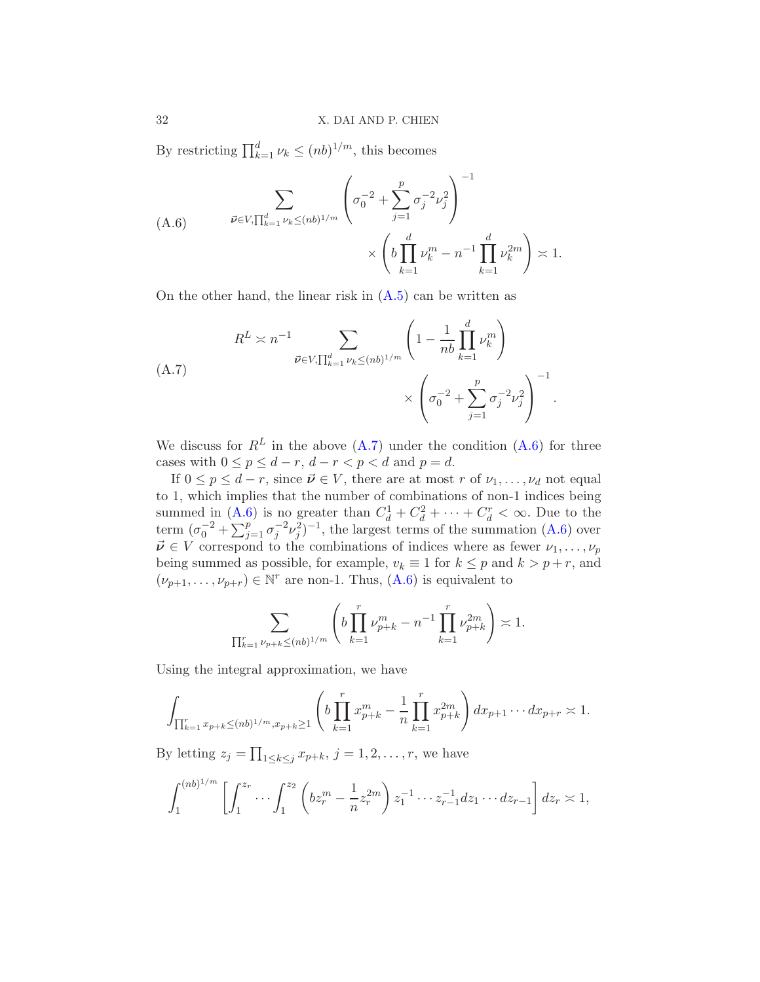By restricting  $\prod_{k=1}^{d} \nu_k \leq (nb)^{1/m}$ , this becomes

<span id="page-31-1"></span>(A.6) 
$$
\overline{\nu} \in V, \prod_{k=1}^{d} \nu_k \leq (nb)^{1/m} \left( \sigma_0^{-2} + \sum_{j=1}^{p} \sigma_j^{-2} \nu_j^2 \right)^{-1} \times \left( b \prod_{k=1}^{d} \nu_k^m - n^{-1} \prod_{k=1}^{d} \nu_k^{2m} \right) \asymp 1.
$$

On the other hand, the linear risk in [\(A.5\)](#page-30-0) can be written as

<span id="page-31-0"></span>
$$
R^{L} \asymp n^{-1} \sum_{\vec{\nu} \in V, \prod_{k=1}^{d} \nu_{k} \le (nb)^{1/m}} \left(1 - \frac{1}{nb} \prod_{k=1}^{d} \nu_{k}^{m}\right) \times \left(\sigma_{0}^{-2} + \sum_{j=1}^{p} \sigma_{j}^{-2} \nu_{j}^{2}\right)^{-1}.
$$

We discuss for  $R^L$  in the above  $(A.7)$  under the condition  $(A.6)$  for three cases with  $0 \le p \le d-r$ ,  $d-r < p < d$  and  $p = d$ .

If  $0 \leq p \leq d-r$ , since  $\vec{\nu} \in V$ , there are at most r of  $\nu_1, \ldots, \nu_d$  not equal to 1, which implies that the number of combinations of non-1 indices being summed in  $(A.6)$  is no greater than  $C_d^1 + C_d^2 + \cdots + C_d^r < \infty$ . Due to the term  $(\sigma_0^{-2} + \sum_{j=1}^p \sigma_j^{-2} \nu_j^2)^{-1}$ , the largest terms of the summation [\(A.6\)](#page-31-1) over  $\vec{\nu} \in V$  correspond to the combinations of indices where as fewer  $\nu_1, \ldots, \nu_p$ being summed as possible, for example,  $v_k \equiv 1$  for  $k \leq p$  and  $k > p + r$ , and  $(\nu_{p+1}, \ldots, \nu_{p+r}) \in \mathbb{N}^r$  are non-1. Thus,  $(A.6)$  is equivalent to

$$
\sum_{\prod_{k=1}^r\nu_{p+k}\le (nb)^{1/m}} \left( b \prod_{k=1}^r \nu_{p+k}^m - n^{-1} \prod_{k=1}^r \nu_{p+k}^{2m} \right) \asymp 1.
$$

Using the integral approximation, we have

$$
\int_{\prod_{k=1}^r x_{p+k} \le (nb)^{1/m}, x_{p+k} \ge 1} \left( b \prod_{k=1}^r x_{p+k}^m - \frac{1}{n} \prod_{k=1}^r x_{p+k}^{2m} \right) dx_{p+1} \cdots dx_{p+r} \asymp 1.
$$

By letting  $z_j = \prod_{1 \leq k \leq j} x_{p+k}, j = 1, 2, \ldots, r$ , we have

$$
\int_1^{(nb)^{1/m}} \left[ \int_1^{z_r} \cdots \int_1^{z_2} \left( b z_r^m - \frac{1}{n} z_r^{2m} \right) z_1^{-1} \cdots z_{r-1}^{-1} dz_1 \cdots dz_{r-1} \right] dz_r \asymp 1,
$$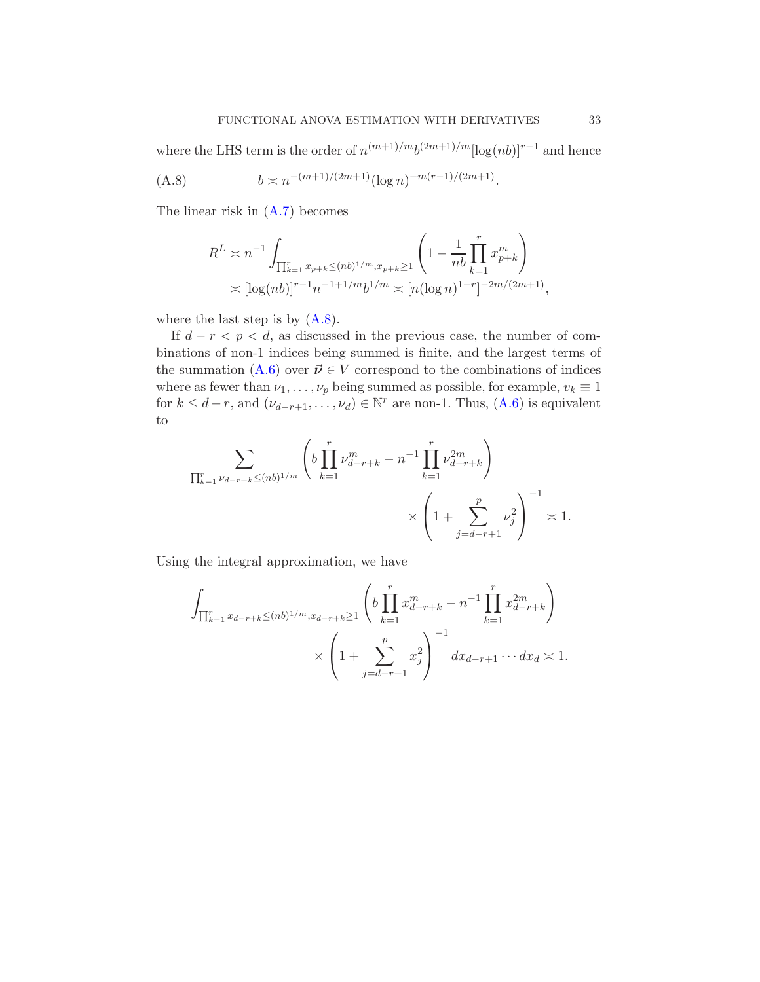where the LHS term is the order of  $n^{(m+1)/m}b^{(2m+1)/m}[\log(nb)]^{r-1}$  and hence

(A.8) 
$$
b \asymp n^{-(m+1)/(2m+1)} (\log n)^{-m(r-1)/(2m+1)}.
$$

The linear risk in [\(A.7\)](#page-31-0) becomes

<span id="page-32-0"></span>
$$
R^{L} \asymp n^{-1} \int_{\prod_{k=1}^{r} x_{p+k} \le (nb)^{1/m}, x_{p+k} \ge 1} \left( 1 - \frac{1}{nb} \prod_{k=1}^{r} x_{p+k}^{m} \right)
$$
  

$$
\asymp [\log(nb)]^{r-1} n^{-1+1/m} b^{1/m} \asymp [n (\log n)^{1-r}]^{-2m/(2m+1)},
$$

where the last step is by  $(A.8)$ .

If  $d - r < p < d$ , as discussed in the previous case, the number of combinations of non-1 indices being summed is finite, and the largest terms of the summation [\(A.6\)](#page-31-1) over  $\vec{\nu} \in V$  correspond to the combinations of indices where as fewer than  $\nu_1, \ldots, \nu_p$  being summed as possible, for example,  $v_k \equiv 1$ for  $k \leq d-r$ , and  $(\nu_{d-r+1}, \ldots, \nu_d) \in \mathbb{N}^r$  are non-1. Thus,  $(A.6)$  is equivalent to

$$
\sum_{\prod_{k=1}^r \nu_{d-r+k} \le (nb)^{1/m}} \left( b \prod_{k=1}^r \nu_{d-r+k}^m - n^{-1} \prod_{k=1}^r \nu_{d-r+k}^{2m} \right) \times \left( 1 + \sum_{j=d-r+1}^p \nu_j^2 \right)^{-1} \asymp 1.
$$

Using the integral approximation, we have

$$
\int_{\prod_{k=1}^r x_{d-r+k} \le (nb)^{1/m}, x_{d-r+k} \ge 1} \left( b \prod_{k=1}^r x_{d-r+k}^m - n^{-1} \prod_{k=1}^r x_{d-r+k}^{2m} \right) \times \left( 1 + \sum_{j=d-r+1}^p x_j^2 \right)^{-1} dx_{d-r+1} \cdots dx_d \asymp 1.
$$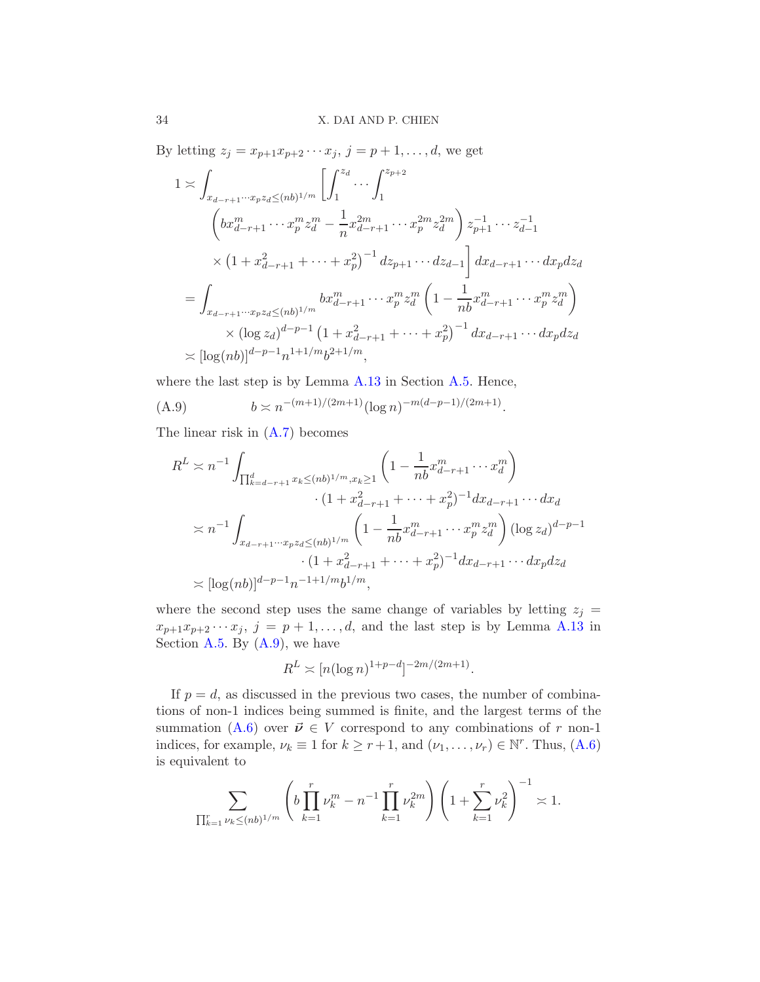By letting  $z_j = x_{p+1}x_{p+2}\cdots x_j, j = p+1, ..., d$ , we get

$$
1 \asymp \int_{x_{d-r+1}\cdots x_p z_d \le (nb)^{1/m}} \left[ \int_1^{z_d} \cdots \int_1^{z_{p+2}} \right]
$$
  
\n
$$
\left( bx_{d-r+1}^m \cdots x_p^m z_d^m - \frac{1}{n} x_{d-r+1}^{2m} \cdots x_p^{2m} z_d^{2m} \right) z_{p+1}^{-1} \cdots z_{d-1}^{-1}
$$
  
\n
$$
\times \left( 1 + x_{d-r+1}^2 + \cdots + x_p^2 \right)^{-1} dz_{p+1} \cdots dz_{d-1} \left] dx_{d-r+1} \cdots dx_p dz_d
$$
  
\n
$$
= \int_{x_{d-r+1}\cdots x_p z_d \le (nb)^{1/m}} bx_{d-r+1}^m \cdots x_p^m z_d^m \left( 1 - \frac{1}{nb} x_{d-r+1}^m \cdots x_p^m z_d^m \right)
$$
  
\n
$$
\times (\log z_d)^{d-p-1} \left( 1 + x_{d-r+1}^2 + \cdots + x_p^2 \right)^{-1} dx_{d-r+1} \cdots dx_p dz_d
$$
  
\n
$$
\asymp [\log(nb)]^{d-p-1} n^{1+1/m} b^{2+1/m},
$$

where the last step is by Lemma [A.13](#page-54-0) in Section [A.5.](#page-51-1) Hence,

(A.9) 
$$
b \asymp n^{-(m+1)/(2m+1)} (\log n)^{-m(d-p-1)/(2m+1)}
$$

The linear risk in [\(A.7\)](#page-31-0) becomes

<span id="page-33-0"></span>
$$
R^{L} \asymp n^{-1} \int_{\prod_{k=d-r+1}^{d} x_k \le (nb)^{1/m}, x_k \ge 1} \left( 1 - \frac{1}{nb} x_{d-r+1}^{m} \cdots x_d^{m} \right)
$$
  

$$
\qquad \qquad \cdot (1 + x_{d-r+1}^{2} + \cdots + x_p^{2})^{-1} dx_{d-r+1} \cdots dx_d
$$
  

$$
\qquad \asymp n^{-1} \int_{x_{d-r+1} \cdots x_p z_d \le (nb)^{1/m}} \left( 1 - \frac{1}{nb} x_{d-r+1}^{m} \cdots x_p^{m} z_d^{m} \right) (\log z_d)^{d-p-1}
$$
  

$$
\qquad \qquad \cdot (1 + x_{d-r+1}^{2} + \cdots + x_p^{2})^{-1} dx_{d-r+1} \cdots dx_p dz_d
$$
  

$$
\asymp [\log(nb)]^{d-p-1} n^{-1+1/m} b^{1/m},
$$

.

where the second step uses the same change of variables by letting  $z_i =$  $x_{p+1}x_{p+2}\cdots x_j$ ,  $j=p+1,\ldots,d$ , and the last step is by Lemma [A.13](#page-54-0) in Section [A.5.](#page-51-1) By  $(A.9)$ , we have

$$
R^{L} \asymp [n(\log n)^{1+p-d}]^{-2m/(2m+1)}.
$$

If  $p = d$ , as discussed in the previous two cases, the number of combinations of non-1 indices being summed is finite, and the largest terms of the summation [\(A.6\)](#page-31-1) over  $\vec{\nu} \in V$  correspond to any combinations of r non-1 indices, for example,  $\nu_k \equiv 1$  for  $k \ge r+1$ , and  $(\nu_1, \ldots, \nu_r) \in \mathbb{N}^r$ . Thus,  $(A.6)$ is equivalent to

$$
\sum_{\prod_{k=1}^r \nu_k \le (nb)^{1/m}} \left( b \prod_{k=1}^r \nu_k^m - n^{-1} \prod_{k=1}^r \nu_k^{2m} \right) \left( 1 + \sum_{k=1}^r \nu_k^2 \right)^{-1} \asymp 1.
$$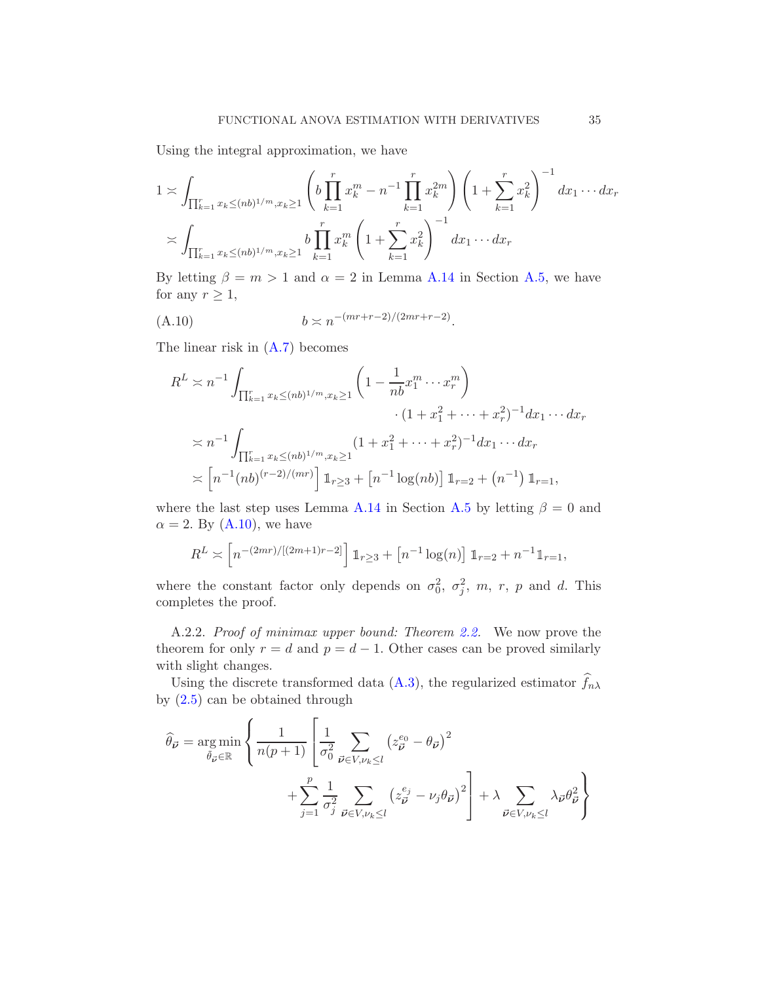Using the integral approximation, we have

$$
1 \asymp \int_{\prod_{k=1}^r x_k \le (nb)^{1/m}, x_k \ge 1} \left( b \prod_{k=1}^r x_k^m - n^{-1} \prod_{k=1}^r x_k^{2m} \right) \left( 1 + \sum_{k=1}^r x_k^2 \right)^{-1} dx_1 \cdots dx_r
$$
  

$$
\asymp \int_{\prod_{k=1}^r x_k \le (nb)^{1/m}, x_k \ge 1} b \prod_{k=1}^r x_k^m \left( 1 + \sum_{k=1}^r x_k^2 \right)^{-1} dx_1 \cdots dx_r
$$

By letting  $\beta = m > 1$  and  $\alpha = 2$  in Lemma [A.14](#page-55-0) in Section [A.5,](#page-51-1) we have for any  $r \geq 1$ ,

(A.10) 
$$
b \asymp n^{-(mr+r-2)/(2mr+r-2)}.
$$

The linear risk in [\(A.7\)](#page-31-0) becomes

<span id="page-34-1"></span>
$$
R^{L} \asymp n^{-1} \int_{\prod_{k=1}^{r} x_k \le (nb)^{1/m}, x_k \ge 1} \left( 1 - \frac{1}{nb} x_1^m \cdots x_r^m \right) \cdot (1 + x_1^2 + \cdots + x_r^2)^{-1} dx_1 \cdots dx_r
$$
  
\n
$$
\asymp n^{-1} \int_{\prod_{k=1}^{r} x_k \le (nb)^{1/m}, x_k \ge 1} (1 + x_1^2 + \cdots + x_r^2)^{-1} dx_1 \cdots dx_r
$$
  
\n
$$
\asymp \left[ n^{-1} (nb)^{(r-2)/(mr)} \right] \mathbb{1}_{r \ge 3} + \left[ n^{-1} \log(nb) \right] \mathbb{1}_{r=2} + (n^{-1}) \mathbb{1}_{r=1},
$$

where the last step uses Lemma [A.14](#page-55-0) in Section [A.5](#page-51-1) by letting  $\beta = 0$  and  $\alpha = 2$ . By [\(A.10\)](#page-34-1), we have

$$
R^{L} \asymp \left[ n^{-(2mr)/[(2m+1)r-2]} \right] \mathbb{1}_{r \geq 3} + \left[ n^{-1} \log(n) \right] \mathbb{1}_{r=2} + n^{-1} \mathbb{1}_{r=1},
$$

where the constant factor only depends on  $\sigma_0^2$ ,  $\sigma_j^2$ , m, r, p and d. This completes the proof.

<span id="page-34-0"></span>A.2.2. Proof of minimax upper bound: Theorem [2.2.](#page-6-1) We now prove the theorem for only  $r = d$  and  $p = d - 1$ . Other cases can be proved similarly with slight changes.

Using the discrete transformed data [\(A.3\)](#page-29-1), the regularized estimator  $f_{n\lambda}$ by [\(2.5\)](#page-6-0) can be obtained through

$$
\widehat{\theta}_{\vec{\nu}} = \underset{\tilde{\theta}_{\vec{\nu}} \in \mathbb{R}}{\arg \min} \left\{ \frac{1}{n(p+1)} \left[ \frac{1}{\sigma_0^2} \sum_{\vec{\nu} \in V, \nu_k \le l} \left( z_{\vec{\nu}}^{e_0} - \theta_{\vec{\nu}} \right)^2 + \sum_{j=1}^p \frac{1}{\sigma_j^2} \sum_{\vec{\nu} \in V, \nu_k \le l} \left( z_{\vec{\nu}}^{e_j} - \nu_j \theta_{\vec{\nu}} \right)^2 \right] + \lambda \sum_{\vec{\nu} \in V, \nu_k \le l} \lambda_{\vec{\nu}} \theta_{\vec{\nu}}^2 \right\}
$$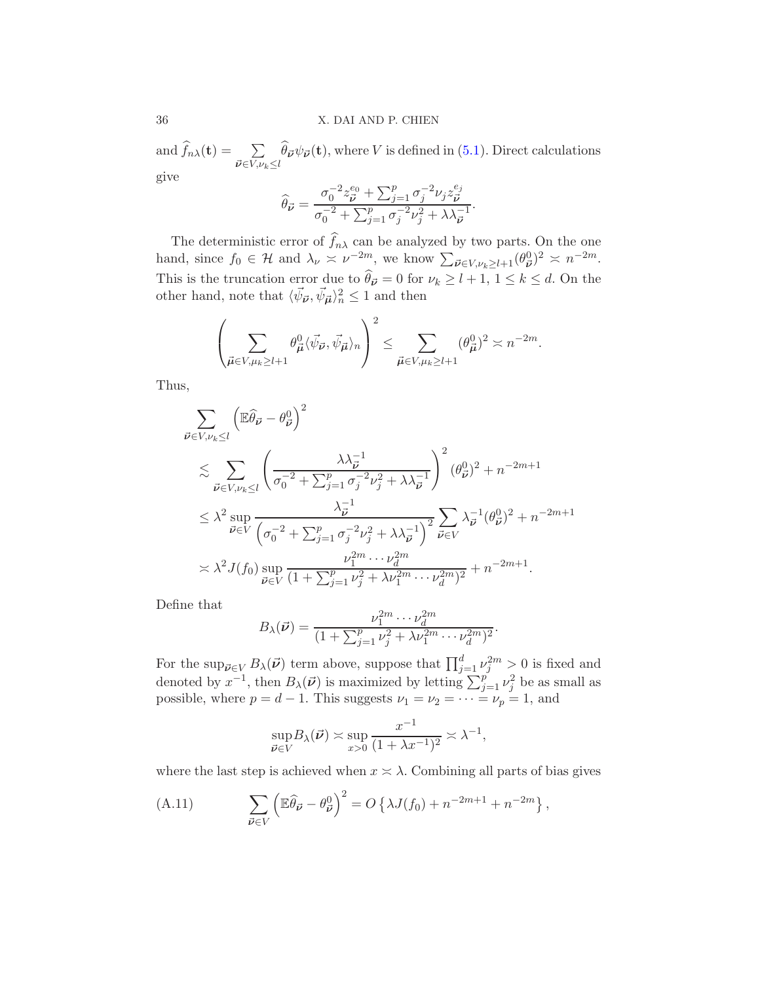and  $\widehat{f}_{n\lambda}(\mathbf{t}) = \sum_{\mathbf{t} \in \mathcal{L}}$  $\vec{\nu} \in V, \nu_k \leq l$  $\theta_{\vec{\nu}}\psi_{\vec{\nu}}(\mathbf{t}),$  where V is defined in [\(5.1\)](#page-11-2). Direct calculations

give

$$
\widehat{\theta}_{\vec{\nu}} = \frac{\sigma_0^{-2} z_{\vec{\nu}}^{e_0} + \sum_{j=1}^p \sigma_j^{-2} \nu_j z_{\vec{\nu}}^{e_j}}{\sigma_0^{-2} + \sum_{j=1}^p \sigma_j^{-2} \nu_j^2 + \lambda \lambda_{\vec{\nu}}^{-1}}.
$$

The deterministic error of  $f_{n\lambda}$  can be analyzed by two parts. On the one hand, since  $f_0 \in \mathcal{H}$  and  $\lambda_{\nu} \approx \nu^{-2m}$ , we know  $\sum_{\vec{\nu} \in V, \nu_k \geq l+1} (\theta_{\vec{\nu}}^0)^2 \approx n^{-2m}$ . This is the truncation error due to  $\theta_{\vec{\nu}} = 0$  for  $\nu_k \ge l + 1, 1 \le k \le d$ . On the other hand, note that  $\langle \vec{\psi}_{\vec{\nu}}, \vec{\psi}_{\vec{\mu}} \rangle_n^2 \leq 1$  and then

$$
\left(\sum_{\vec{\mu}\in V,\mu_k\geq l+1}\theta_{\vec{\mu}}^0\langle\vec{\psi}_{\vec{\nu}},\vec{\psi}_{\vec{\mu}}\rangle_n\right)^2\leq \sum_{\vec{\mu}\in V,\mu_k\geq l+1}(\theta_{\vec{\mu}}^0)^2\asymp n^{-2m}.
$$

Thus,

$$
\sum_{\vec{\nu} \in V, \nu_k \le l} \left( \mathbb{E} \hat{\theta}_{\vec{\nu}} - \theta_{\vec{\nu}}^0 \right)^2
$$
\n
$$
\lesssim \sum_{\vec{\nu} \in V, \nu_k \le l} \left( \frac{\lambda \lambda_{\vec{\nu}}^{-1}}{\sigma_0^{-2} + \sum_{j=1}^p \sigma_j^{-2} \nu_j^2 + \lambda \lambda_{\vec{\nu}}^{-1}} \right)^2 (\theta_{\vec{\nu}}^0)^2 + n^{-2m+1}
$$
\n
$$
\le \lambda^2 \sup_{\vec{\nu} \in V} \frac{\lambda_{\vec{\nu}}^{-1}}{\left( \sigma_0^{-2} + \sum_{j=1}^p \sigma_j^{-2} \nu_j^2 + \lambda \lambda_{\vec{\nu}}^{-1} \right)^2} \sum_{\vec{\nu} \in V} \lambda_{\vec{\nu}}^{-1} (\theta_{\vec{\nu}}^0)^2 + n^{-2m+1}
$$
\n
$$
\asymp \lambda^2 J(f_0) \sup_{\vec{\nu} \in V} \frac{\nu_1^{2m} \cdots \nu_d^{2m}}{(1 + \sum_{j=1}^p \nu_j^2 + \lambda \nu_1^{2m} \cdots \nu_d^{2m})^2} + n^{-2m+1}.
$$

Define that

$$
B_{\lambda}(\vec{\nu}) = \frac{\nu_1^{2m} \cdots \nu_d^{2m}}{(1 + \sum_{j=1}^p \nu_j^2 + \lambda \nu_1^{2m} \cdots \nu_d^{2m})^2}.
$$

For the sup<sub> $\vec{\nu} \in V$ </sub>  $B_{\lambda}(\vec{\nu})$  term above, suppose that  $\prod_{j=1}^{d} \nu_j^{2m} > 0$  is fixed and denoted by  $x^{-1}$ , then  $B_\lambda(\vec{\nu})$  is maximized by letting  $\sum_{j=1}^p \nu_j^2$  be as small as possible, where  $p = d - 1$ . This suggests  $\nu_1 = \nu_2 = \cdots = \nu_p = 1$ , and

<span id="page-35-0"></span>
$$
\sup_{\vec{\boldsymbol{\nu}} \in V} B_{\lambda}(\vec{\boldsymbol{\nu}}) \asymp \sup_{x > 0} \frac{x^{-1}}{(1 + \lambda x^{-1})^2} \asymp \lambda^{-1},
$$

where the last step is achieved when  $x \geq \lambda$ . Combining all parts of bias gives

(A.11) 
$$
\sum_{\vec{\nu}\in V} \left(\mathbb{E}\widehat{\theta}_{\vec{\nu}} - \theta_{\vec{\nu}}^0\right)^2 = O\left\{\lambda J(f_0) + n^{-2m+1} + n^{-2m}\right\},\,
$$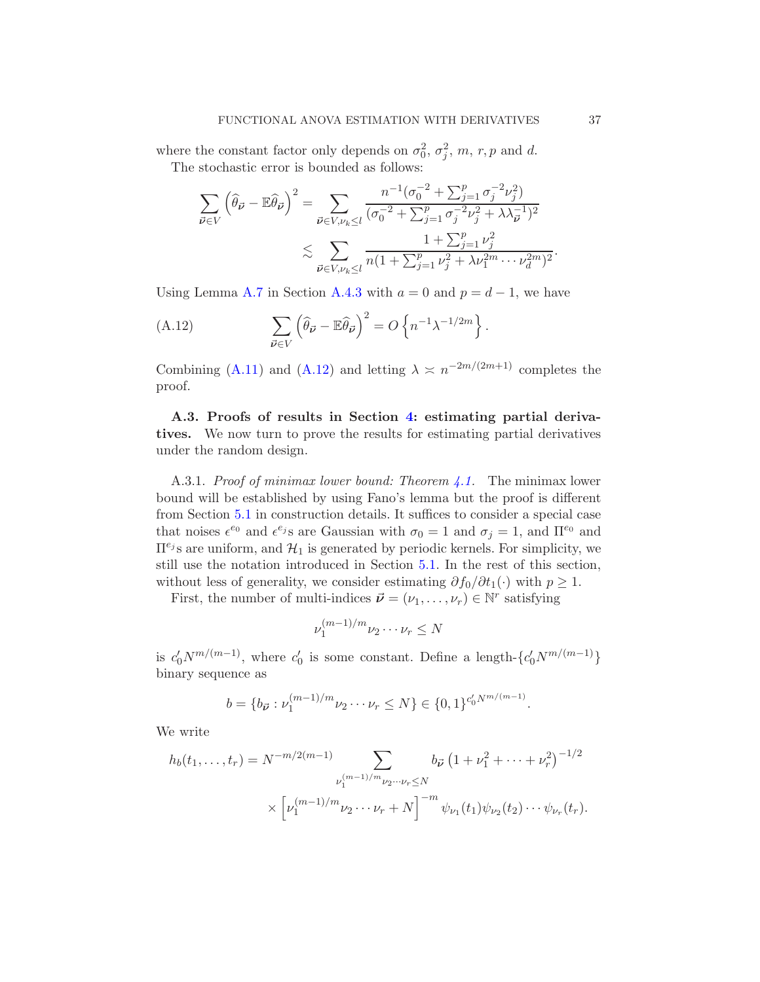where the constant factor only depends on  $\sigma_0^2$ ,  $\sigma_j^2$ , m, r, p and d. The stochastic error is bounded as follows:

$$
\sum_{\vec{\nu} \in V} \left( \hat{\theta}_{\vec{\nu}} - \mathbb{E} \hat{\theta}_{\vec{\nu}} \right)^2 = \sum_{\vec{\nu} \in V, \nu_k \le l} \frac{n^{-1} (\sigma_0^{-2} + \sum_{j=1}^p \sigma_j^{-2} \nu_j^2)}{(\sigma_0^{-2} + \sum_{j=1}^p \sigma_j^{-2} \nu_j^2 + \lambda \lambda_{\vec{\nu}}^{-1})^2} \le \sum_{\vec{\nu} \in V, \nu_k \le l} \frac{1 + \sum_{j=1}^p \nu_j^2}{n(1 + \sum_{j=1}^p \nu_j^2 + \lambda \nu_1^{2m} \cdots \nu_d^{2m})^2}.
$$

Using Lemma [A.7](#page-44-0) in Section [A.4.3](#page-44-1) with  $a = 0$  and  $p = d - 1$ , we have

<span id="page-36-2"></span>(A.12) 
$$
\sum_{\vec{\nu} \in V} \left( \widehat{\theta}_{\vec{\nu}} - \mathbb{E} \widehat{\theta}_{\vec{\nu}} \right)^2 = O \left\{ n^{-1} \lambda^{-1/2m} \right\}.
$$

Combining [\(A.11\)](#page-35-0) and [\(A.12\)](#page-36-2) and letting  $\lambda \approx n^{-2m/(2m+1)}$  completes the proof.

<span id="page-36-1"></span>A.3. Proofs of results in Section [4:](#page-10-0) estimating partial derivatives. We now turn to prove the results for estimating partial derivatives under the random design.

<span id="page-36-0"></span>A.3.1. *Proof of minimax lower bound: Theorem 4.1*. The minimax lower bound will be established by using Fano's lemma but the proof is different from Section [5.1](#page-11-1) in construction details. It suffices to consider a special case that noises  $\epsilon^{e_0}$  and  $\epsilon^{e_j}$ s are Gaussian with  $\sigma_0 = 1$  and  $\sigma_j = 1$ , and  $\Pi^{e_0}$  and  $\Pi^{e_j}$  are uniform, and  $\mathcal{H}_1$  is generated by periodic kernels. For simplicity, we still use the notation introduced in Section [5.1.](#page-11-1) In the rest of this section, without less of generality, we consider estimating  $\partial f_0/\partial t_1(\cdot)$  with  $p \geq 1$ .

First, the number of multi-indices  $\vec{\nu} = (\nu_1, \dots, \nu_r) \in \mathbb{N}^r$  satisfying

$$
\nu_1^{(m-1)/m}\nu_2\cdots\nu_r\leq N
$$

is  $c'_0 N^{m/(m-1)}$ , where  $c'_0$  is some constant. Define a length- $\{c'_0 N^{m/(m-1)}\}$ binary sequence as

$$
b = \{b_{\vec{\nu}} : \nu_1^{(m-1)/m} \nu_2 \cdots \nu_r \le N\} \in \{0,1\}^{c'_0 N^{m/(m-1)}}.
$$

We write

$$
h_b(t_1, \dots, t_r) = N^{-m/2(m-1)} \sum_{\nu_1^{(m-1)/m} \nu_2 \dots \nu_r \le N} b_{\vec{\nu}} \left( 1 + \nu_1^2 + \dots + \nu_r^2 \right)^{-1/2}
$$

$$
\times \left[ \nu_1^{(m-1)/m} \nu_2 \dots \nu_r + N \right]^{-m} \psi_{\nu_1}(t_1) \psi_{\nu_2}(t_2) \dots \psi_{\nu_r}(t_r).
$$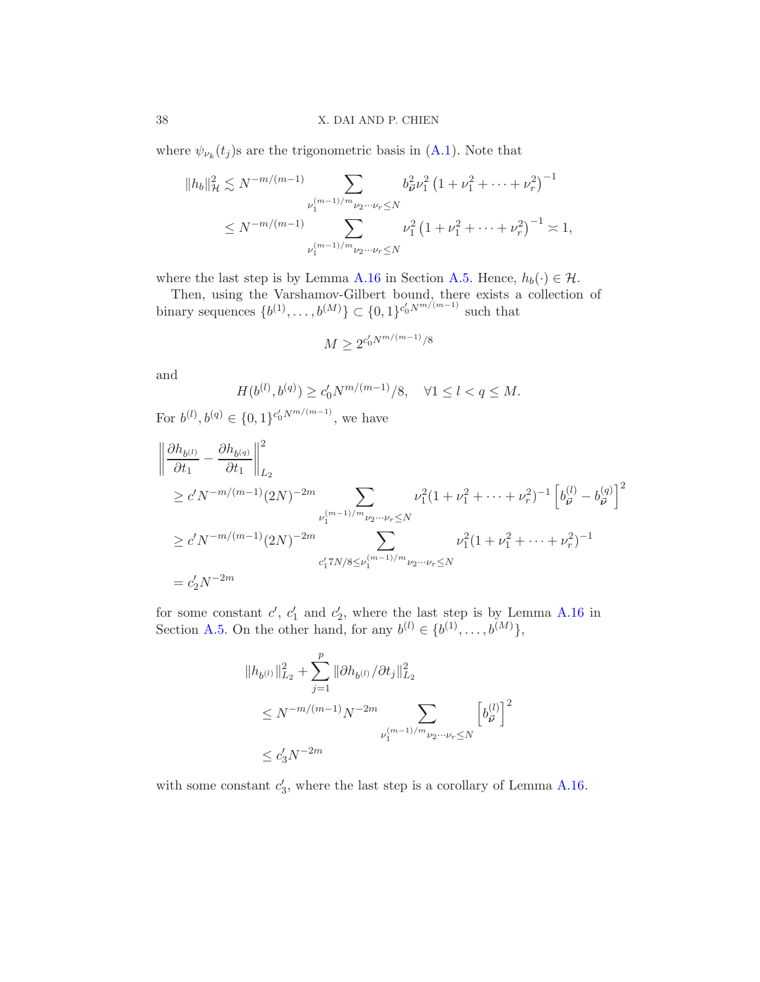where  $\psi_{\nu_k}(t_j)$ s are the trigonometric basis in [\(A.1\)](#page-28-2). Note that

$$
||h_b||_{\mathcal{H}}^2 \lesssim N^{-m/(m-1)} \sum_{\nu_1^{(m-1)/m} \nu_2 \cdots \nu_r \leq N} b_{\vec{\nu}}^2 \nu_1^2 \left(1 + \nu_1^2 + \cdots + \nu_r^2\right)^{-1}
$$
  

$$
\leq N^{-m/(m-1)} \sum_{\nu_1^{(m-1)/m} \nu_2 \cdots \nu_r \leq N} \nu_1^2 \left(1 + \nu_1^2 + \cdots + \nu_r^2\right)^{-1} \asymp 1,
$$

where the last step is by Lemma [A.16](#page-58-0) in Section [A.5.](#page-51-1) Hence,  $h_b(\cdot) \in \mathcal{H}$ .

Then, using the Varshamov-Gilbert bound, there exists a collection of binary sequences  $\{b^{(1)}, \ldots, b^{(M)}\} \subset \{0, 1\}^{c'_0 N^{m/(m-1)}}$  such that

$$
M \ge 2^{c_0' N^{m/(m-1)}/8}
$$

and

$$
H(b^{(l)}, b^{(q)}) \ge c'_0 N^{m/(m-1)}/8, \quad \forall 1 \le l < q \le M.
$$

For  $b^{(l)}, b^{(q)} \in \{0, 1\}^{c'_0 N^{m/(m-1)}},$  we have

$$
\begin{aligned}\n\left\| \frac{\partial h_{b^{(l)}}}{\partial t_1} - \frac{\partial h_{b^{(q)}}}{\partial t_1} \right\|_{L_2}^2 \\
&\ge c' N^{-m/(m-1)} (2N)^{-2m} \sum_{\nu_1^{(m-1)/m} \nu_2 \cdots \nu_r \le N} \nu_1^2 (1 + \nu_1^2 + \cdots + \nu_r^2)^{-1} \left[ b_{\vec{\nu}}^{(l)} - b_{\vec{\nu}}^{(q)} \right]^2 \\
&\ge c' N^{-m/(m-1)} (2N)^{-2m} \sum_{c'_1 \in N/N/8 \le \nu_1^{(m-1)/m} \nu_2 \cdots \nu_r \le N} \nu_1^2 (1 + \nu_1^2 + \cdots + \nu_r^2)^{-1} \\
&= c'_2 N^{-2m}\n\end{aligned}
$$

for some constant  $c'$ ,  $c'_1$  and  $c'_2$ , where the last step is by Lemma [A.16](#page-58-0) in Section [A.5.](#page-51-1) On the other hand, for any  $b^{(l)} \in \{b^{(1)}, \ldots, b^{(M)}\},$ 

$$
||h_{b^{(l)}}||_{L_2}^2 + \sum_{j=1}^p ||\partial h_{b^{(l)}} / \partial t_j||_{L_2}^2
$$
  
\n
$$
\leq N^{-m/(m-1)}N^{-2m} \sum_{\nu_1^{(m-1)/m} \nu_2 \cdots \nu_r \leq N} \left[ b_{\vec{\nu}}^{(l)} \right]^2
$$
  
\n
$$
\leq c'_3 N^{-2m}
$$

with some constant  $c'_3$ , where the last step is a corollary of Lemma [A.16.](#page-58-0)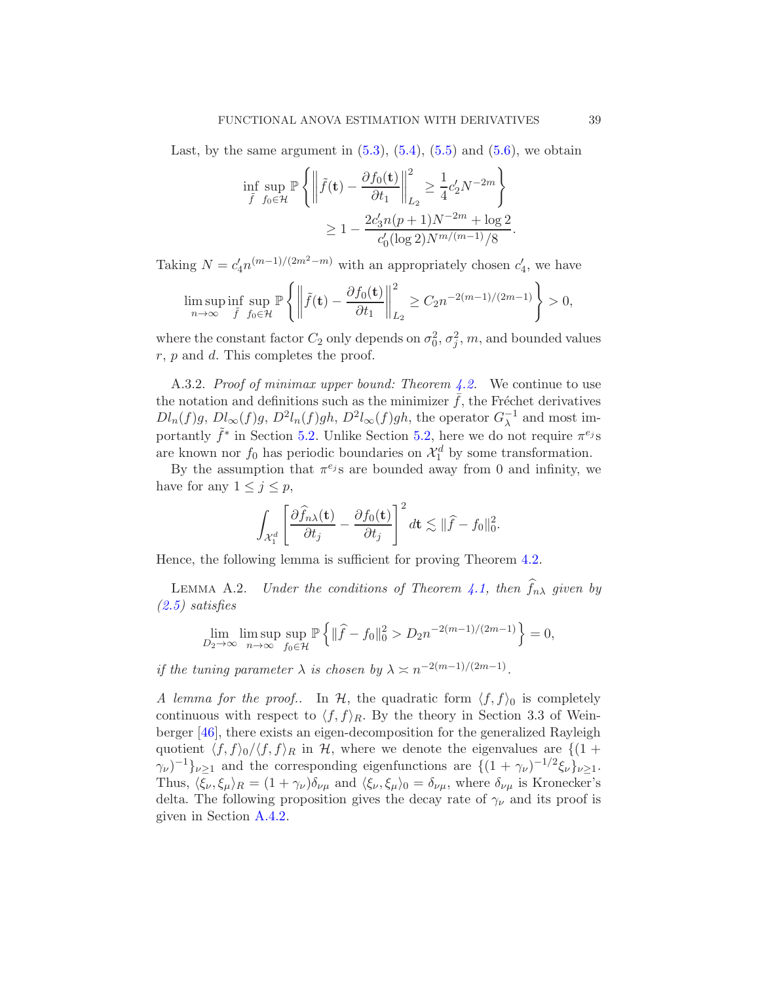Last, by the same argument in  $(5.3)$ ,  $(5.4)$ ,  $(5.5)$  and  $(5.6)$ , we obtain

$$
\inf_{\tilde{f}} \sup_{f_0 \in \mathcal{H}} \mathbb{P} \left\{ \left\| \tilde{f}(\mathbf{t}) - \frac{\partial f_0(\mathbf{t})}{\partial t_1} \right\|_{L_2}^2 \ge \frac{1}{4} c_2' N^{-2m} \right\} \n\ge 1 - \frac{2c_3' n (p+1) N^{-2m} + \log 2}{c_0' (\log 2) N^{m/(m-1)}/8}.
$$

Taking  $N = c_4' n^{(m-1)/(2m^2-m)}$  with an appropriately chosen  $c_4'$ , we have

$$
\limsup_{n\to\infty}\inf_{\tilde{f}}\sup_{f_0\in\mathcal{H}}\mathbb{P}\left\{\left\|\tilde{f}(\mathbf{t})-\frac{\partial f_0(\mathbf{t})}{\partial t_1}\right\|_{L_2}^2\geq C_2n^{-2(m-1)/(2m-1)}\right\}>0,
$$

where the constant factor  $C_2$  only depends on  $\sigma_0^2$ ,  $\sigma_j^2$ , m, and bounded values  $r, p$  and  $d$ . This completes the proof.

<span id="page-38-0"></span>A.3.2. Proof of minimax upper bound: Theorem  $4.2$ . We continue to use the notation and definitions such as the minimizer  $f$ , the Fréchet derivatives  $Dl_n(f)g$ ,  $Dl_\infty(f)g$ ,  $D^2l_n(f)gh$ ,  $D^2l_\infty(f)gh$ , the operator  $G_\lambda^{-1}$  and most importantly  $\tilde{f}^*$  in Section [5.2.](#page-15-3) Unlike Section [5.2,](#page-15-3) here we do not require  $\pi^{e_j}$ s are known nor  $f_0$  has periodic boundaries on  $\mathcal{X}_1^d$  by some transformation.

By the assumption that  $\pi^{e_j}$ s are bounded away from 0 and infinity, we have for any  $1 \leq j \leq p$ ,

$$
\int_{\mathcal{X}_1^d} \left[ \frac{\partial \widehat{f}_{n\lambda}(\mathbf{t})}{\partial t_j} - \frac{\partial f_0(\mathbf{t})}{\partial t_j} \right]^2 d\mathbf{t} \lesssim \| \widehat{f} - f_0 \|_0^2.
$$

Hence, the following lemma is sufficient for proving Theorem [4.2.](#page-10-2)

<span id="page-38-1"></span>LEMMA A.2. Under the conditions of Theorem [4.1,](#page-10-1) then  $f_{n\lambda}$  given by [\(2.5\)](#page-6-0) satisfies

$$
\lim_{D_2 \to \infty} \limsup_{n \to \infty} \sup_{f_0 \in \mathcal{H}} \mathbb{P} \left\{ \| \widehat{f} - f_0 \|_0^2 > D_2 n^{-2(m-1)/(2m-1)} \right\} = 0,
$$

if the tuning parameter  $\lambda$  is chosen by  $\lambda \asymp n^{-2(m-1)/(2m-1)}$ .

A lemma for the proof.. In H, the quadratic form  $\langle f, f \rangle$  is completely continuous with respect to  $\langle f, f \rangle_R$ . By the theory in Section 3.3 of Weinberger [\[46\]](#page-61-3), there exists an eigen-decomposition for the generalized Rayleigh quotient  $\langle f, f \rangle_0 / \langle f, f \rangle_R$  in H, where we denote the eigenvalues are  $\{(1 +$  $(\gamma_{\nu})^{-1}\}_{\nu\geq 1}$  and the corresponding eigenfunctions are  $\{(1+\gamma_{\nu})^{-1/2}\xi_{\nu}\}_{\nu\geq 1}$ . Thus,  $\langle \xi_{\nu}, \xi_{\mu} \rangle_R = (1 + \gamma_{\nu}) \delta_{\nu\mu}$  and  $\langle \xi_{\nu}, \xi_{\mu} \rangle_0 = \delta_{\nu\mu}$ , where  $\delta_{\nu\mu}$  is Kronecker's delta. The following proposition gives the decay rate of  $\gamma_{\nu}$  and its proof is given in Section [A.4.2.](#page-43-0)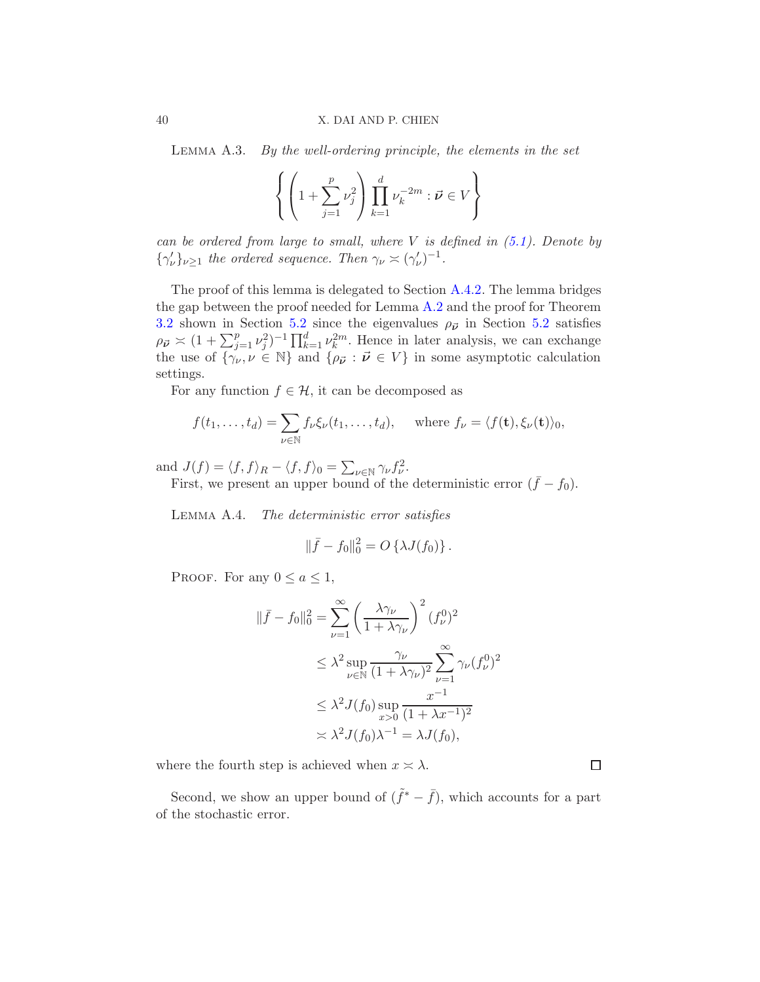<span id="page-39-0"></span>Lemma A.3. By the well-ordering principle, the elements in the set

$$
\left\{ \left( 1 + \sum_{j=1}^p \nu_j^2 \right) \prod_{k=1}^d \nu_k^{-2m} : \vec{\nu} \in V \right\}
$$

can be ordered from large to small, where  $V$  is defined in  $(5.1)$ . Denote by  $\{\gamma'_{\nu}\}_{\nu\geq 1}$  the ordered sequence. Then  $\gamma_{\nu} \asymp (\gamma'_{\nu})^{-1}$ .

The proof of this lemma is delegated to Section [A.4.2.](#page-43-0) The lemma bridges the gap between the proof needed for Lemma  $A.2$  and the proof for Theorem [3.2](#page-8-0) shown in Section [5.2](#page-15-3) since the eigenvalues  $\rho_{\vec{\nu}}$  in Section 5.2 satisfies  $\rho_{\vec{\nu}} \times (1 + \sum_{j=1}^p \nu_j^2)^{-1} \prod_{k=1}^d \nu_k^{2m}$ . Hence in later analysis, we can exchange the use of  $\{\gamma_{\nu}, \nu \in \mathbb{N}\}\$  and  $\{\rho_{\vec{\nu}} : \vec{\nu} \in V\}\$  in some asymptotic calculation settings.

For any function  $f \in \mathcal{H}$ , it can be decomposed as

$$
f(t_1,\ldots,t_d)=\sum_{\nu\in\mathbb{N}}f_{\nu}\xi_{\nu}(t_1,\ldots,t_d),\quad \text{where }f_{\nu}=\langle f(\mathbf{t}),\xi_{\nu}(\mathbf{t})\rangle_0,
$$

and  $J(f) = \langle f, f \rangle_R - \langle f, f \rangle_0 = \sum_{\nu \in \mathbb{N}} \gamma_{\nu} f_{\nu}^2$ .

First, we present an upper bound of the deterministic error  $({\bar f} - f_0)$ .

<span id="page-39-1"></span>Lemma A.4. The deterministic error satisfies

$$
\|\bar{f} - f_0\|_0^2 = O\left\{\lambda J(f_0)\right\}.
$$

PROOF. For any  $0 \le a \le 1$ ,

$$
\|\bar{f} - f_0\|_0^2 = \sum_{\nu=1}^{\infty} \left(\frac{\lambda \gamma_{\nu}}{1 + \lambda \gamma_{\nu}}\right)^2 (f_{\nu}^0)^2
$$
  
\n
$$
\leq \lambda^2 \sup_{\nu \in \mathbb{N}} \frac{\gamma_{\nu}}{(1 + \lambda \gamma_{\nu})^2} \sum_{\nu=1}^{\infty} \gamma_{\nu} (f_{\nu}^0)^2
$$
  
\n
$$
\leq \lambda^2 J(f_0) \sup_{x>0} \frac{x^{-1}}{(1 + \lambda x^{-1})^2}
$$
  
\n
$$
\approx \lambda^2 J(f_0) \lambda^{-1} = \lambda J(f_0),
$$

where the fourth step is achieved when  $x \geq \lambda$ .

Second, we show an upper bound of  $(\tilde{f}^* - \bar{f})$ , which accounts for a part of the stochastic error.

 $\Box$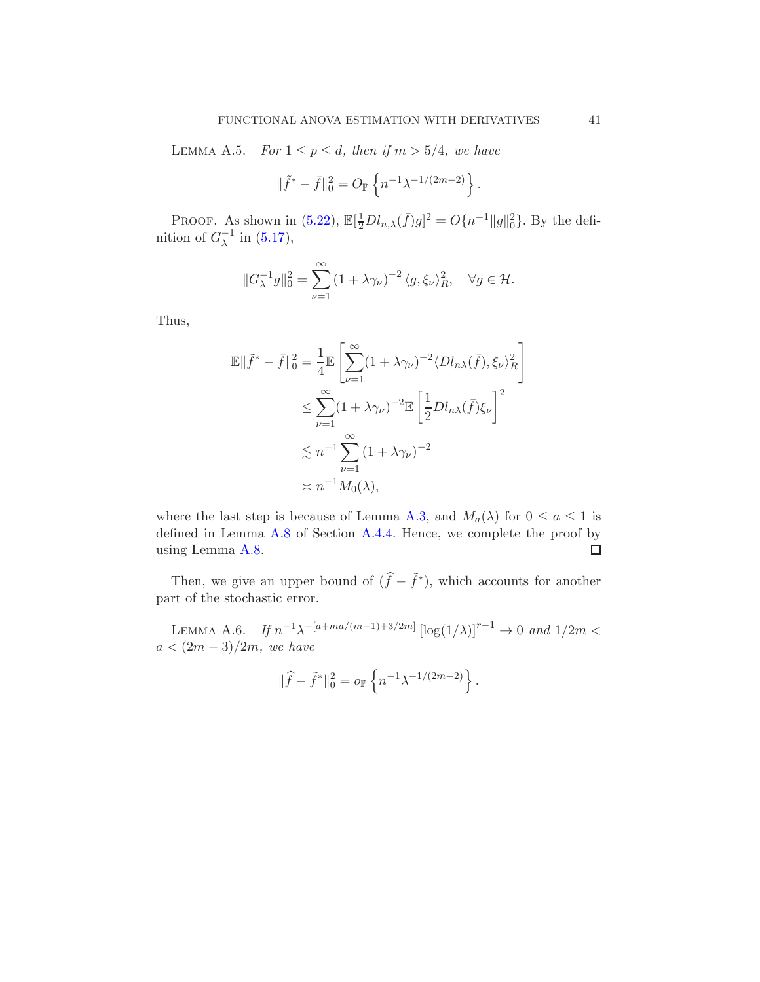<span id="page-40-0"></span>LEMMA A.5. For  $1 \leq p \leq d$ , then if  $m > 5/4$ , we have

$$
\|\tilde{f}^* - \bar{f}\|^2_0 = O_{\mathbb{P}}\left\{n^{-1}\lambda^{-1/(2m-2)}\right\}.
$$

PROOF. As shown in [\(5.22\)](#page-20-1),  $\mathbb{E}[\frac{1}{2}Dl_{n,\lambda}(\bar{f})g]^2 = O\{n^{-1}||g||_0^2\}$ . By the definition of  $G_{\lambda}^{-1}$  in [\(5.17\)](#page-18-1),

$$
||G_{\lambda}^{-1}g||_0^2 = \sum_{\nu=1}^{\infty} (1 + \lambda \gamma_{\nu})^{-2} \langle g, \xi_{\nu} \rangle_R^2, \quad \forall g \in \mathcal{H}.
$$

Thus,

$$
\mathbb{E}\|\tilde{f}^* - \bar{f}\|_0^2 = \frac{1}{4}\mathbb{E}\left[\sum_{\nu=1}^{\infty} (1 + \lambda \gamma_{\nu})^{-2} \langle D l_{n\lambda}(\bar{f}), \xi_{\nu} \rangle_R^2\right]
$$
  

$$
\leq \sum_{\nu=1}^{\infty} (1 + \lambda \gamma_{\nu})^{-2} \mathbb{E}\left[\frac{1}{2} D l_{n\lambda}(\bar{f}) \xi_{\nu}\right]^2
$$
  

$$
\lesssim n^{-1} \sum_{\nu=1}^{\infty} (1 + \lambda \gamma_{\nu})^{-2}
$$
  

$$
\asymp n^{-1} M_0(\lambda),
$$

where the last step is because of Lemma [A.3,](#page-39-0) and  $M_a(\lambda)$  for  $0 \le a \le 1$  is defined in Lemma [A.8](#page-49-0) of Section [A.4.4.](#page-48-0) Hence, we complete the proof by using Lemma [A.8.](#page-49-0)  $\Box$ 

Then, we give an upper bound of  $(\hat{f} - \tilde{f}^*)$ , which accounts for another part of the stochastic error.

<span id="page-40-1"></span>LEMMA A.6. If  $n^{-1}\lambda^{-[a+ma/(m-1)+3/2m]} [\log(1/\lambda)]^{r-1} \to 0$  and  $1/2m <$  $a < (2m-3)/2m$ , we have

$$
\|\widehat{f} - \widetilde{f}^*\|^2_0 = o_{\mathbb{P}}\left\{n^{-1}\lambda^{-1/(2m-2)}\right\}.
$$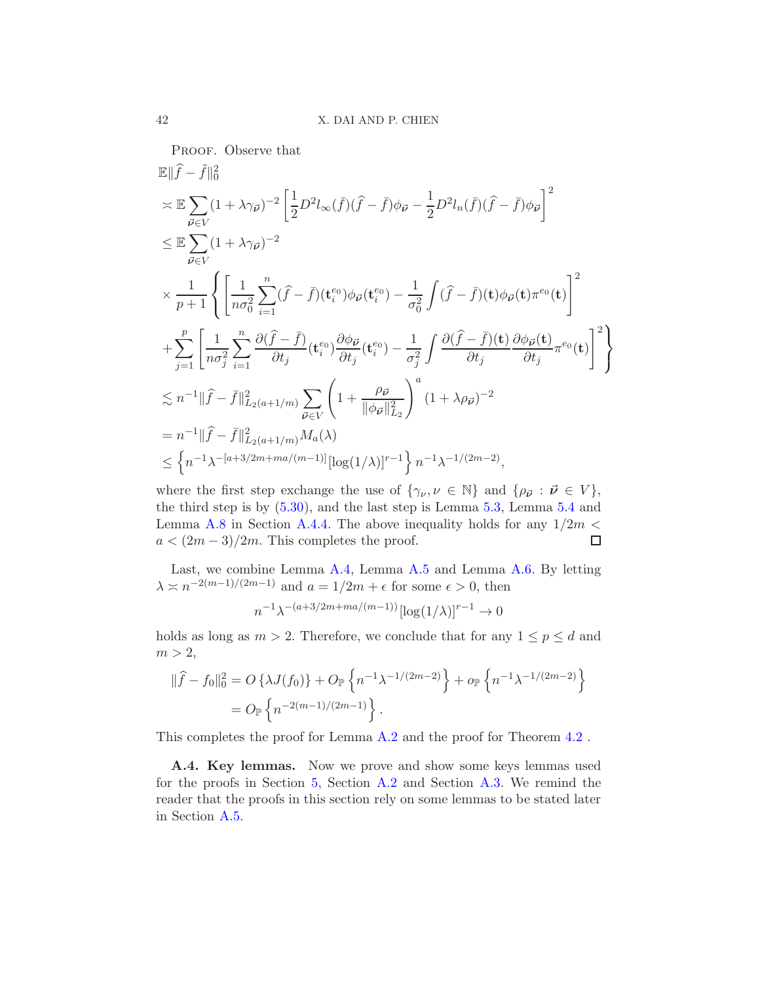PROOF. Observe that  
\n
$$
\mathbb{E} \|\hat{f} - \tilde{f}\|_0^2
$$
\n
$$
\leq \mathbb{E} \sum_{\vec{\nu} \in V} (1 + \lambda \gamma_{\vec{\nu}})^{-2} \left[ \frac{1}{2} D^2 l_{\infty}(\bar{f}) (\hat{f} - \bar{f}) \phi_{\vec{\nu}} - \frac{1}{2} D^2 l_n(\bar{f}) (\hat{f} - \bar{f}) \phi_{\vec{\nu}} \right]^2
$$
\n
$$
\leq \mathbb{E} \sum_{\vec{\nu} \in V} (1 + \lambda \gamma_{\vec{\nu}})^{-2}
$$
\n
$$
\times \frac{1}{p+1} \left\{ \left[ \frac{1}{n\sigma_0^2} \sum_{i=1}^n (\hat{f} - \bar{f}) (\mathbf{t}_i^{e_0}) \phi_{\vec{\nu}} (\mathbf{t}_i^{e_0}) - \frac{1}{\sigma_0^2} \int (\hat{f} - \bar{f}) (\mathbf{t}) \phi_{\vec{\nu}} (\mathbf{t}) \pi^{e_0} (\mathbf{t}) \right]^2 \right\}
$$
\n
$$
+ \sum_{j=1}^p \left[ \frac{1}{n\sigma_j^2} \sum_{i=1}^n \frac{\partial (\hat{f} - \bar{f})}{\partial t_j} (\mathbf{t}_i^{e_0}) \frac{\partial \phi_{\vec{\nu}}}{\partial t_j} (\mathbf{t}_i^{e_0}) - \frac{1}{\sigma_j^2} \int \frac{\partial (\hat{f} - \bar{f}) (\mathbf{t})}{\partial t_j} \frac{\partial \phi_{\vec{\nu}} (\mathbf{t})}{\partial t_j} \pi^{e_0} (\mathbf{t}) \right]^2 \right\}
$$
\n
$$
\lesssim n^{-1} \| \hat{f} - \bar{f} \|_{L_2(a+1/m)}^2 \sum_{\vec{\nu} \in V} \left( 1 + \frac{\rho_{\vec{\nu}}}{\|\phi_{\vec{\nu}}\|_{L_2}^2} \right)^a (1 + \lambda \rho_{\vec{\nu}})^{-2}
$$
\n
$$
= n^{-1} \| \hat{f} - \bar{f} \|_{L_2(a+1/m)}^2 M_a(\lambda)
$$
\n
$$
\leq \left\{ n^{-1} \lambda^{-[a+3/2m + ma/(m-1)]} [\log(1/\lambda)]^{r-
$$

where the first step exchange the use of  $\{\gamma_{\nu}, \nu \in \mathbb{N}\}\$  and  $\{\rho_{\vec{\nu}} : \vec{\nu} \in V\},\$ the third step is by [\(5.30\)](#page-24-1), and the last step is Lemma [5.3,](#page-20-0) Lemma [5.4](#page-22-0) and Lemma [A.8](#page-49-0) in Section [A.4.4.](#page-48-0) The above inequality holds for any  $1/2m <$  $a < (2m-3)/2m$ . This completes the proof.  $\Box$ 

Last, we combine Lemma [A.4,](#page-39-1) Lemma [A.5](#page-40-0) and Lemma [A.6.](#page-40-1) By letting  $\lambda \approx n^{-2(m-1)/(2m-1)}$  and  $a = 1/2m + \epsilon$  for some  $\epsilon > 0$ , then

$$
n^{-1}\lambda^{-(a+3/2m+ma/(m-1))}[\log(1/\lambda)]^{r-1} \to 0
$$

holds as long as  $m > 2$ . Therefore, we conclude that for any  $1 \le p \le d$  and  $m > 2$ ,

$$
\begin{aligned} \|\widehat{f} - f_0\|_0^2 &= O\left\{\lambda J(f_0)\right\} + O_{\mathbb{P}}\left\{n^{-1}\lambda^{-1/(2m-2)}\right\} + o_{\mathbb{P}}\left\{n^{-1}\lambda^{-1/(2m-2)}\right\} \\ &= O_{\mathbb{P}}\left\{n^{-2(m-1)/(2m-1)}\right\} . \end{aligned}
$$

<span id="page-41-0"></span>This completes the proof for Lemma [A.2](#page-38-1) and the proof for Theorem [4.2](#page-10-2) .

A.4. Key lemmas. Now we prove and show some keys lemmas used for the proofs in Section [5,](#page-11-0) Section [A.2](#page-28-0) and Section [A.3.](#page-36-1) We remind the reader that the proofs in this section rely on some lemmas to be stated later in Section [A.5.](#page-51-1)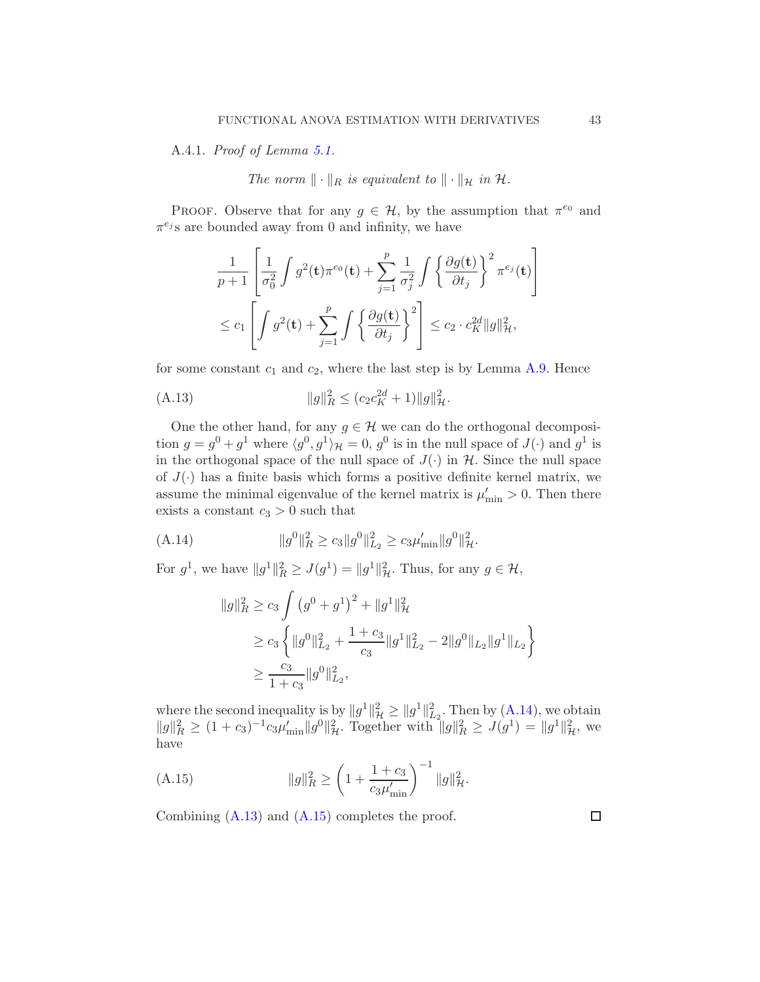<span id="page-42-0"></span>A.4.1. Proof of Lemma [5.1.](#page-15-1)

The norm  $\|\cdot\|_R$  is equivalent to  $\|\cdot\|_{\mathcal{H}}$  in  $\mathcal{H}$ .

PROOF. Observe that for any  $g \in \mathcal{H}$ , by the assumption that  $\pi^{e_0}$  and  $\pi^{e_j}$ s are bounded away from 0 and infinity, we have

$$
\frac{1}{p+1} \left[ \frac{1}{\sigma_0^2} \int g^2(\mathbf{t}) \pi^{e_0}(\mathbf{t}) + \sum_{j=1}^p \frac{1}{\sigma_j^2} \int \left\{ \frac{\partial g(\mathbf{t})}{\partial t_j} \right\}^2 \pi^{e_j}(\mathbf{t}) \right]
$$
  

$$
\leq c_1 \left[ \int g^2(\mathbf{t}) + \sum_{j=1}^p \int \left\{ \frac{\partial g(\mathbf{t})}{\partial t_j} \right\}^2 \right] \leq c_2 \cdot c_K^{2d} \|g\|_{\mathcal{H}}^2,
$$

for some constant  $c_1$  and  $c_2$ , where the last step is by Lemma [A.9.](#page-50-0) Hence

<span id="page-42-2"></span>(A.13) 
$$
||g||_R^2 \le (c_2 c_K^{2d} + 1) ||g||_H^2.
$$

One the other hand, for any  $g \in \mathcal{H}$  we can do the orthogonal decomposition  $g = g^0 + g^1$  where  $\langle g^0, g^1 \rangle_{\mathcal{H}} = 0$ ,  $g^0$  is in the null space of  $J(\cdot)$  and  $g^1$  is in the orthogonal space of the null space of  $J(\cdot)$  in  $H$ . Since the null space of  $J(\cdot)$  has a finite basis which forms a positive definite kernel matrix, we assume the minimal eigenvalue of the kernel matrix is  $\mu'_{\min} > 0$ . Then there exists a constant  $c_3 > 0$  such that

(A.14) 
$$
||g^{0}||_{R}^{2} \geq c_{3}||g^{0}||_{L_{2}}^{2} \geq c_{3}\mu'_{\min}||g^{0}||_{\mathcal{H}}^{2}.
$$

For  $g^1$ , we have  $||g^1||_R^2 \ge J(g^1) = ||g^1||_H^2$ . Thus, for any  $g \in \mathcal{H}$ ,

<span id="page-42-1"></span>
$$
||g||_R^2 \ge c_3 \int (g^0 + g^1)^2 + ||g^1||_H^2
$$
  
\n
$$
\ge c_3 \left\{ ||g^0||_{L_2}^2 + \frac{1+c_3}{c_3} ||g^1||_{L_2}^2 - 2||g^0||_{L_2} ||g^1||_{L_2} \right\}
$$
  
\n
$$
\ge \frac{c_3}{1+c_3} ||g^0||_{L_2}^2,
$$

where the second inequality is by  $||g^1||^2_{\mathcal{H}} \ge ||g^1||^2_{\mathcal{L}_2}$ . Then by  $(A.14)$ , we obtain  $||g||_R^2 \ge (1+c_3)^{-1}c_3\mu'_{\min} ||g^0||_R^2$ . Together with  $||g||_R^2 \ge J(g^1) = ||g^1||_R^2$ , we have

<span id="page-42-3"></span>(A.15) 
$$
||g||_{R}^{2} \ge \left(1 + \frac{1 + c_{3}}{c_{3}\mu'_{\min}}\right)^{-1}||g||_{\mathcal{H}}^{2}.
$$

Combining  $(A.13)$  and  $(A.15)$  completes the proof.

 $\Box$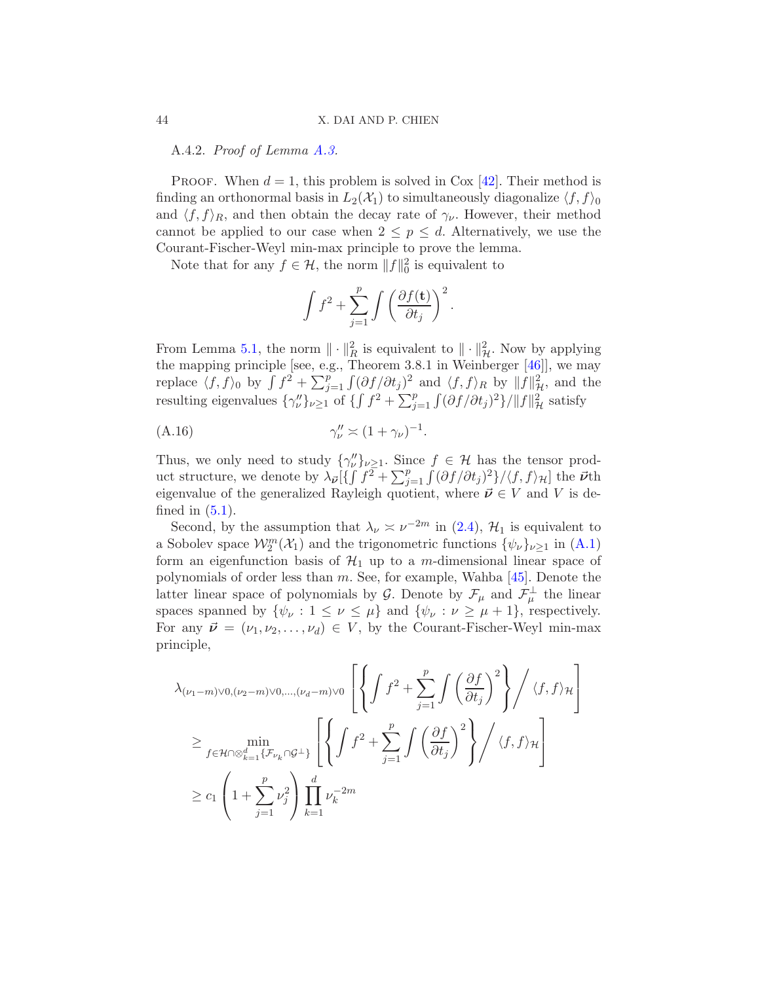A.4.2. Proof of Lemma [A.3.](#page-39-0)

PROOF. When  $d = 1$ , this problem is solved in Cox [\[42](#page-61-2)]. Their method is finding an orthonormal basis in  $L_2(\mathcal{X}_1)$  to simultaneously diagonalize  $\langle f, f \rangle_0$ and  $\langle f, f \rangle_R$ , and then obtain the decay rate of  $\gamma_{\nu}$ . However, their method cannot be applied to our case when  $2 \leq p \leq d$ . Alternatively, we use the Courant-Fischer-Weyl min-max principle to prove the lemma.

Note that for any  $f \in \mathcal{H}$ , the norm  $||f||_0^2$  is equivalent to

<span id="page-43-1"></span>
$$
\int f^2 + \sum_{j=1}^p \int \left(\frac{\partial f(\mathbf{t})}{\partial t_j}\right)^2.
$$

From Lemma [5.1,](#page-15-1) the norm  $\|\cdot\|_R^2$  is equivalent to  $\|\cdot\|_{\mathcal{H}}^2$ . Now by applying the mapping principle [see, e.g., Theorem 3.8.1 in Weinberger [\[46\]](#page-61-3)], we may replace  $\langle f, f \rangle_0$  by  $\int f^2 + \sum_{j=1}^p \int (\partial f / \partial t_j)^2$  and  $\langle f, f \rangle_R$  by  $||f||^2_{\mathcal{H}}$ , and the resulting eigenvalues  $\{\gamma''_v\}_{v\geq 1}$  of  $\{\int f^2 + \sum_{j=1}^p \int (\partial f/\partial t_j)^2\} / \|f\|_{\mathcal{H}}^2$  satisfy

$$
\gamma_{\nu}'' \asymp (1 + \gamma_{\nu})^{-1}.
$$

Thus, we only need to study  $\{\gamma''_{\nu}\}_{\nu \geq 1}$ . Since  $f \in \mathcal{H}$  has the tensor product structure, we denote by  $\lambda_{\vec{\nu}}[\{\int f^2 + \sum_{j=1}^p \int (\partial f/\partial t_j)^2\}/\langle f, f \rangle_{\mathcal{H}}]$  the  $\vec{\nu}$ th eigenvalue of the generalized Rayleigh quotient, where  $\vec{\nu} \in V$  and V is defined in  $(5.1)$ .

Second, by the assumption that  $\lambda_{\nu} \approx \nu^{-2m}$  in [\(2.4\)](#page-5-2),  $\mathcal{H}_1$  is equivalent to a Sobolev space  $\mathcal{W}_2^m(\mathcal{X}_1)$  and the trigonometric functions  $\{\psi_\nu\}_{\nu \geq 1}$  in  $(A.1)$ form an eigenfunction basis of  $\mathcal{H}_1$  up to a m-dimensional linear space of polynomials of order less than  $m$ . See, for example, Wahba [\[45\]](#page-61-0). Denote the latter linear space of polynomials by G. Denote by  $\mathcal{F}_{\mu}$  and  $\mathcal{F}_{\mu}^{\perp}$  the linear spaces spanned by  $\{\psi_{\nu}: 1 \leq \nu \leq \mu\}$  and  $\{\psi_{\nu}: \nu \geq \mu + 1\}$ , respectively. For any  $\vec{\nu} = (\nu_1, \nu_2, \dots, \nu_d) \in V$ , by the Courant-Fischer-Weyl min-max principle,

$$
\lambda_{(\nu_1 - m) \lor 0, (\nu_2 - m) \lor 0, \dots, (\nu_d - m) \lor 0} \left[ \left\{ \int f^2 + \sum_{j=1}^p \int \left( \frac{\partial f}{\partial t_j} \right)^2 \right\} / \langle f, f \rangle_{\mathcal{H}} \right]
$$
\n
$$
\geq \min_{f \in \mathcal{H} \cap \otimes_{k=1}^d \{ \mathcal{F}_{\nu_k} \cap \mathcal{G}^\perp \}} \left[ \left\{ \int f^2 + \sum_{j=1}^p \int \left( \frac{\partial f}{\partial t_j} \right)^2 \right\} / \langle f, f \rangle_{\mathcal{H}} \right]
$$
\n
$$
\geq c_1 \left( 1 + \sum_{j=1}^p \nu_j^2 \right) \prod_{k=1}^d \nu_k^{-2m}
$$

<span id="page-43-0"></span>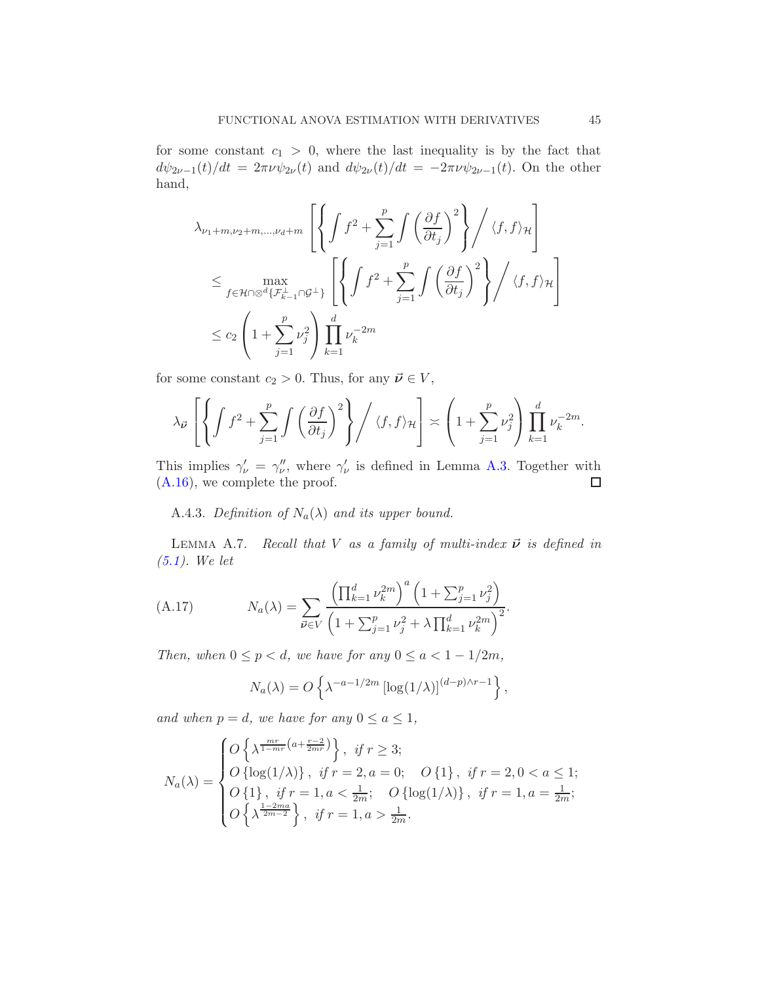for some constant  $c_1 > 0$ , where the last inequality is by the fact that  $d\psi_{2\nu-1}(t)/dt = 2\pi\nu \psi_{2\nu}(t)$  and  $d\psi_{2\nu}(t)/dt = -2\pi\nu \psi_{2\nu-1}(t)$ . On the other hand,

$$
\lambda_{\nu_1+m,\nu_2+m,\dots,\nu_d+m} \left[ \left\{ \int f^2 + \sum_{j=1}^p \int \left( \frac{\partial f}{\partial t_j} \right)^2 \right\} / \langle f, f \rangle_{\mathcal{H}} \right]
$$
  

$$
\leq \max_{f \in \mathcal{H} \cap \otimes^d \{F_{k-1}^{\perp} \cap \mathcal{G}^{\perp} \}} \left[ \left\{ \int f^2 + \sum_{j=1}^p \int \left( \frac{\partial f}{\partial t_j} \right)^2 \right\} / \langle f, f \rangle_{\mathcal{H}} \right]
$$
  

$$
\leq c_2 \left( 1 + \sum_{j=1}^p \nu_j^2 \right) \prod_{k=1}^d \nu_k^{-2m}
$$

for some constant  $c_2 > 0$ . Thus, for any  $\vec{\nu} \in V$ ,

$$
\lambda_{\vec{\nu}}\left[\left\{\int f^2 + \sum_{j=1}^p \int \left(\frac{\partial f}{\partial t_j}\right)^2\right\} \bigg/ \langle f, f \rangle_{\mathcal{H}}\right] \asymp \left(1 + \sum_{j=1}^p \nu_j^2\right) \prod_{k=1}^d \nu_k^{-2m}.
$$

This implies  $\gamma_{\nu}' = \gamma_{\nu}''$ , where  $\gamma_{\nu}'$  is defined in Lemma [A.3.](#page-39-0) Together with [\(A.16\)](#page-43-1), we complete the proof.  $\Box$ 

<span id="page-44-1"></span>A.4.3. Definition of  $N_a(\lambda)$  and its upper bound.

<span id="page-44-0"></span>LEMMA A.7. Recall that V as a family of multi-index  $\vec{\nu}$  is defined in [\(5.1\)](#page-11-2). We let

(A.17) 
$$
N_a(\lambda) = \sum_{\vec{\nu} \in V} \frac{\left(\prod_{k=1}^d \nu_k^{2m}\right)^a \left(1 + \sum_{j=1}^p \nu_j^2\right)}{\left(1 + \sum_{j=1}^p \nu_j^2 + \lambda \prod_{k=1}^d \nu_k^{2m}\right)^2}.
$$

Then, when  $0 \le p < d$ , we have for any  $0 \le a < 1 - 1/2m$ ,

<span id="page-44-2"></span>
$$
N_a(\lambda) = O\left\{\lambda^{-a-1/2m} \left[\log(1/\lambda)\right]^{(d-p)\wedge r-1}\right\},\,
$$

and when  $p = d$ , we have for any  $0 \le a \le 1$ ,

$$
N_a(\lambda) = \begin{cases} O\left\{\lambda^{\frac{mr}{1-mr}(a+\frac{r-2}{2mr})}\right\}, & \text{if } r \ge 3; \\ O\left\{\log(1/\lambda)\right\}, & \text{if } r = 2, a = 0; \\ O\left\{1\right\}, & \text{if } r = 1, a < \frac{1}{2m}; \\ O\left\{\lambda^{\frac{1-2ma}{2m-2}}\right\}, & \text{if } r = 1, a > \frac{1}{2m}. \end{cases} \quad O\left\{\log(1/\lambda)\right\}, & \text{if } r = 1, a = \frac{1}{2m};
$$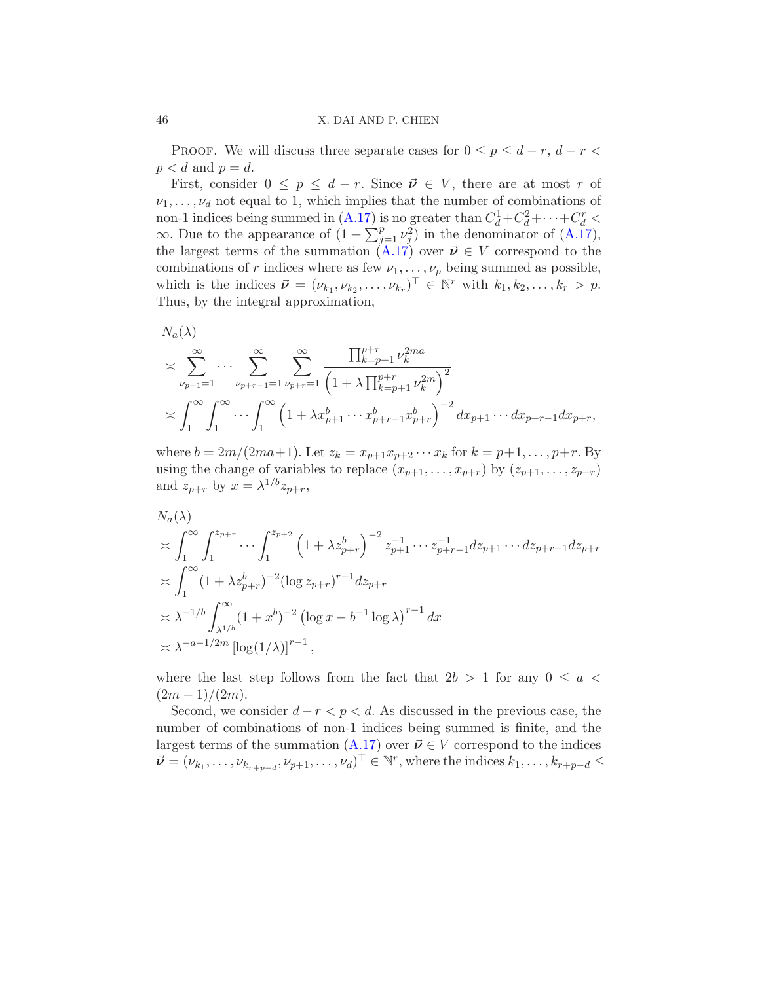PROOF. We will discuss three separate cases for  $0 \le p \le d-r$ ,  $d-r$  $p < d$  and  $p = d$ .

First, consider  $0 \leq p \leq d-r$ . Since  $\vec{\nu} \in V$ , there are at most r of  $\nu_1, \ldots, \nu_d$  not equal to 1, which implies that the number of combinations of non-1 indices being summed in  $(A.17)$  is no greater than  $C_d^1 + C_d^2 + \cdots + C_d^r$  $\infty$ . Due to the appearance of  $(1 + \sum_{j=1}^p \nu_j^2)$  in the denominator of  $(A.17)$ , the largest terms of the summation  $(A.17)$  over  $\vec{\nu} \in V$  correspond to the combinations of r indices where as few  $\nu_1, \ldots, \nu_p$  being summed as possible, which is the indices  $\vec{\nu} = (\nu_{k_1}, \nu_{k_2}, \dots, \nu_{k_r})^\top \in \mathbb{N}^r$  with  $k_1, k_2, \dots, k_r > p$ . Thus, by the integral approximation,

$$
N_a(\lambda)
$$
  
\n
$$
\geq \sum_{\nu_{p+1}=1}^{\infty} \cdots \sum_{\nu_{p+r-1}=1}^{\infty} \sum_{\nu_{p+r}=1}^{\infty} \frac{\prod_{k=p+1}^{p+r} \nu_k^{2ma}}{\left(1+\lambda \prod_{k=p+1}^{p+r} \nu_k^{2m}\right)^2}
$$
  
\n
$$
\geq \int_1^{\infty} \int_1^{\infty} \cdots \int_1^{\infty} \left(1+\lambda x_{p+1}^b \cdots x_{p+r-1}^b x_{p+r}^b\right)^{-2} dx_{p+1} \cdots dx_{p+r-1} dx_{p+r},
$$

where  $b = 2m/(2ma+1)$ . Let  $z_k = x_{p+1}x_{p+2} \cdots x_k$  for  $k = p+1, \ldots, p+r$ . By using the change of variables to replace  $(x_{p+1},...,x_{p+r})$  by  $(z_{p+1},...,z_{p+r})$ and  $z_{p+r}$  by  $x = \lambda^{1/b} z_{p+r}$ ,

$$
N_a(\lambda)
$$
  
\n
$$
\leq \int_1^{\infty} \int_1^{z_{p+r}} \cdots \int_1^{z_{p+2}} \left(1 + \lambda z_{p+r}^b\right)^{-2} z_{p+1}^{-1} \cdots z_{p+r-1}^{-1} dz_{p+1} \cdots dz_{p+r-1} dz_{p+r}
$$
  
\n
$$
\leq \int_1^{\infty} (1 + \lambda z_{p+r}^b)^{-2} (\log z_{p+r})^{r-1} dz_{p+r}
$$
  
\n
$$
\leq \lambda^{-1/b} \int_{\lambda^{1/b}}^{\infty} (1 + x^b)^{-2} (\log x - b^{-1} \log \lambda)^{r-1} dx
$$
  
\n
$$
\leq \lambda^{-a-1/2m} [\log(1/\lambda)]^{r-1},
$$

where the last step follows from the fact that  $2b > 1$  for any  $0 \le a <$  $(2m - 1)/(2m)$ .

Second, we consider  $d - r < p < d$ . As discussed in the previous case, the number of combinations of non-1 indices being summed is finite, and the largest terms of the summation  $(A.17)$  over  $\vec{\nu} \in V$  correspond to the indices  $\vec{\nu} = (\nu_{k_1}, \dots, \nu_{k_{r+p-d}}, \nu_{p+1}, \dots, \nu_d)^\top \in \mathbb{N}^r$ , where the indices  $k_1, \dots, k_{r+p-d} \leq$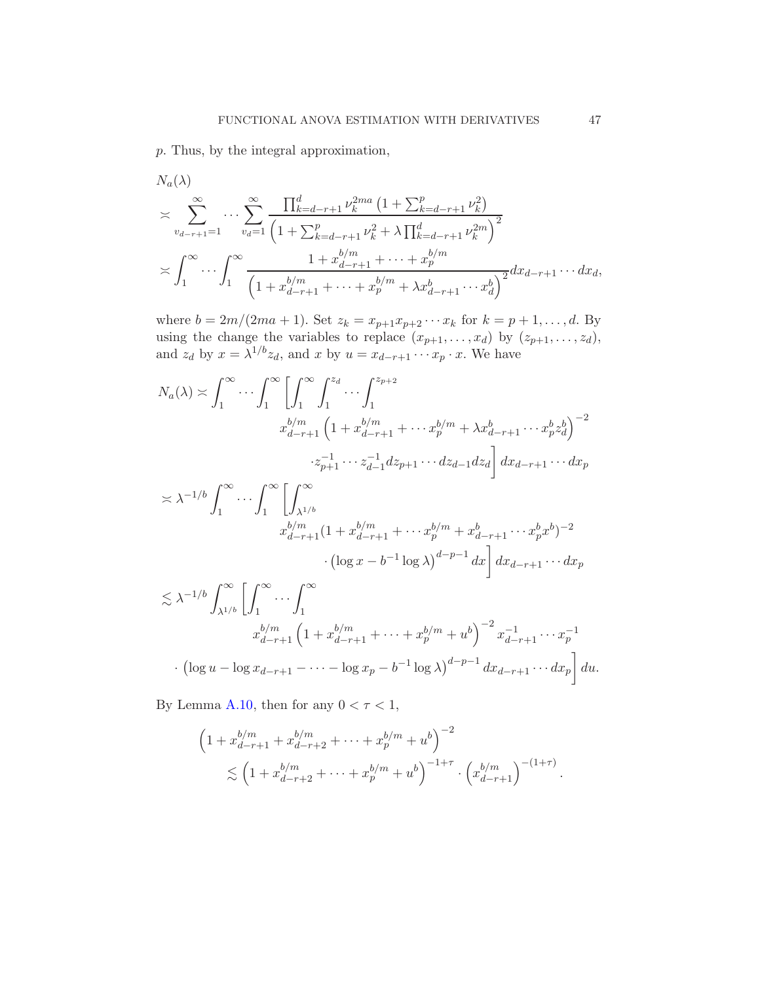p. Thus, by the integral approximation,

$$
N_a(\lambda)
$$
  
\n
$$
\times \sum_{v_{d-r+1}=1}^{\infty} \cdots \sum_{v_d=1}^{\infty} \frac{\prod_{k=d-r+1}^d \nu_k^{2ma} \left(1 + \sum_{k=d-r+1}^p \nu_k^2\right)}{\left(1 + \sum_{k=d-r+1}^p \nu_k^2 + \lambda \prod_{k=d-r+1}^d \nu_k^{2m}\right)^2}
$$
  
\n
$$
\times \int_1^{\infty} \cdots \int_1^{\infty} \frac{1 + x_{d-r+1}^{b/m} + \cdots + x_p^{b/m}}{\left(1 + x_{d-r+1}^{b/m} + \lambda x_p^{b} + \lambda x_{d-r+1}^b \cdots x_q^b\right)^2} dx_{d-r+1} \cdots dx_d,
$$

where  $b = 2m/(2ma + 1)$ . Set  $z_k = x_{p+1}x_{p+2}\cdots x_k$  for  $k = p+1, \ldots, d$ . By using the change the variables to replace  $(x_{p+1},...,x_d)$  by  $(z_{p+1},...,z_d)$ , and  $z_d$  by  $x = \lambda^{1/b} z_d$ , and x by  $u = x_{d-r+1} \cdots x_p \cdot x$ . We have

$$
N_a(\lambda) \asymp \int_1^{\infty} \cdots \int_1^{\infty} \left[ \int_1^{\infty} \int_1^{z_d} \cdots \int_1^{z_{p+2}} \right]
$$
  
\n
$$
x_{d-r+1}^{b/m} \left( 1 + x_{d-r+1}^{b/m} + \cdots x_p^{b/m} + \lambda x_{d-r+1}^b \cdots x_p^b z_d^b \right)^{-2}
$$
  
\n
$$
\cdot z_{p+1}^{-1} \cdots z_{d-1}^{-1} dz_{p+1} \cdots dz_{d-1} dz_d \right] dx_{d-r+1} \cdots dx_p
$$
  
\n
$$
\asymp \lambda^{-1/b} \int_1^{\infty} \cdots \int_1^{\infty} \left[ \int_{\lambda^{1/b}}^{\infty} \left( 1 + x_{d-r+1}^{b/m} + \cdots + x_p^{b/m} + x_p^{b/m} \right) \right] dy_{d-r+1} \cdots dx_p
$$

$$
x_{d-r+1}^{b/m} (1 + x_{d-r+1}^{b/m} + \dots + x_p^{b/m} + x_{d-r+1}^b \dots + x_p^b x^b)^{-2}
$$

$$
\cdot (\log x - b^{-1} \log \lambda)^{d-p-1} dx \bigg] dx_{d-r+1} \dots dx_p
$$

$$
\lesssim \lambda^{-1/b} \int_{\lambda^{1/b}}^{\infty} \left[ \int_{1}^{\infty} \cdots \int_{1}^{\infty} \right]_{1}^{\infty}
$$
  

$$
x_{d-r+1}^{b/m} \left( 1 + x_{d-r+1}^{b/m} + \cdots + x_{p}^{b/m} + u^{b} \right)^{-2} x_{d-r+1}^{-1} \cdots x_{p}^{-1}
$$
  

$$
\cdot \left( \log u - \log x_{d-r+1} - \cdots - \log x_{p} - b^{-1} \log \lambda \right)^{d-p-1} dx_{d-r+1} \cdots dx_{p} \right] du.
$$

By Lemma [A.10,](#page-51-2) then for any  $0 < \tau < 1$ ,

$$
\left(1 + x_{d-r+1}^{b/m} + x_{d-r+2}^{b/m} + \dots + x_p^{b/m} + u^b\right)^{-2}
$$
  
\$\leq \left(1 + x\_{d-r+2}^{b/m} + \dots + x\_p^{b/m} + u^b\right)^{-1+\tau} \cdot \left(x\_{d-r+1}^{b/m}\right)^{-(1+\tau)}\$.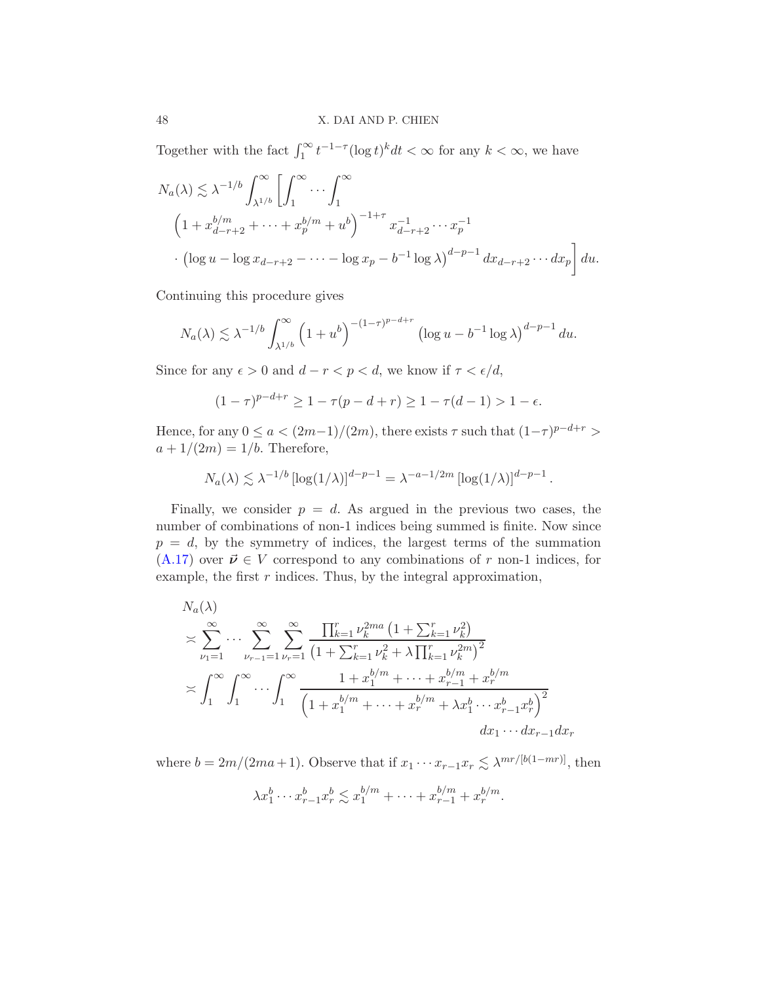Together with the fact  $\int_1^\infty t^{-1-\tau} (\log t)^k dt < \infty$  for any  $k < \infty$ , we have

$$
N_a(\lambda) \lesssim \lambda^{-1/b} \int_{\lambda^{1/b}}^{\infty} \left[ \int_1^{\infty} \cdots \int_1^{\infty} \right]_{\lambda^{1/b}}^{\infty}
$$
  

$$
\left( 1 + x_{d-r+2}^{b/m} + \cdots + x_p^{b/m} + u^b \right)^{-1+\tau} x_{d-r+2}^{-1} \cdots x_p^{-1}
$$
  

$$
\left( \log u - \log x_{d-r+2} - \cdots - \log x_p - b^{-1} \log \lambda \right)^{d-p-1} dx_{d-r+2} \cdots dx_p \right] du.
$$

Continuing this procedure gives

$$
N_a(\lambda) \lesssim \lambda^{-1/b} \int_{\lambda^{1/b}}^{\infty} \left(1 + u^b\right)^{-(1-\tau)^{p-d+r}} \left(\log u - b^{-1}\log\lambda\right)^{d-p-1} du.
$$

Since for any  $\epsilon > 0$  and  $d - r < p < d$ , we know if  $\tau < \epsilon/d$ ,

$$
(1 - \tau)^{p - d + r} \ge 1 - \tau (p - d + r) \ge 1 - \tau (d - 1) > 1 - \epsilon.
$$

Hence, for any  $0 \le a < (2m-1)/(2m)$ , there exists  $\tau$  such that  $(1-\tau)^{p-d+r} >$  $a+1/(2m)=1/b$ . Therefore,

$$
N_a(\lambda) \lesssim \lambda^{-1/b} \left[ \log(1/\lambda) \right]^{d-p-1} = \lambda^{-a-1/2m} \left[ \log(1/\lambda) \right]^{d-p-1}.
$$

Finally, we consider  $p = d$ . As argued in the previous two cases, the number of combinations of non-1 indices being summed is finite. Now since  $p = d$ , by the symmetry of indices, the largest terms of the summation  $(A.17)$  over  $\vec{\nu} \in V$  correspond to any combinations of r non-1 indices, for example, the first  $r$  indices. Thus, by the integral approximation,

$$
N_a(\lambda)
$$
  
\n
$$
\geq \sum_{\nu_1=1}^{\infty} \cdots \sum_{\nu_{r-1}=1}^{\infty} \sum_{\nu_r=1}^{\infty} \frac{\prod_{k=1}^r \nu_k^{2ma} \left(1 + \sum_{k=1}^r \nu_k^2\right)}{\left(1 + \sum_{k=1}^r \nu_k^2 + \lambda \prod_{k=1}^r \nu_k^{2m}\right)^2}
$$
  
\n
$$
\geq \int_1^{\infty} \int_1^{\infty} \cdots \int_1^{\infty} \frac{1 + x_1^{b/m} + \cdots + x_{r-1}^{b/m} + x_r^{b/m}}{\left(1 + x_1^{b/m} + \cdots + x_r^{b/m} + \lambda x_1^b \cdots x_{r-1}^b x_r^b\right)^2}
$$
  
\n $dx_1 \cdots dx_{r-1} dx_r$ 

where  $b = 2m/(2ma+1)$ . Observe that if  $x_1 \cdots x_{r-1} x_r \lesssim \lambda^{mr/[b(1-mr)]}$ , then

$$
\lambda x_1^b \cdots x_{r-1}^b x_r^b \lesssim x_1^{b/m} + \cdots + x_{r-1}^{b/m} + x_r^{b/m}.
$$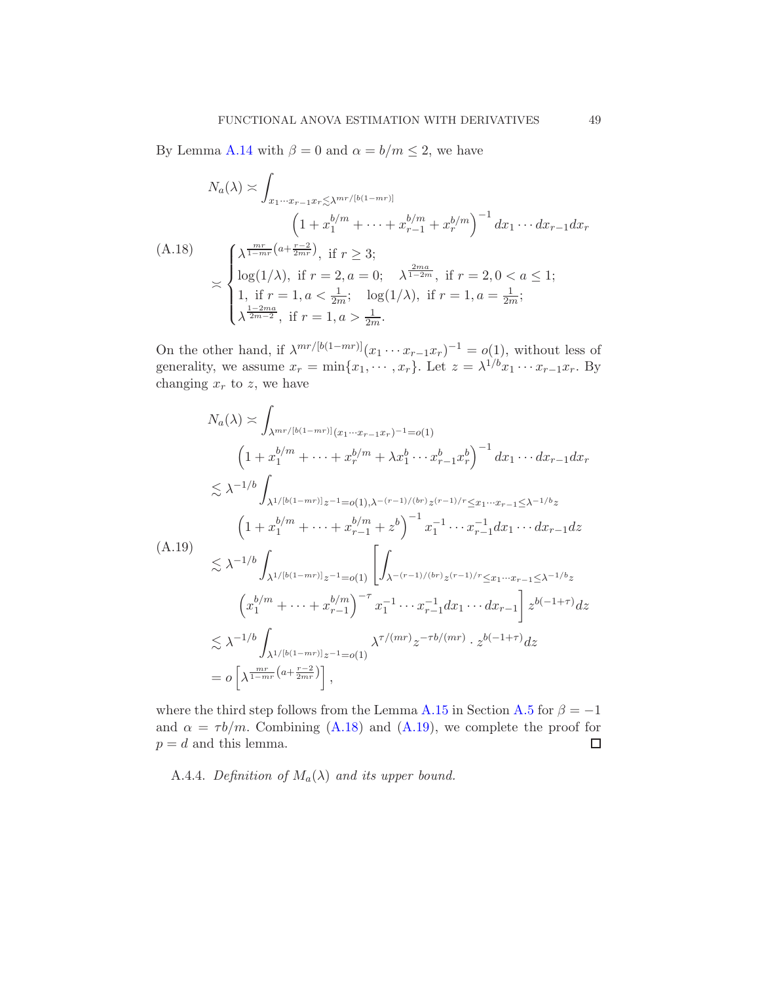By Lemma [A.14](#page-55-0) with  $\beta = 0$  and  $\alpha = b/m \le 2$ , we have

<span id="page-48-1"></span>
$$
N_a(\lambda) \asymp \int_{x_1 \cdots x_{r-1} x_r \lesssim \lambda^{mr/[b(1-mr)]}} \left(1 + x_1^{b/m} + \cdots + x_{r-1}^{b/m} + x_r^{b/m}\right)^{-1} dx_1 \cdots dx_{r-1} dx_r
$$
\n(A.18)\n
$$
\asymp \begin{cases} \lambda^{\frac{mr}{1-mr}(a + \frac{r-2}{2mr})}, \text{ if } r \ge 3; \\ \log(1/\lambda), \text{ if } r = 2, a = 0; \quad \lambda^{\frac{2ma}{1-2m}}, \text{ if } r = 2, 0 < a \le 1; \\ 1, \text{ if } r = 1, a < \frac{1}{2m}; \quad \log(1/\lambda), \text{ if } r = 1, a = \frac{1}{2m}; \\ \lambda^{\frac{1-2ma}{2m-2}}, \text{ if } r = 1, a > \frac{1}{2m}. \end{cases}
$$

On the other hand, if  $\lambda^{mr/[b(1-mr)]}(x_1 \cdots x_{r-1}x_r)^{-1} = o(1)$ , without less of generality, we assume  $x_r = \min\{x_1, \dots, x_r\}$ . Let  $z = \lambda^{1/b} x_1 \dots x_{r-1} x_r$ . By changing  $x_r$  to z, we have

<span id="page-48-2"></span>
$$
N_a(\lambda) \approx \int_{\lambda^{mr/[b(1-mr)]}(x_1\cdots x_{r-1}x_r)^{-1}=o(1)}
$$
  
\n
$$
\left(1+x_1^{b/m}+\cdots+x_r^{b/m}+\lambda x_1^{b}\cdots x_{r-1}^{b}x_r^{b}\right)^{-1}dx_1\cdots dx_{r-1}dx_r
$$
  
\n
$$
\lesssim \lambda^{-1/b}\int_{\lambda^{1/[b(1-mr)]}z^{-1}=o(1),\lambda^{-(r-1)/(br)}z^{(r-1)/r}\leq x_1\cdots x_{r-1}\leq \lambda^{-1/b}z}
$$
  
\n
$$
\left(1+x_1^{b/m}+\cdots+x_{r-1}^{b/m}+z^b\right)^{-1}x_1^{-1}\cdots x_{r-1}^{-1}dx_1\cdots dx_{r-1}dz
$$
  
\n(A.19)  
\n
$$
\lesssim \lambda^{-1/b}\int_{\lambda^{1/[b(1-mr)]}z^{-1}=o(1)}\left[\int_{\lambda^{-(r-1)/(br)}z^{(r-1)/r}\leq x_1\cdots x_{r-1}\leq \lambda^{-1/b}z}\right]z^{b(-1+\tau)}dz
$$
  
\n
$$
\lesssim \lambda^{-1/b}\int_{\lambda^{1/[b(1-mr)]}z^{-1}=o(1)}\lambda^{\tau/(mr)}z^{-\tau b/(mr)}\cdot z^{b(-1+\tau)}dz
$$
  
\n
$$
= o\left[\lambda^{\frac{mr}{1-mr}\left(a+\frac{r-2}{2mr}\right)}\right],
$$

where the third step follows from the Lemma [A.15](#page-58-1) in Section [A.5](#page-51-1) for  $\beta = -1$ and  $\alpha = \tau b/m$ . Combining [\(A.18\)](#page-48-1) and [\(A.19\)](#page-48-2), we complete the proof for  $p = d$  and this lemma.  $\Box$ 

<span id="page-48-0"></span>A.4.4. Definition of  $M_a(\lambda)$  and its upper bound.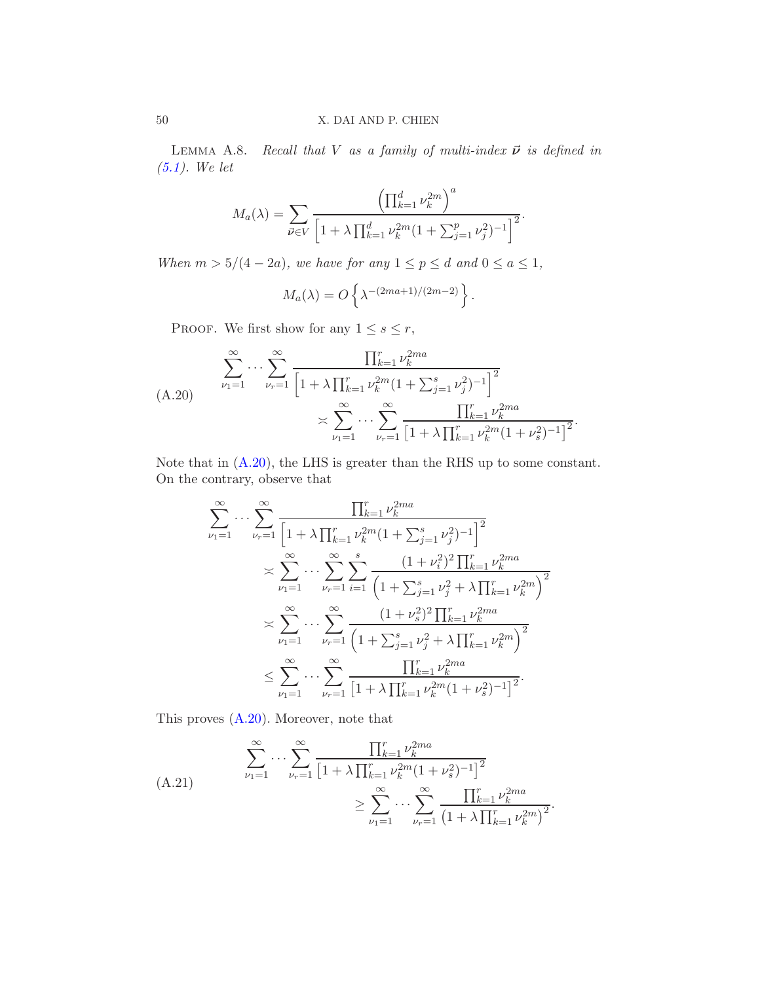<span id="page-49-0"></span>LEMMA A.8. Recall that V as a family of multi-index  $\vec{\nu}$  is defined in [\(5.1\)](#page-11-2). We let

$$
M_a(\lambda) = \sum_{\vec{\nu} \in V} \frac{\left(\prod_{k=1}^d \nu_k^{2m}\right)^a}{\left[1 + \lambda \prod_{k=1}^d \nu_k^{2m} (1 + \sum_{j=1}^p \nu_j^2)^{-1}\right]^2}.
$$

When  $m > 5/(4 - 2a)$ , we have for any  $1 \le p \le d$  and  $0 \le a \le 1$ ,

$$
M_a(\lambda) = O\left\{\lambda^{-(2ma+1)/(2m-2)}\right\}.
$$

PROOF. We first show for any  $1 \leq s \leq r$ ,

<span id="page-49-1"></span>
$$
\sum_{\nu_1=1}^{\infty} \cdots \sum_{\nu_r=1}^{\infty} \frac{\prod_{k=1}^r \nu_k^{2ma}}{\left[1 + \lambda \prod_{k=1}^r \nu_k^{2m} (1 + \sum_{j=1}^s \nu_j^2)^{-1}\right]^2} \times \sum_{\nu_1=1}^{\infty} \cdots \sum_{\nu_r=1}^{\infty} \frac{\prod_{k=1}^r \nu_k^{2ma}}{\left[1 + \lambda \prod_{k=1}^r \nu_k^{2m} (1 + \nu_s^2)^{-1}\right]^2}
$$

Note that in [\(A.20\)](#page-49-1), the LHS is greater than the RHS up to some constant. On the contrary, observe that

.

$$
\sum_{\nu_1=1}^{\infty} \cdots \sum_{\nu_r=1}^{\infty} \frac{\prod_{k=1}^r \nu_k^{2ma}}{\left[1 + \lambda \prod_{k=1}^r \nu_k^{2m} (1 + \sum_{j=1}^s \nu_j^2)^{-1}\right]^2}
$$
\n
$$
\approx \sum_{\nu_1=1}^{\infty} \cdots \sum_{\nu_r=1}^{\infty} \sum_{i=1}^s \frac{(1 + \nu_i^2)^2 \prod_{k=1}^r \nu_k^{2ma}}{\left(1 + \sum_{j=1}^s \nu_j^2 + \lambda \prod_{k=1}^r \nu_k^{2m}\right)^2}
$$
\n
$$
\approx \sum_{\nu_1=1}^{\infty} \cdots \sum_{\nu_r=1}^{\infty} \frac{(1 + \nu_s^2)^2 \prod_{k=1}^r \nu_k^{2ma}}{\left(1 + \sum_{j=1}^s \nu_j^2 + \lambda \prod_{k=1}^r \nu_k^{2ma}\right)^2}
$$
\n
$$
\leq \sum_{\nu_1=1}^{\infty} \cdots \sum_{\nu_r=1}^{\infty} \frac{\prod_{k=1}^r \nu_k^{2ma}}{\left[1 + \lambda \prod_{k=1}^r \nu_k^{2m} (1 + \nu_s^2)^{-1}\right]^2}.
$$

This proves [\(A.20\)](#page-49-1). Moreover, note that

<span id="page-49-2"></span>(A.21)  

$$
\sum_{\nu_1=1}^{\infty} \cdots \sum_{\nu_r=1}^{\infty} \frac{\prod_{k=1}^r \nu_k^{2ma}}{\left[1 + \lambda \prod_{k=1}^r \nu_k^{2m} (1 + \nu_s^2)^{-1}\right]^2} \ge \sum_{\nu_1=1}^{\infty} \cdots \sum_{\nu_r=1}^{\infty} \frac{\prod_{k=1}^r \nu_k^{2ma}}{\left(1 + \lambda \prod_{k=1}^r \nu_k^{2m}\right)^2}.
$$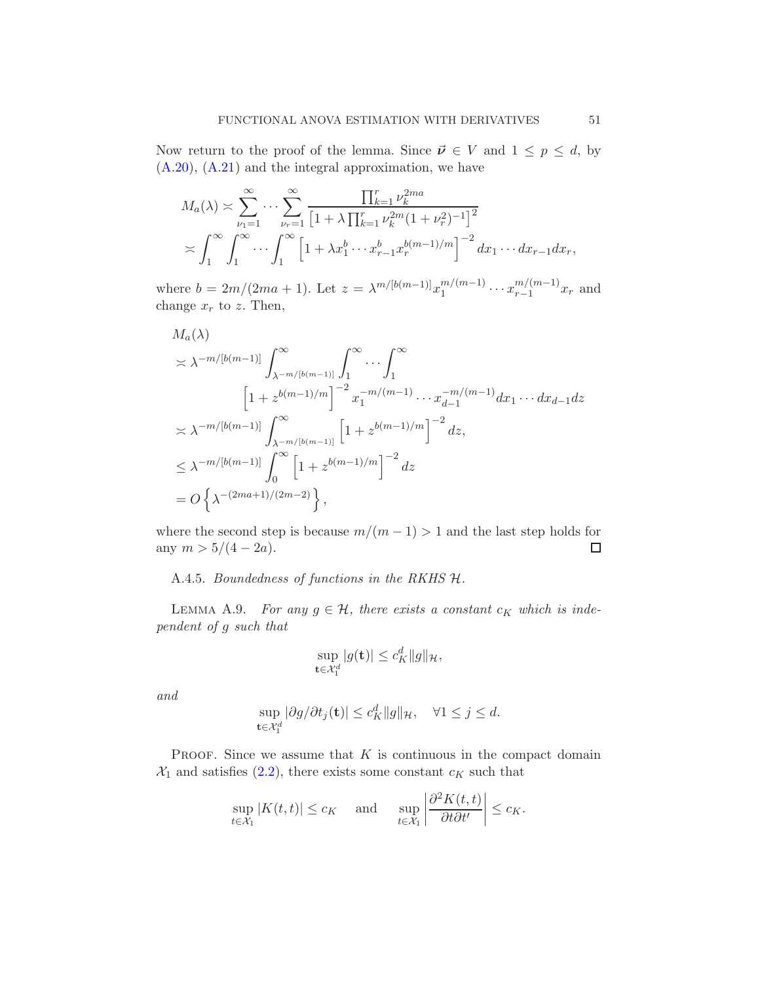Now return to the proof of the lemma. Since  $\vec{\nu} \in V$  and  $1 \leq p \leq d$ , by [\(A.20\)](#page-49-1), [\(A.21\)](#page-49-2) and the integral approximation, we have

$$
M_a(\lambda) \asymp \sum_{\nu_1=1}^{\infty} \cdots \sum_{\nu_r=1}^{\infty} \frac{\prod_{k=1}^r \nu_k^{2ma}}{\left[1 + \lambda \prod_{k=1}^r \nu_k^{2m} (1 + \nu_r^2)^{-1}\right]^2}
$$
  

$$
\asymp \int_1^{\infty} \int_1^{\infty} \cdots \int_1^{\infty} \left[1 + \lambda x_1^b \cdots x_{r-1}^b x_r^{b(m-1)/m}\right]^{-2} dx_1 \cdots dx_{r-1} dx_r,
$$

where  $b = 2m/(2ma + 1)$ . Let  $z = \lambda^{m/[b(m-1)]} x_1^{m/(m-1)} \cdots x_{r-1}^{m/(m-1)}$  $\binom{m}{r-1}x_r$  and change  $x_r$  to z. Then,

$$
M_a(\lambda)
$$
  
\n
$$
\times \lambda^{-m/[b(m-1)]} \int_{\lambda^{-m/[b(m-1)]}}^{\infty} \int_{1}^{\infty} \cdots \int_{1}^{\infty}
$$
  
\n
$$
\left[1 + z^{b(m-1)/m}\right]^{-2} x_{1}^{-m/(m-1)} \cdots x_{d-1}^{-m/(m-1)} dx_{1} \cdots dx_{d-1} dz
$$
  
\n
$$
\times \lambda^{-m/[b(m-1)]} \int_{\lambda^{-m/[b(m-1)]}}^{\infty} \left[1 + z^{b(m-1)/m}\right]^{-2} dz
$$
  
\n
$$
\leq \lambda^{-m/[b(m-1)]} \int_{0}^{\infty} \left[1 + z^{b(m-1)/m}\right]^{-2} dz
$$
  
\n
$$
= O\left\{\lambda^{-(2ma+1)/(2m-2)}\right\},
$$

where the second step is because  $m/(m-1) > 1$  and the last step holds for any  $m > 5/(4-2a)$ . any  $m > 5/(4 - 2a)$ .

A.4.5. Boundedness of functions in the RKHS H.

<span id="page-50-0"></span>LEMMA A.9. For any  $g \in \mathcal{H}$ , there exists a constant  $c_K$  which is independent of g such that

$$
\sup_{\mathbf{t}\in\mathcal{X}_1^d} |g(\mathbf{t})| \le c_K^d \|g\|_{\mathcal{H}},
$$

and

$$
\sup_{\mathbf{t}\in\mathcal{X}_1^d} |\partial g/\partial t_j(\mathbf{t})| \le c_K^d \|g\|_{\mathcal{H}}, \quad \forall 1\le j\le d.
$$

PROOF. Since we assume that  $K$  is continuous in the compact domain  $\mathcal{X}_1$  and satisfies [\(2.2\)](#page-5-3), there exists some constant  $c_K$  such that

$$
\sup_{t \in \mathcal{X}_1} |K(t,t)| \leq c_K \quad \text{ and } \quad \sup_{t \in \mathcal{X}_1} \left| \frac{\partial^2 K(t,t)}{\partial t \partial t'} \right| \leq c_K.
$$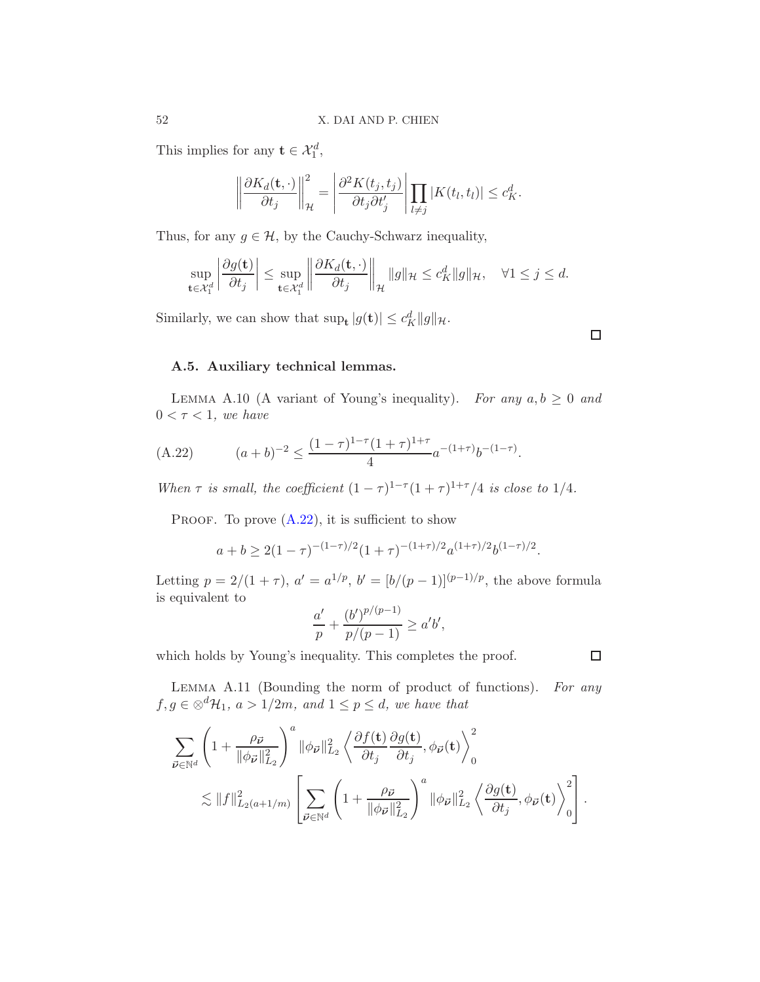This implies for any  $\mathbf{t} \in \mathcal{X}_1^d$ ,

$$
\left\|\frac{\partial K_d(\mathbf{t},\cdot)}{\partial t_j}\right\|_{\mathcal{H}}^2 = \left|\frac{\partial^2 K(t_j,t_j)}{\partial t_j \partial t'_j}\right| \prod_{l\neq j} |K(t_l,t_l)| \leq c_K^d.
$$

Thus, for any  $g \in \mathcal{H}$ , by the Cauchy-Schwarz inequality,

$$
\sup_{\mathbf{t}\in\mathcal{X}_1^d}\left|\frac{\partial g(\mathbf{t})}{\partial t_j}\right|\leq \sup_{\mathbf{t}\in\mathcal{X}_1^d}\left\|\frac{\partial K_d(\mathbf{t},\cdot)}{\partial t_j}\right\|_{\mathcal{H}}\|g\|_{\mathcal{H}}\leq c_K^d\|g\|_{\mathcal{H}},\quad\forall 1\leq j\leq d.
$$

Similarly, we can show that  $\sup_{\mathbf{t}} |g(\mathbf{t})| \leq c_K^d ||g||_{\mathcal{H}}.$ 

# <span id="page-51-1"></span>A.5. Auxiliary technical lemmas.

<span id="page-51-2"></span>LEMMA A.10 (A variant of Young's inequality). For any  $a, b \geq 0$  and  $0 < \tau < 1$ , we have

<span id="page-51-3"></span>(A.22) 
$$
(a+b)^{-2} \le \frac{(1-\tau)^{1-\tau}(1+\tau)^{1+\tau}}{4}a^{-(1+\tau)}b^{-(1-\tau)}.
$$

When  $\tau$  is small, the coefficient  $(1 - \tau)^{1-\tau}(1 + \tau)^{1+\tau}/4$  is close to 1/4.

PROOF. To prove  $(A.22)$ , it is sufficient to show

$$
a + b \ge 2(1 - \tau)^{-(1 - \tau)/2} (1 + \tau)^{-(1 + \tau)/2} a^{(1 + \tau)/2} b^{(1 - \tau)/2}.
$$

Letting  $p = 2/(1 + \tau)$ ,  $a' = a^{1/p}$ ,  $b' = [b/(p-1)]^{(p-1)/p}$ , the above formula is equivalent to

$$
\frac{a'}{p} + \frac{(b')^{p/(p-1)}}{p/(p-1)} \ge a'b',
$$

which holds by Young's inequality. This completes the proof.

<span id="page-51-0"></span>LEMMA A.11 (Bounding the norm of product of functions). For any  $f, g \in \otimes^d \mathcal{H}_1$ ,  $a > 1/2m$ , and  $1 \leq p \leq d$ , we have that

$$
\begin{split} \sum_{\vec{\nu} \in \mathbb{N}^d} \left(1+\frac{\rho_{\vec{\nu}}}{\|\phi_{\vec{\nu}}\|_{L_2}^2}\right)^a & \|\phi_{\vec{\nu}}\|_{L_2}^2 \left\langle \frac{\partial f(\mathbf{t})}{\partial t_j} \frac{\partial g(\mathbf{t})}{\partial t_j}, \phi_{\vec{\nu}}(\mathbf{t}) \right\rangle_0^2 \\ & \lesssim \|f\|_{L_2(a+1/m)}^2 \left[ \sum_{\vec{\nu} \in \mathbb{N}^d} \left(1+\frac{\rho_{\vec{\nu}}}{\|\phi_{\vec{\nu}}\|_{L_2}^2}\right)^a \|\phi_{\vec{\nu}}\|_{L_2}^2 \left\langle \frac{\partial g(\mathbf{t})}{\partial t_j}, \phi_{\vec{\nu}}(\mathbf{t}) \right\rangle_0^2 \right]. \end{split}
$$

 $\Box$ 

 $\Box$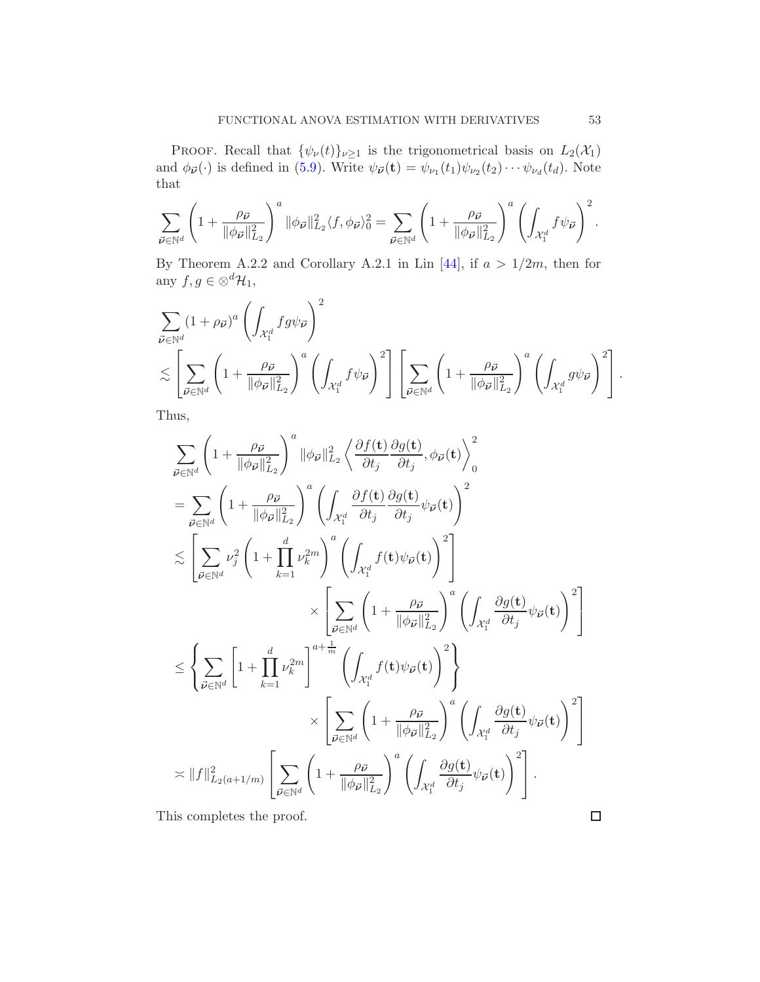PROOF. Recall that  $\{\psi_{\nu}(t)\}_{\nu\geq 1}$  is the trigonometrical basis on  $L_2(\mathcal{X}_1)$ and  $\phi_{\vec{\nu}}(\cdot)$  is defined in [\(5.9\)](#page-16-0). Write  $\psi_{\vec{\nu}}(\mathbf{t}) = \psi_{\nu_1}(t_1)\psi_{\nu_2}(t_2)\cdots\psi_{\nu_d}(t_d)$ . Note that

$$
\sum_{\vec{\nu}\in\mathbb{N}^d}\left(1+\frac{\rho_{\vec{\nu}}}{\|\phi_{\vec{\nu}}\|_{L_2}^2}\right)^a\|\phi_{\vec{\nu}}\|_{L_2}^2\langle f,\phi_{\vec{\nu}}\rangle_0^2=\sum_{\vec{\nu}\in\mathbb{N}^d}\left(1+\frac{\rho_{\vec{\nu}}}{\|\phi_{\vec{\nu}}\|_{L_2}^2}\right)^a\left(\int_{\mathcal{X}_1^d}f\psi_{\vec{\nu}}\right)^2.
$$

By Theorem A.2.2 and Corollary A.2.1 in Lin [\[44](#page-61-7)], if  $a > 1/2m$ , then for any  $f, g \in \otimes^d \mathcal{H}_1$ ,

$$
\sum_{\vec{\nu} \in \mathbb{N}^d} (1 + \rho_{\vec{\nu}})^a \left( \int_{\mathcal{X}_1^d} fg \psi_{\vec{\nu}} \right)^2 \n\lesssim \left[ \sum_{\vec{\nu} \in \mathbb{N}^d} \left( 1 + \frac{\rho_{\vec{\nu}}}{\|\phi_{\vec{\nu}}\|_{L_2}^2} \right)^a \left( \int_{\mathcal{X}_1^d} f \psi_{\vec{\nu}} \right)^2 \right] \left[ \sum_{\vec{\nu} \in \mathbb{N}^d} \left( 1 + \frac{\rho_{\vec{\nu}}}{\|\phi_{\vec{\nu}}\|_{L_2}^2} \right)^a \left( \int_{\mathcal{X}_1^d} g \psi_{\vec{\nu}} \right)^2 \right].
$$

Thus,

$$
\sum_{\vec{\nu} \in \mathbb{N}^d} \left( 1 + \frac{\rho_{\vec{\nu}}}{\|\phi_{\vec{\nu}}\|_{L_2}^2} \right)^a \|\phi_{\vec{\nu}}\|_{L_2}^2 \left\langle \frac{\partial f(t)}{\partial t_j} \frac{\partial g(t)}{\partial t_j}, \phi_{\vec{\nu}}(t) \right\rangle_0^2
$$
\n
$$
= \sum_{\vec{\nu} \in \mathbb{N}^d} \left( 1 + \frac{\rho_{\vec{\nu}}}{\|\phi_{\vec{\nu}}\|_{L_2}^2} \right)^a \left( \int_{\mathcal{X}_1^d} \frac{\partial f(t)}{\partial t_j} \frac{\partial g(t)}{\partial t_j} \psi_{\vec{\nu}}(t) \right)^2
$$
\n
$$
\lesssim \left[ \sum_{\vec{\nu} \in \mathbb{N}^d} \nu_j^2 \left( 1 + \prod_{k=1}^d \nu_k^{2m} \right)^a \left( \int_{\mathcal{X}_1^d} f(t) \psi_{\vec{\nu}}(t) \right)^2 \right]
$$
\n
$$
\times \left[ \sum_{\vec{\nu} \in \mathbb{N}^d} \left( 1 + \frac{\rho_{\vec{\nu}}}{\|\phi_{\vec{\nu}}\|_{L_2}^2} \right)^a \left( \int_{\mathcal{X}_1^d} \frac{\partial g(t)}{\partial t_j} \psi_{\vec{\nu}}(t) \right)^2 \right]
$$
\n
$$
\leq \left\{ \sum_{\vec{\nu} \in \mathbb{N}^d} \left[ 1 + \prod_{k=1}^d \nu_k^{2m} \right]^{a + \frac{1}{m}} \left( \int_{\mathcal{X}_1^d} f(t) \psi_{\vec{\nu}}(t) \right)^2 \right\}
$$
\n
$$
\times \left[ \sum_{\vec{\nu} \in \mathbb{N}^d} \left( 1 + \frac{\rho_{\vec{\nu}}}{\|\phi_{\vec{\nu}}\|_{L_2}^2} \right)^a \left( \int_{\mathcal{X}_1^d} \frac{\partial g(t)}{\partial t_j} \psi_{\vec{\nu}}(t) \right)^2 \right]
$$
\n
$$
\asymp ||f||_{L_2(a+1/m)}^2 \left[ \sum_{\vec{\nu} \in \mathbb{N}^d} \left( 1 + \frac{\rho_{\vec{\nu}}}{\
$$

This completes the proof.

 $\Box$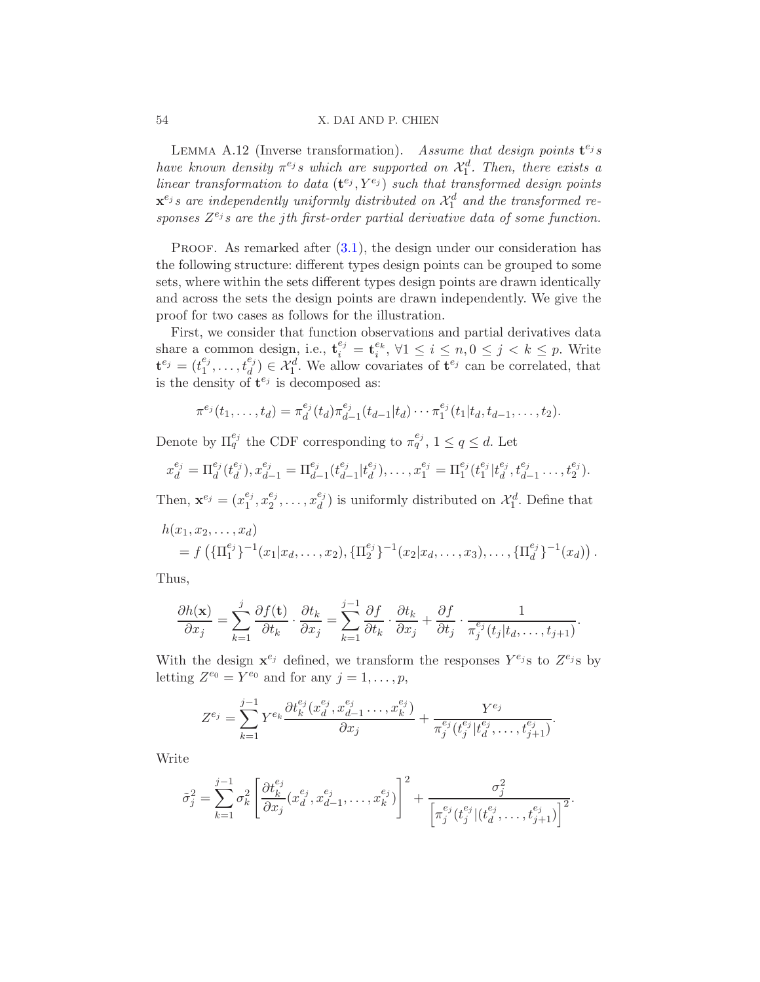#### 54 X. DAI AND P. CHIEN

<span id="page-53-0"></span>LEMMA A.12 (Inverse transformation). Assume that design points  $\mathbf{t}^{e_j} s$ have known density  $\pi^{e_j} s$  which are supported on  $\mathcal{X}_1^d$ . Then, there exists a linear transformation to data  $(\mathbf{t}^{e_j}, Y^{e_j})$  such that transformed design points  $\mathbf{x}^{e_j}$ s are independently uniformly distributed on  $\mathcal{X}_1^d$  and the transformed responses  $Z^{e_j}$ s are the jth first-order partial derivative data of some function.

PROOF. As remarked after  $(3.1)$ , the design under our consideration has the following structure: different types design points can be grouped to some sets, where within the sets different types design points are drawn identically and across the sets the design points are drawn independently. We give the proof for two cases as follows for the illustration.

First, we consider that function observations and partial derivatives data share a common design, i.e.,  $\mathbf{t}_{i}^{e_j} = \mathbf{t}_{i}^{e_k}$ ,  $\forall 1 \leq i \leq n, 0 \leq j < k \leq p$ . Write  ${\bf t}^{e_j} = (t^{e_j}_1$  $\mathbf{f}_1^{e_j}, \ldots, \mathbf{f}_d^{e_j} \in \mathcal{X}_1^d$ . We allow covariates of  $\mathbf{t}^{e_j}$  can be correlated, that is the density of  $\mathbf{t}^{e_j}$  is decomposed as:

$$
\pi^{e_j}(t_1,\ldots,t_d)=\pi_d^{e_j}(t_d)\pi_{d-1}^{e_j}(t_{d-1}|t_d)\cdots\pi_1^{e_j}(t_1|t_d,t_{d-1},\ldots,t_2).
$$

Denote by  $\Pi_q^{e_j}$  the CDF corresponding to  $\pi_q^{e_j}$ ,  $1 \le q \le d$ . Let

$$
x_d^{e_j} = \Pi_d^{e_j}(t_d^{e_j}), x_{d-1}^{e_j} = \Pi_{d-1}^{e_j}(t_{d-1}^{e_j}|t_d^{e_j}), \dots, x_1^{e_j} = \Pi_1^{e_j}(t_1^{e_j}|t_d^{e_j}, t_{d-1}^{e_j}, \dots, t_2^{e_j}).
$$

Then,  $\mathbf{x}^{e_j} = (x_1^{e_j})$  $^{e_j}_{1}, x^{e_j}_{2}$  $x_2^{e_j}, \ldots, x_d^{e_j}$  $\mathcal{H}_d^{(e)}$  is uniformly distributed on  $\mathcal{X}_1^d$ . Define that

$$
h(x_1, x_2,..., x_d)
$$
  
=  $f\left(\{\Pi_1^{e_j}\}^{-1}(x_1|x_d,..., x_2), \{\Pi_2^{e_j}\}^{-1}(x_2|x_d,..., x_3),..., \{\Pi_d^{e_j}\}^{-1}(x_d)\right).$ 

Thus,

$$
\frac{\partial h(\mathbf{x})}{\partial x_j} = \sum_{k=1}^j \frac{\partial f(\mathbf{t})}{\partial t_k} \cdot \frac{\partial t_k}{\partial x_j} = \sum_{k=1}^{j-1} \frac{\partial f}{\partial t_k} \cdot \frac{\partial t_k}{\partial x_j} + \frac{\partial f}{\partial t_j} \cdot \frac{1}{\pi_j^{e_j}(t_j|t_d,\ldots,t_{j+1})}.
$$

With the design  $\mathbf{x}^{e_j}$  defined, we transform the responses  $Y^{e_j}$ s to  $Z^{e_j}$ s by letting  $Z^{e_0} = Y^{e_0}$  and for any  $j = 1, \ldots, p$ ,

$$
Z^{e_j} = \sum_{k=1}^{j-1} Y^{e_k} \frac{\partial t_k^{e_j}(x_d^{e_j}, x_{d-1}^{e_j}, \dots, x_k^{e_j})}{\partial x_j} + \frac{Y^{e_j}}{\pi_j^{e_j}(t_j^{e_j}|t_d^{e_j}, \dots, t_{j+1}^{e_j})}.
$$

Write

$$
\tilde{\sigma}_j^2 = \sum_{k=1}^{j-1} \sigma_k^2 \left[ \frac{\partial t_k^{e_j}}{\partial x_j} (x_d^{e_j}, x_{d-1}^{e_j}, \dots, x_k^{e_j}) \right]^2 + \frac{\sigma_j^2}{\left[ \pi_j^{e_j} (t_j^{e_j} | (t_d^{e_j}, \dots, t_{j+1}^{e_j}) \right]^2}.
$$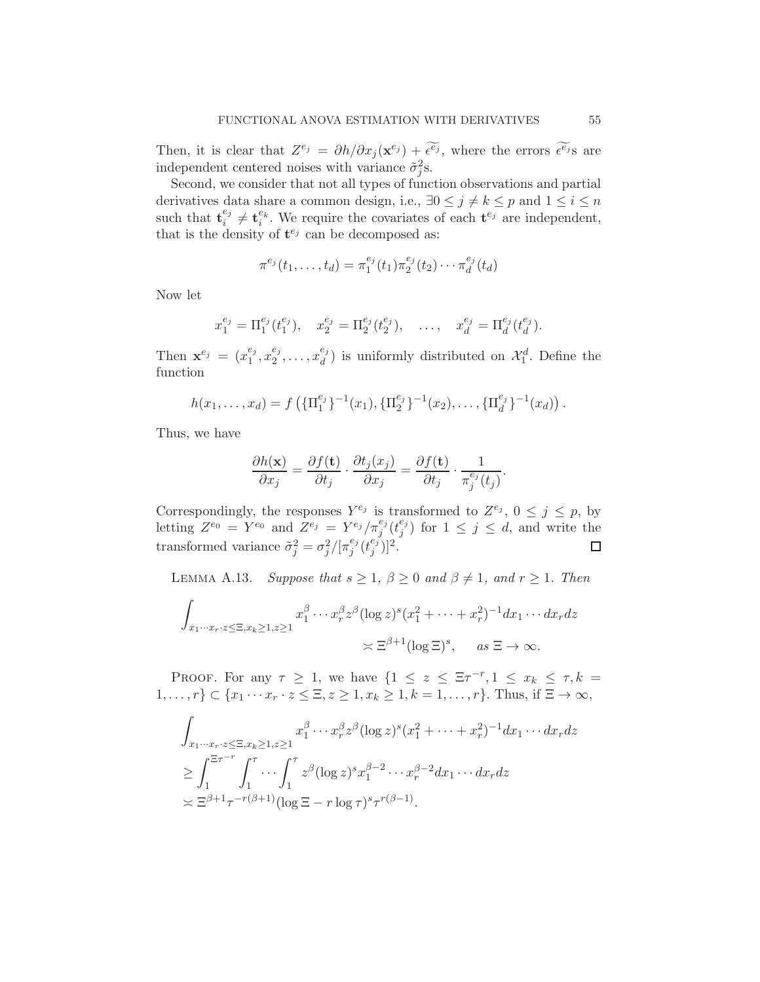Then, it is clear that  $Z^{e_j} = \partial h / \partial x_j (\mathbf{x}^{e_j}) + \widetilde{\epsilon^{e_j}}$ , where the errors  $\widetilde{\epsilon^{e_j}}$ s are independent centered noises with variance  $\tilde{\sigma}_j^2$ s.

Second, we consider that not all types of function observations and partial derivatives data share a common design, i.e.,  $\exists 0 \leq j \neq k \leq p$  and  $1 \leq i \leq n$ such that  $\mathbf{t}_{i}^{e_j}$  $e_j^{e_j} \neq \mathbf{t}_i^{e_k}$ . We require the covariates of each  $\mathbf{t}^{e_j}$  are independent, that is the density of  $\mathbf{t}^{e_j}$  can be decomposed as:

$$
\pi^{e_j}(t_1,\ldots,t_d)=\pi_1^{e_j}(t_1)\pi_2^{e_j}(t_2)\cdots\pi_d^{e_j}(t_d)
$$

Now let

$$
x_1^{e_j} = \Pi_1^{e_j}(t_1^{e_j}), \quad x_2^{e_j} = \Pi_2^{e_j}(t_2^{e_j}), \quad \ldots, \quad x_d^{e_j} = \Pi_d^{e_j}(t_d^{e_j}).
$$

Then  $\mathbf{x}^{e_j} = (x_1^{e_j})$  $^{e_j}_{1}, x_2^{e_j}$  $x_2^{e_j}, \ldots, x_d^{e_j}$  $\binom{e_j}{d}$  is uniformly distributed on  $\mathcal{X}_1^d$ . Define the function

$$
h(x_1,\ldots,x_d)=f\left(\{\Pi_1^{e_j}\}^{-1}(x_1),\{\Pi_2^{e_j}\}^{-1}(x_2),\ldots,\{\Pi_d^{e_j}\}^{-1}(x_d)\right).
$$

Thus, we have

$$
\frac{\partial h(\mathbf{x})}{\partial x_j} = \frac{\partial f(\mathbf{t})}{\partial t_j} \cdot \frac{\partial t_j(x_j)}{\partial x_j} = \frac{\partial f(\mathbf{t})}{\partial t_j} \cdot \frac{1}{\pi_j^{e_j}(t_j)}.
$$

Correspondingly, the responses  $Y^{e_j}$  is transformed to  $Z^{e_j}$ ,  $0 \le j \le p$ , by letting  $Z^{e_0} = Y^{e_0}$  and  $Z^{e_j} = Y^{e_j}/\pi_j^{e_j}(t_j^{e_j})$  $j^{e_j}$ ) for  $1 \leq j \leq d$ , and write the transformed variance  $\tilde{\sigma}_j^2 = \sigma_j^2 / [\pi_j^{e_j}]$  $_{j}^{e_{j}}(t_{j}^{e_{j}}% ,\epsilon_{j}^{e_{j}})(t_{j}^{e_{j}}% ,\epsilon_{j}^{e_{j}}))$  $\binom{e_j}{j}$ ]<sup>2</sup>.  $\Box$ 

<span id="page-54-0"></span>LEMMA A.13. Suppose that  $s \geq 1$ ,  $\beta \geq 0$  and  $\beta \neq 1$ , and  $r \geq 1$ . Then

$$
\int_{x_1 \cdots x_r \cdot z \le \Xi, x_k \ge 1, z \ge 1} x_1^{\beta} \cdots x_r^{\beta} z^{\beta} (\log z)^s (x_1^2 + \cdots + x_r^2)^{-1} dx_1 \cdots dx_r dz
$$
  

$$
\asymp \Xi^{\beta+1} (\log \Xi)^s, \quad \text{as } \Xi \to \infty.
$$

PROOF. For any  $\tau \geq 1$ , we have  $\{1 \leq z \leq \Xi \tau^{-r}, 1 \leq x_k \leq \tau, k =$  $1, \ldots, r$ }  $\subset \{x_1 \cdots x_r \cdot z \leq \Xi, z \geq 1, x_k \geq 1, k = 1, \ldots, r\}$ . Thus, if  $\Xi \to \infty$ ,

$$
\int_{x_1\cdots x_r\cdot z \le \Xi, x_k \ge 1, z \ge 1} x_1^{\beta} \cdots x_r^{\beta} z^{\beta} (\log z)^s (x_1^2 + \cdots + x_r^2)^{-1} dx_1 \cdots dx_r dz
$$
\n
$$
\ge \int_1^{\Xi \tau^{-r}} \int_1^{\tau} \cdots \int_1^{\tau} z^{\beta} (\log z)^s x_1^{\beta-2} \cdots x_r^{\beta-2} dx_1 \cdots dx_r dz
$$
\n
$$
\asymp \Xi^{\beta+1} \tau^{-r(\beta+1)} (\log \Xi - r \log \tau)^s \tau^{r(\beta-1)}.
$$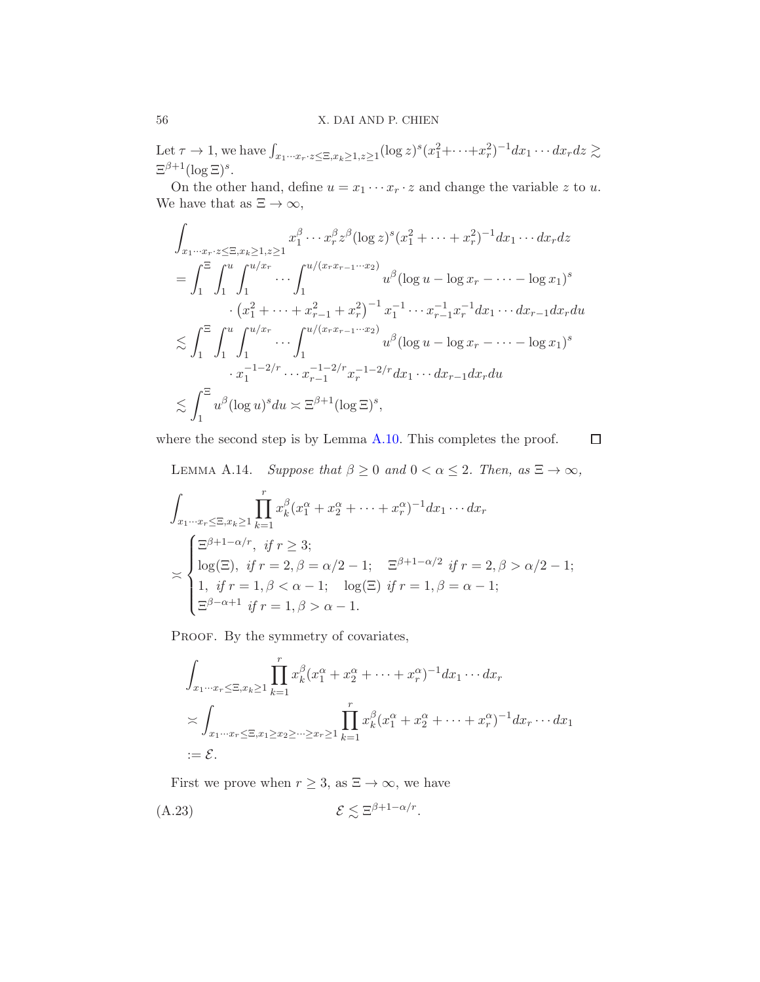## 56 X. DAI AND P. CHIEN

Let  $\tau \to 1$ , we have  $\int_{x_1 \cdots x_r : z \le \Xi, x_k \ge 1, z \ge 1} (\log z)^s (x_1^2 + \cdots + x_r^2)^{-1} dx_1 \cdots dx_r dz \gtrsim$  $\Xi^{\beta+1}(\log \Xi)^s$ .

On the other hand, define  $u = x_1 \cdots x_r \cdot z$  and change the variable z to u. We have that as  $\Xi \to \infty$ ,

$$
\int_{x_1 \cdots x_r \cdot z \le \Xi, x_k \ge 1, z \ge 1} x_1^{\beta} \cdots x_r^{\beta} z^{\beta} (\log z)^s (x_1^2 + \cdots + x_r^2)^{-1} dx_1 \cdots dx_r dz
$$
\n
$$
= \int_1^{\Xi} \int_1^u \int_1^{u/x_r} \cdots \int_1^{u/(x_r x_{r-1} \cdots x_2)} u^{\beta} (\log u - \log x_r - \cdots - \log x_1)^s
$$
\n
$$
\cdot (x_1^2 + \cdots + x_{r-1}^2 + x_r^2)^{-1} x_1^{-1} \cdots x_{r-1}^{-1} x_r^{-1} dx_1 \cdots dx_{r-1} dx_r du
$$
\n
$$
\lesssim \int_1^{\Xi} \int_1^u \int_1^{u/x_r} \cdots \int_1^{u/(x_r x_{r-1} \cdots x_2)} u^{\beta} (\log u - \log x_r - \cdots - \log x_1)^s
$$
\n
$$
\cdot x_1^{-1-2/r} \cdots x_{r-1}^{-1-2/r} x_r^{-1-2/r} dx_1 \cdots dx_{r-1} dx_r du
$$
\n
$$
\lesssim \int_1^{\Xi} u^{\beta} (\log u)^s du \asymp \Xi^{\beta+1} (\log \Xi)^s,
$$

where the second step is by Lemma [A.10.](#page-51-2) This completes the proof.

 $\Box$ 

<span id="page-55-0"></span>LEMMA A.14. Suppose that  $\beta \geq 0$  and  $0 < \alpha \leq 2$ . Then, as  $\Xi \to \infty$ ,

$$
\int_{x_1\cdots x_r \le \Xi, x_k \ge 1} \prod_{k=1}^r x_k^{\beta} (x_1^{\alpha} + x_2^{\alpha} + \cdots + x_r^{\alpha})^{-1} dx_1 \cdots dx_r
$$
\n
$$
\le \begin{cases}\n\Xi^{\beta+1-\alpha/r}, & \text{if } r \ge 3; \\
\log(\Xi), & \text{if } r = 2, \beta = \alpha/2 - 1; \\
1, & \text{if } r = 1, \beta < \alpha - 1; \\
\Xi^{\beta-\alpha+1} & \text{if } r = 1, \beta > \alpha - 1.\n\end{cases} \quad \text{log}(\Xi) \text{ if } r = 1, \beta = \alpha - 1;
$$

PROOF. By the symmetry of covariates,

$$
\int_{x_1\cdots x_r \leq \Xi, x_k \geq 1} \prod_{k=1}^r x_k^{\beta} (x_1^{\alpha} + x_2^{\alpha} + \cdots + x_r^{\alpha})^{-1} dx_1 \cdots dx_r
$$
\n
$$
\asymp \int_{x_1\cdots x_r \leq \Xi, x_1 \geq x_2 \geq \cdots \geq x_r \geq 1} \prod_{k=1}^r x_k^{\beta} (x_1^{\alpha} + x_2^{\alpha} + \cdots + x_r^{\alpha})^{-1} dx_r \cdots dx_1
$$
\n
$$
:= \mathcal{E}.
$$

First we prove when  $r \geq 3$ , as  $\Xi \to \infty$ , we have

<span id="page-55-1"></span>(A.23)  $\mathcal{E} \lesssim \Xi^{\beta+1-\alpha/r}$ .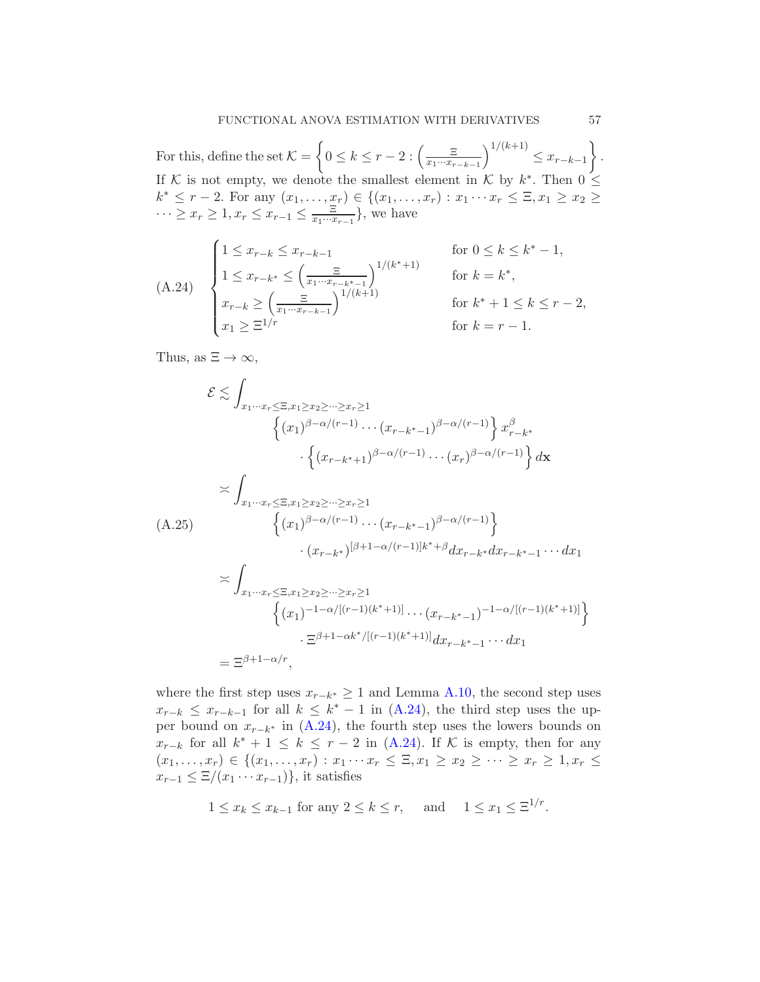For this, define the set  $\mathcal{K} =$  $\left\{0 \leq k \leq r-2 : \left(\frac{\Xi}{x_1 \cdots x_r}\right)$  $x_1\cdots x_{r-k-1}$  $\big)^{1/(k+1)} \leq x_{r-k-1}$  $\mathcal{L}$ . If K is not empty, we denote the smallest element in K by  $k^*$ . Then  $0 \leq$  $k^*$  ≤ r − 2. For any  $(x_1, ..., x_r)$  ∈ { $(x_1, ..., x_r)$  :  $x_1 \cdots x_r$  ≤  $\Xi, x_1 \ge x_2$  ≥  $\cdots \geq x_r \geq 1, x_r \leq x_{r-1} \leq \frac{\Xi}{x_1 \cdots x_r}$  $\frac{z}{x_1 \cdots x_{r-1}}\},$  we have

<span id="page-56-0"></span>
$$
(A.24) \begin{cases} 1 \leq x_{r-k} \leq x_{r-k-1} & \text{for } 0 \leq k \leq k^* - 1, \\ 1 \leq x_{r-k^*} \leq \left(\frac{\Xi}{x_1 \cdots x_{r-k^*-1}}\right)^{1/(k^*+1)} & \text{for } k = k^*, \\ x_{r-k} \geq \left(\frac{\Xi}{x_1 \cdots x_{r-k-1}}\right)^{1/(k+1)} & \text{for } k^* + 1 \leq k \leq r - 2, \\ x_1 \geq \Xi^{1/r} & \text{for } k = r - 1. \end{cases}
$$

Thus, as  $\Xi \to \infty$ ,

<span id="page-56-1"></span>
$$
\mathcal{E} \lesssim \int_{x_1 \cdots x_r \leq \Xi, x_1 \geq x_2 \geq \cdots \geq x_r \geq 1} \left\{ (x_1)^{\beta - \alpha/(r-1)} \cdots (x_{r-k^*-1})^{\beta - \alpha/(r-1)} \right\} x_{r-k^*}^{\beta}
$$

$$
\times \int_{x_1 \cdots x_r \leq \Xi, x_1 \geq x_2 \geq \cdots \geq x_r \geq 1} \left\{ (x_1)^{\beta - \alpha/(r-1)} \cdots (x_{r-k^*-1})^{\beta - \alpha/(r-1)} \right\} dx
$$

$$
\times \int_{x_1 \cdots x_r \leq \Xi, x_1 \geq x_2 \geq \cdots \geq x_r \geq 1} \left\{ (x_1)^{\beta + 1 - \alpha/(r-1)} | k^* + \beta dx_{r-k^*} dx_{r-k^*-1} \cdots dx_1 \right\}
$$

$$
\times \int_{x_1 \cdots x_r \leq \Xi, x_1 \geq x_2 \geq \cdots \geq x_r \geq 1} \left\{ (x_1)^{-1 - \alpha/[(r-1)(k^*+1)]} \cdots (x_{r-k^*-1})^{-1 - \alpha/[(r-1)(k^*+1)]} \right\}
$$

$$
\cdot \Xi^{\beta + 1 - \alpha k^* / [(r-1)(k^*+1)]} dx_{r-k^*-1} \cdots dx_1
$$

$$
= \Xi^{\beta + 1 - \alpha/r},
$$

where the first step uses  $x_{r-k^*} \geq 1$  and Lemma [A.10,](#page-51-2) the second step uses  $x_{r-k} \leq x_{r-k-1}$  for all  $k \leq k^* - 1$  in [\(A.24\)](#page-56-0), the third step uses the upper bound on  $x_{r-k^*}$  in [\(A.24\)](#page-56-0), the fourth step uses the lowers bounds on  $x_{r-k}$  for all  $k^* + 1 \leq k \leq r-2$  in [\(A.24\)](#page-56-0). If K is empty, then for any  $(x_1, \ldots, x_r) \in \{(x_1, \ldots, x_r) : x_1 \cdots x_r \leq \Xi, x_1 \geq x_2 \geq \cdots \geq x_r \geq 1, x_r \leq \Xi\}$  $x_{r-1} \leq \Xi/(x_1 \cdots x_{r-1})\},$  it satisfies

$$
1 \le x_k \le x_{k-1} \text{ for any } 2 \le k \le r, \quad \text{ and } \quad 1 \le x_1 \le \Xi^{1/r}.
$$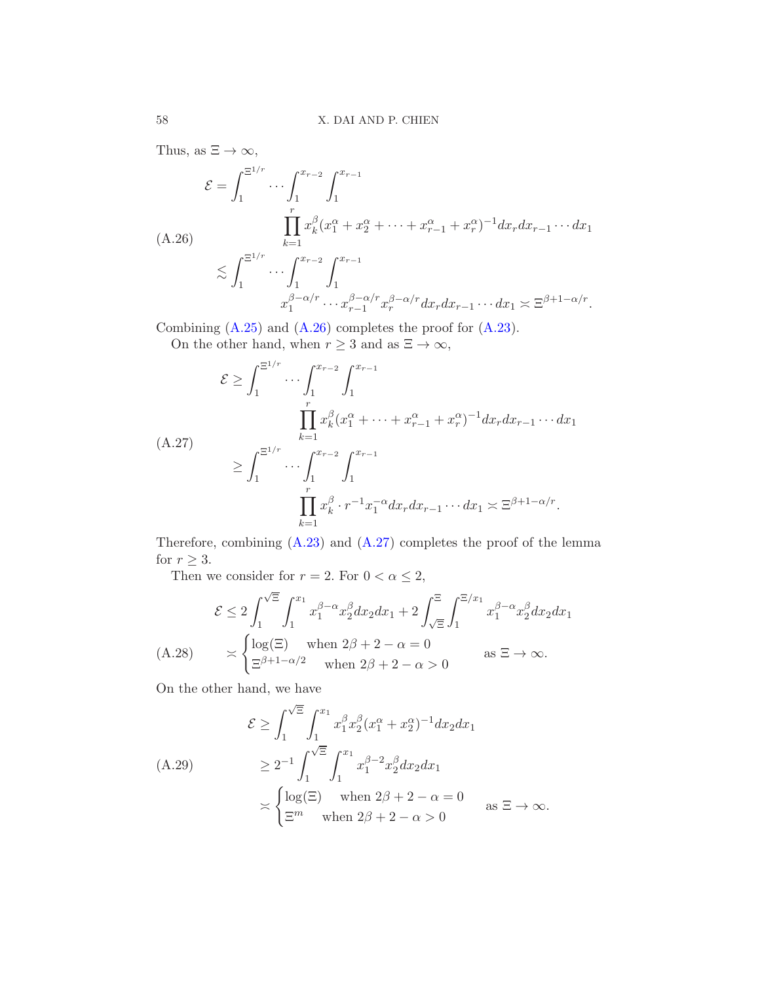Thus, as  $\Xi \to \infty$ ,

<span id="page-57-0"></span>
$$
\mathcal{E} = \int_{1}^{\Xi^{1/r}} \cdots \int_{1}^{x_{r-2}} \int_{1}^{x_{r-1}} \cdots \int_{1}^{x_{r-2}} \int_{1}^{x_{r-1}} dx_{k}^{2} (x_{1}^{\alpha} + x_{2}^{\alpha} + \cdots + x_{r-1}^{\alpha} + x_{r}^{\alpha})^{-1} dx_{r} dx_{r-1} \cdots dx_{1}
$$
\n
$$
\lesssim \int_{1}^{\Xi^{1/r}} \cdots \int_{1}^{x_{r-2}} \int_{1}^{x_{r-1}} dx_{r}^{2} dx_{r} dx_{r-1} \cdots dx_{1} \asymp \Xi^{\beta+1-\alpha/r}.
$$
\n
$$
x_{1}^{\beta-\alpha/r} \cdots x_{r-1}^{\beta-\alpha/r} x_{r}^{\beta-\alpha/r} dx_{r} dx_{r-1} \cdots dx_{1} \asymp \Xi^{\beta+1-\alpha/r}.
$$

Combining [\(A.25\)](#page-56-1) and [\(A.26\)](#page-57-0) completes the proof for [\(A.23\)](#page-55-1). On the other hand, when  $r \geq 3$  and as  $\Xi \to \infty$ ,

<span id="page-57-1"></span>
$$
\mathcal{E} \ge \int_{1}^{\Xi^{1/r}} \cdots \int_{1}^{x_{r-2}} \int_{1}^{x_{r-1}} \cdots \int_{1}^{x_{r-2}} \int_{1}^{x_{r-1}} dx_{r} dx_{r-1} \cdots dx_{1}
$$
\n(A.27)\n
$$
\ge \int_{1}^{\Xi^{1/r}} \cdots \int_{1}^{x_{r-2}} \int_{1}^{x_{r-1}} \cdots \int_{1}^{x_{r-2}} \int_{1}^{x_{r-1}} dx_{r} dx_{r-1} \cdots dx_{1} \asymp \Xi^{\beta+1-\alpha/r}.
$$

Therefore, combining [\(A.23\)](#page-55-1) and [\(A.27\)](#page-57-1) completes the proof of the lemma for  $r \geq 3$ .

Then we consider for  $r = 2$ . For  $0 < \alpha \leq 2$ ,

$$
\mathcal{E} \le 2 \int_1^{\sqrt{\Xi}} \int_1^{x_1} x_1^{\beta-\alpha} x_2^{\beta} dx_2 dx_1 + 2 \int_{\sqrt{\Xi}}^{\Xi} \int_1^{\Xi/x_1} x_1^{\beta-\alpha} x_2^{\beta} dx_2 dx_1
$$
  
(A.28) 
$$
\approx \begin{cases} \log(\Xi) & \text{when } 2\beta+2-\alpha=0\\ \Xi^{\beta+1-\alpha/2} & \text{when } 2\beta+2-\alpha>0 \end{cases} \text{ as } \Xi \to \infty.
$$

<span id="page-57-2"></span>On the other hand, we have

<span id="page-57-3"></span>
$$
\mathcal{E} \ge \int_1^{\sqrt{\Xi}} \int_1^{x_1} x_1^{\beta} x_2^{\beta} (x_1^{\alpha} + x_2^{\alpha})^{-1} dx_2 dx_1
$$
  
\n(A.29)  
\n
$$
\ge 2^{-1} \int_1^{\sqrt{\Xi}} \int_1^{x_1} x_1^{\beta - 2} x_2^{\beta} dx_2 dx_1
$$
  
\n
$$
\ge \begin{cases} \log(\Xi) & \text{when } 2\beta + 2 - \alpha = 0 \\ \Xi^m & \text{when } 2\beta + 2 - \alpha > 0 \end{cases} \text{ as } \Xi \to \infty.
$$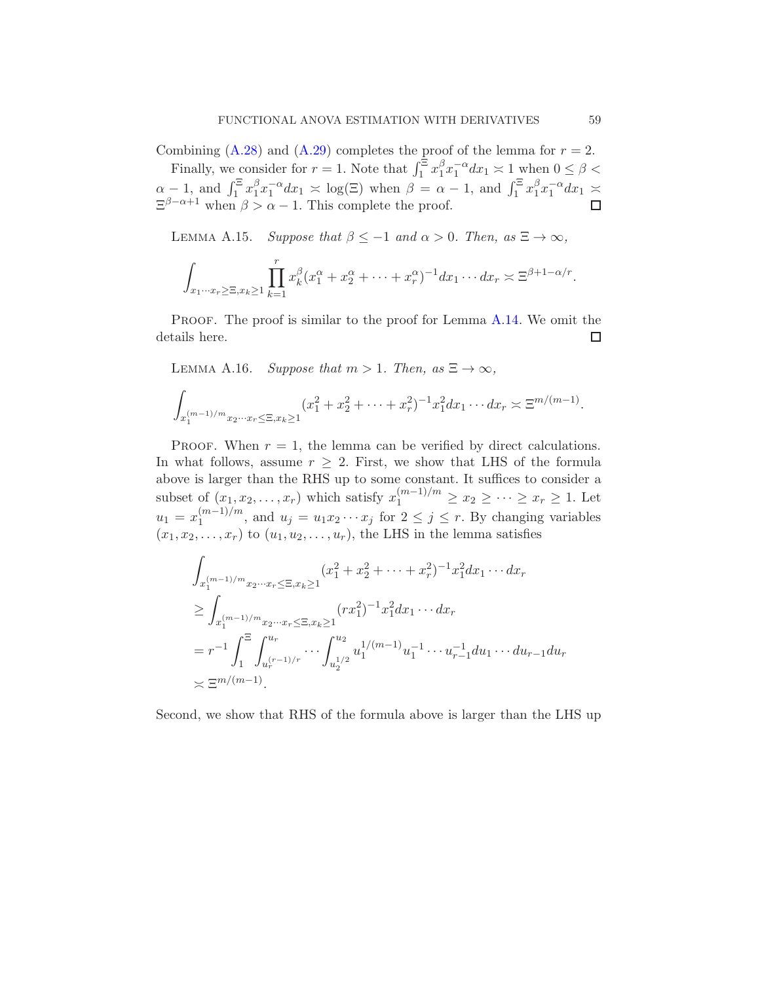Combining  $(A.28)$  and  $(A.29)$  completes the proof of the lemma for  $r = 2$ .

Finally, we consider for  $r = 1$ . Note that  $\int_1^{\Xi} x_1^{\beta}$  $\int_1^{\beta} x_1^{-\alpha} dx_1 \asymp 1$  when  $0 \le \beta <$  $\alpha - 1$ , and  $\int_1^{\Xi} x_1^{\beta}$  $\int_1^{\beta} x_1^{-\alpha} dx_1 \asymp \log(\Xi)$  when  $\beta = \alpha - 1$ , and  $\int_1^{\Xi} x_1^{\beta} dx_1$  $\int_1^\beta x_1^{-\alpha} dx_1 \approx$  $\Xi^{\beta-\alpha+1}$  when  $\beta > \alpha - 1$ . This complete the proof.

<span id="page-58-1"></span>LEMMA A.15. Suppose that  $\beta \leq -1$  and  $\alpha > 0$ . Then, as  $\Xi \to \infty$ ,

$$
\int_{x_1\cdots x_r\geq \Xi, x_k\geq 1} \prod_{k=1}^r x_k^{\beta} (x_1^{\alpha}+x_2^{\alpha}+\cdots+x_r^{\alpha})^{-1} dx_1\cdots dx_r \asymp \Xi^{\beta+1-\alpha/r}.
$$

PROOF. The proof is similar to the proof for Lemma [A.14.](#page-55-0) We omit the details here. □

<span id="page-58-0"></span>LEMMA A.16. Suppose that  $m > 1$ . Then, as  $\Xi \to \infty$ ,

$$
\int_{x_1^{(m-1)/m}x_2\cdots x_r \leq \Xi, x_k \geq 1} (x_1^2 + x_2^2 + \cdots + x_r^2)^{-1} x_1^2 dx_1 \cdots dx_r \asymp \Xi^{m/(m-1)}.
$$

PROOF. When  $r = 1$ , the lemma can be verified by direct calculations. In what follows, assume  $r \geq 2$ . First, we show that LHS of the formula above is larger than the RHS up to some constant. It suffices to consider a subset of  $(x_1, x_2, \ldots, x_r)$  which satisfy  $x_1^{(m-1)/m} \ge x_2 \ge \cdots \ge x_r \ge 1$ . Let  $u_1 = x_1^{(m-1)/m}$ , and  $u_j = u_1 x_2 \cdots x_j$  for  $2 \le j \le r$ . By changing variables  $(x_1, x_2, \ldots, x_r)$  to  $(u_1, u_2, \ldots, u_r)$ , the LHS in the lemma satisfies

$$
\int_{x_1^{(m-1)/m}x_2\cdots x_r \le \Xi, x_k \ge 1} (x_1^2 + x_2^2 + \cdots + x_r^2)^{-1} x_1^2 dx_1 \cdots dx_r
$$
\n
$$
\ge \int_{x_1^{(m-1)/m}x_2\cdots x_r \le \Xi, x_k \ge 1} (rx_1^2)^{-1} x_1^2 dx_1 \cdots dx_r
$$
\n
$$
= r^{-1} \int_1^{\Xi} \int_{u_r^{(r-1)/r}}^{u_r} \cdots \int_{u_2^{1/2}}^{u_2} u_1^{1/(m-1)} u_1^{-1} \cdots u_{r-1}^{-1} du_1 \cdots du_{r-1} du_r
$$
\n
$$
\asymp \Xi^{m/(m-1)}.
$$

Second, we show that RHS of the formula above is larger than the LHS up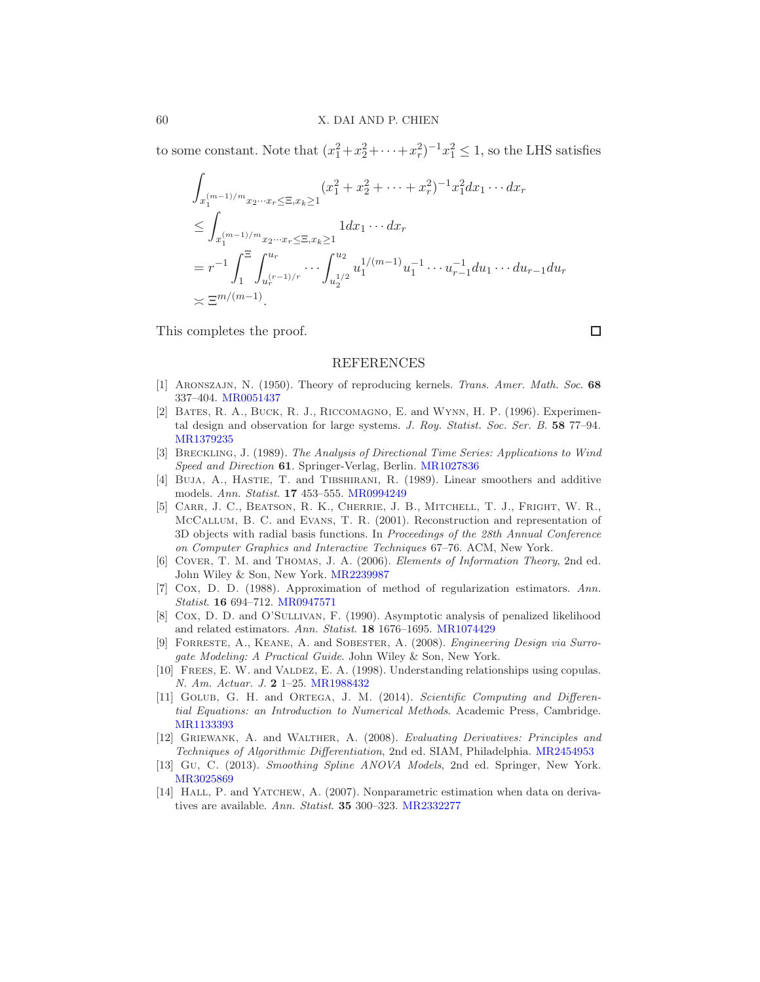to some constant. Note that  $(x_1^2 + x_2^2 + \cdots + x_r^2)^{-1} x_1^2 \le 1$ , so the LHS satisfies

$$
\int_{x_1^{(m-1)/m}x_2\cdots x_r \le \Xi, x_k \ge 1} (x_1^2 + x_2^2 + \cdots + x_r^2)^{-1} x_1^2 dx_1 \cdots dx_r
$$
\n
$$
\le \int_{x_1^{(m-1)/m}x_2\cdots x_r \le \Xi, x_k \ge 1} 1 dx_1 \cdots dx_r
$$
\n
$$
= r^{-1} \int_1^{\Xi} \int_{u_r^{(r-1)/r}}^{u_r} \cdots \int_{u_2^{1/2}}^{u_2} u_1^{1/(m-1)} u_1^{-1} \cdots u_{r-1}^{-1} du_1 \cdots du_{r-1} du_r
$$
\n
$$
\asymp \Xi^{m/(m-1)}.
$$

This completes the proof.

#### REFERENCES

- <span id="page-59-8"></span>[1] Aronszajn, N. (1950). Theory of reproducing kernels. Trans. Amer. Math. Soc. 68 337–404. [MR0051437](http://www.ams.org/mathscinet-getitem?mr=0051437)
- <span id="page-59-9"></span>[2] Bates, R. A., Buck, R. J., Riccomagno, E. and Wynn, H. P. (1996). Experimental design and observation for large systems. J. Roy. Statist. Soc. Ser. B. 58 77–94. [MR1379235](http://www.ams.org/mathscinet-getitem?mr=1379235)
- <span id="page-59-4"></span>[3] Breckling, J. (1989). The Analysis of Directional Time Series: Applications to Wind Speed and Direction 61. Springer-Verlag, Berlin. [MR1027836](http://www.ams.org/mathscinet-getitem?mr=1027836)
- <span id="page-59-7"></span>[4] Buja, A., Hastie, T. and Tibshirani, R. (1989). Linear smoothers and additive models. Ann. Statist. 17 453–555. [MR0994249](http://www.ams.org/mathscinet-getitem?mr=0994249)
- <span id="page-59-10"></span>[5] Carr, J. C., Beatson, R. K., Cherrie, J. B., Mitchell, T. J., Fright, W. R., McCallum, B. C. and Evans, T. R. (2001). Reconstruction and representation of 3D objects with radial basis functions. In Proceedings of the 28th Annual Conference on Computer Graphics and Interactive Techniques 67–76. ACM, New York.
- <span id="page-59-11"></span>[6] Cover, T. M. and Thomas, J. A. (2006). Elements of Information Theory, 2nd ed. John Wiley & Son, New York. [MR2239987](http://www.ams.org/mathscinet-getitem?mr=2239987)
- [7] Cox, D. D. (1988). Approximation of method of regularization estimators. Ann. Statist. 16 694–712. [MR0947571](http://www.ams.org/mathscinet-getitem?mr=0947571)
- <span id="page-59-12"></span>[8] Cox, D. D. and O'Sullivan, F. (1990). Asymptotic analysis of penalized likelihood and related estimators. Ann. Statist. 18 1676–1695. [MR1074429](http://www.ams.org/mathscinet-getitem?mr=1074429)
- <span id="page-59-5"></span>[9] Forreste, A., Keane, A. and Sobester, A. (2008). Engineering Design via Surrogate Modeling: A Practical Guide. John Wiley & Son, New York.
- <span id="page-59-1"></span>[10] FREES, E. W. and VALDEZ, E. A. (1998). Understanding relationships using copulas. N. Am. Actuar. J. 2 1–25. [MR1988432](http://www.ams.org/mathscinet-getitem?mr=1988432)
- <span id="page-59-3"></span>[11] Golub, G. H. and Ortega, J. M. (2014). Scientific Computing and Differential Equations: an Introduction to Numerical Methods. Academic Press, Cambridge. [MR1133393](http://www.ams.org/mathscinet-getitem?mr=1133393)
- <span id="page-59-2"></span>[12] Griewank, A. and Walther, A. (2008). Evaluating Derivatives: Principles and Techniques of Algorithmic Differentiation, 2nd ed. SIAM, Philadelphia. [MR2454953](http://www.ams.org/mathscinet-getitem?mr=2454953)
- <span id="page-59-6"></span>[13] Gu, C. (2013). Smoothing Spline ANOVA Models, 2nd ed. Springer, New York. [MR3025869](http://www.ams.org/mathscinet-getitem?mr=3025869)
- <span id="page-59-0"></span>[14] HALL, P. and YATCHEW, A. (2007). Nonparametric estimation when data on derivatives are available. Ann. Statist. 35 300–323. [MR2332277](http://www.ams.org/mathscinet-getitem?mr=2332277)

 $\Box$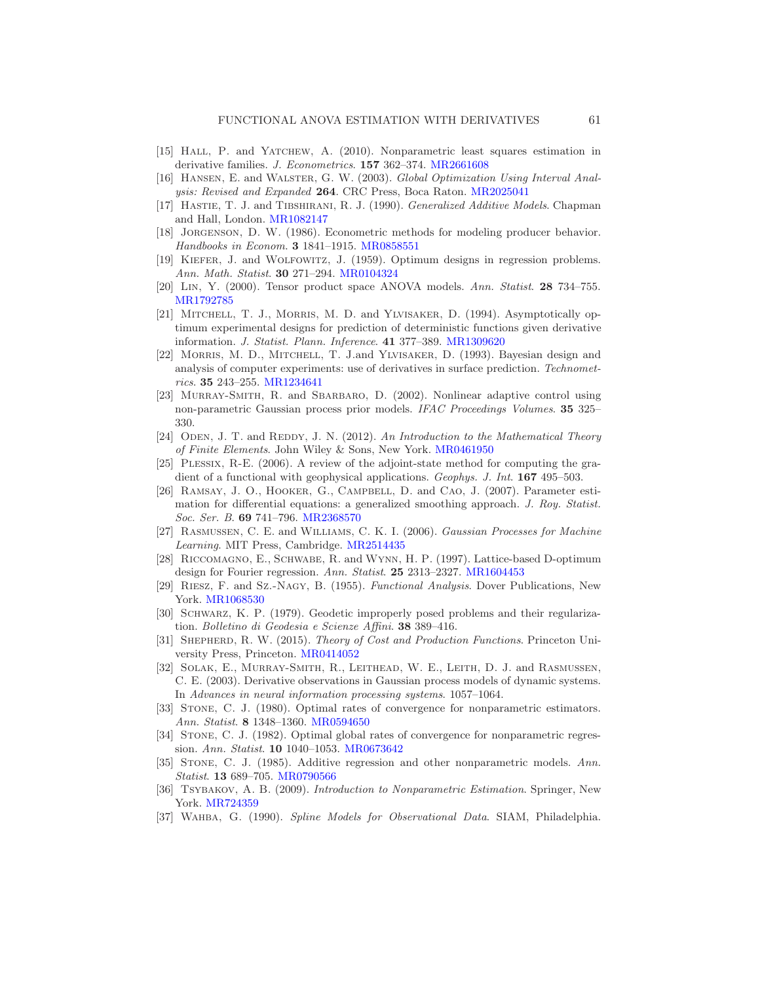- <span id="page-60-5"></span>[15] HALL, P. and YATCHEW, A. (2010). Nonparametric least squares estimation in derivative families. J. Econometrics. 157 362-374. [MR2661608](http://www.ams.org/mathscinet-getitem?mr=2661608)
- <span id="page-60-6"></span>[16] Hansen, E. and Walster, G. W. (2003). Global Optimization Using Interval Analysis: Revised and Expanded 264. CRC Press, Boca Raton. [MR2025041](http://www.ams.org/mathscinet-getitem?mr=2025041)
- <span id="page-60-11"></span>[17] HASTIE, T. J. and TIBSHIRANI, R. J. (1990). *Generalized Additive Models*. Chapman and Hall, London. [MR1082147](http://www.ams.org/mathscinet-getitem?mr=1082147)
- <span id="page-60-4"></span>[18] Jorgenson, D. W. (1986). Econometric methods for modeling producer behavior. Handbooks in Econom. 3 1841–1915. [MR0858551](http://www.ams.org/mathscinet-getitem?mr=0858551)
- <span id="page-60-18"></span>[19] Kiefer, J. and Wolfowitz, J. (1959). Optimum designs in regression problems. Ann. Math. Statist. 30 271–294. [MR0104324](http://www.ams.org/mathscinet-getitem?mr=0104324)
- <span id="page-60-10"></span>[20] Lin, Y. (2000). Tensor product space ANOVA models. Ann. Statist. 28 734–755. [MR1792785](http://www.ams.org/mathscinet-getitem?mr=1792785)
- <span id="page-60-16"></span>[21] MITCHELL, T. J., MORRIS, M. D. and YLVISAKER, D. (1994). Asymptotically optimum experimental designs for prediction of deterministic functions given derivative information. J. Statist. Plann. Inference. 41 377–389. [MR1309620](http://www.ams.org/mathscinet-getitem?mr=1309620)
- <span id="page-60-17"></span>[22] Morris, M. D., Mitchell, T. J.and Ylvisaker, D. (1993). Bayesian design and analysis of computer experiments: use of derivatives in surface prediction. Technometrics. 35 243–255. [MR1234641](http://www.ams.org/mathscinet-getitem?mr=1234641)
- <span id="page-60-0"></span>[23] Murray-Smith, R. and Sbarbaro, D. (2002). Nonlinear adaptive control using non-parametric Gaussian process prior models. IFAC Proceedings Volumes. 35 325– 330.
- <span id="page-60-21"></span> $[24]$  ODEN, J. T. and REDDY, J. N.  $(2012)$ . An Introduction to the Mathematical Theory of Finite Elements. John Wiley & Sons, New York. [MR0461950](http://www.ams.org/mathscinet-getitem?mr=0461950)
- <span id="page-60-8"></span>[25] Plessix, R-E. (2006). A review of the adjoint-state method for computing the gradient of a functional with geophysical applications. Geophys. J. Int. 167 495–503.
- <span id="page-60-9"></span>[26] Ramsay, J. O., Hooker, G., Campbell, D. and Cao, J. (2007). Parameter estimation for differential equations: a generalized smoothing approach. J. Roy. Statist. Soc. Ser. B. 69 741–796. [MR2368570](http://www.ams.org/mathscinet-getitem?mr=2368570)
- <span id="page-60-1"></span>[27] Rasmussen, C. E. and Williams, C. K. I. (2006). Gaussian Processes for Machine Learning. MIT Press, Cambridge. [MR2514435](http://www.ams.org/mathscinet-getitem?mr=2514435)
- <span id="page-60-12"></span>[28] Riccomagno, E., Schwabe, R. and Wynn, H. P. (1997). Lattice-based D-optimum design for Fourier regression. Ann. Statist. 25 2313-2327. [MR1604453](http://www.ams.org/mathscinet-getitem?mr=1604453)
- <span id="page-60-19"></span>[29] Riesz, F. and Sz.-Nagy, B. (1955). Functional Analysis. Dover Publications, New York. [MR1068530](http://www.ams.org/mathscinet-getitem?mr=1068530)
- <span id="page-60-7"></span>[30] SCHWARZ, K. P. (1979). Geodetic improperly posed problems and their regularization. Bolletino di Geodesia e Scienze Affini. 38 389–416.
- <span id="page-60-3"></span>[31] Shepherd, R. W. (2015). Theory of Cost and Production Functions. Princeton University Press, Princeton. [MR0414052](http://www.ams.org/mathscinet-getitem?mr=0414052)
- <span id="page-60-2"></span>[32] Solak, E., Murray-Smith, R., Leithead, W. E., Leith, D. J. and Rasmussen, C. E. (2003). Derivative observations in Gaussian process models of dynamic systems. In Advances in neural information processing systems. 1057–1064.
- <span id="page-60-14"></span>[33] Stone, C. J. (1980). Optimal rates of convergence for nonparametric estimators. Ann. Statist. 8 1348–1360. [MR0594650](http://www.ams.org/mathscinet-getitem?mr=0594650)
- <span id="page-60-15"></span>[34] Stone, C. J. (1982). Optimal global rates of convergence for nonparametric regression. Ann. Statist. 10 1040–1053. [MR0673642](http://www.ams.org/mathscinet-getitem?mr=0673642)
- <span id="page-60-13"></span>[35] Stone, C. J. (1985). Additive regression and other nonparametric models. Ann. Statist. 13 689–705. [MR0790566](http://www.ams.org/mathscinet-getitem?mr=0790566)
- <span id="page-60-20"></span>[36] TSYBAKOV, A. B. (2009). Introduction to Nonparametric Estimation. Springer, New York. [MR724359](http://www.ams.org/mathscinet-getitem?mr=724359)
- [37] Wahba, G. (1990). Spline Models for Observational Data. SIAM, Philadelphia.